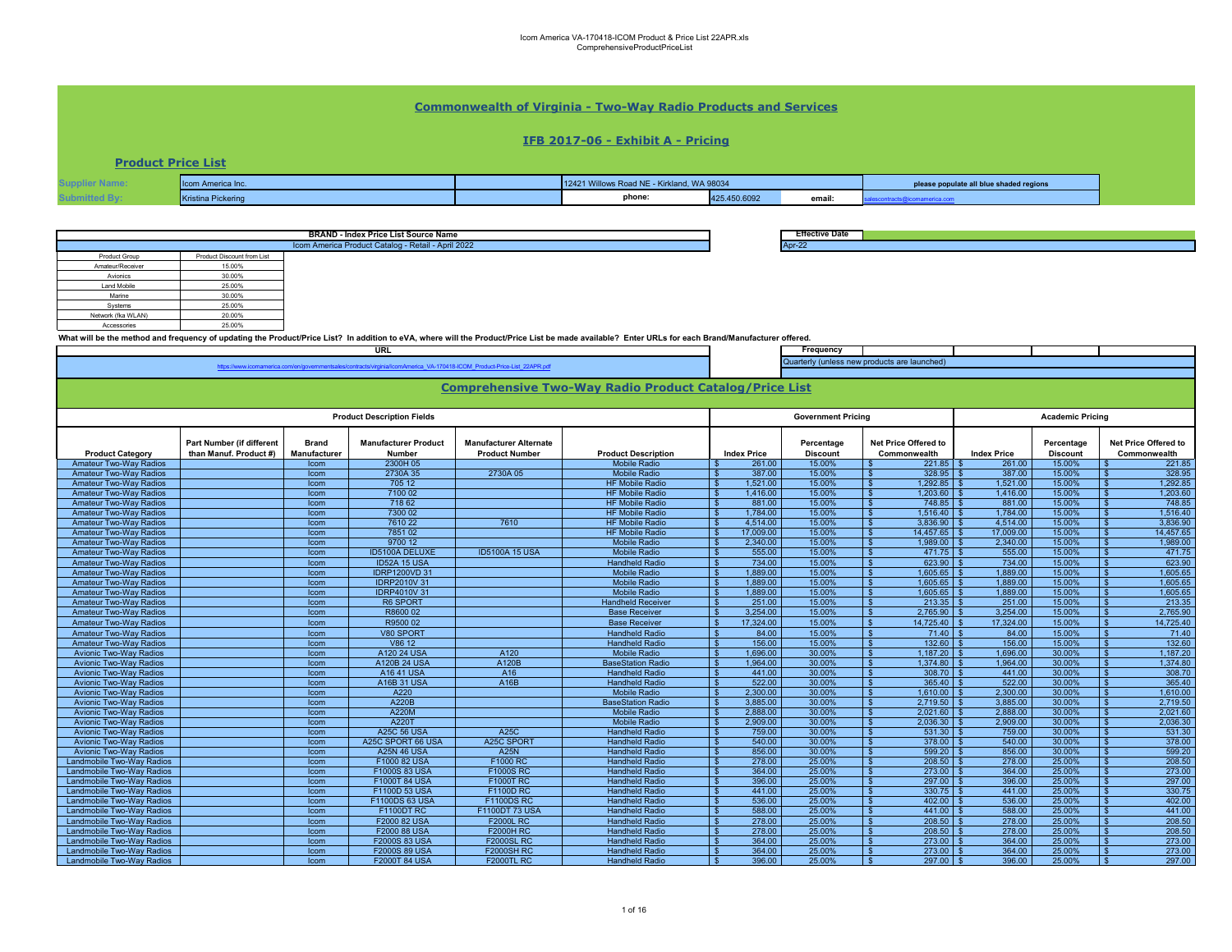## **Commonwealth of Virginia - Two-Way Radio Products and Services**

### **IFB 2017-06 - Exhibit A - Pricing**

**Product Price List**

| า America Inc.    | 12421 Willows Road NE - Kirkland, WA 98034 |              | please populate all blue shaded regions |  |  |
|-------------------|--------------------------------------------|--------------|-----------------------------------------|--|--|
| Kristina Pickerin | phone:                                     | 425.450.6092 | email:                                  |  |  |

**Effective Date**

**Frequency** 

|                    |                            | <b>BRAND - Index Price List Source Name</b>                                                                                                                                                        | "Effe   |
|--------------------|----------------------------|----------------------------------------------------------------------------------------------------------------------------------------------------------------------------------------------------|---------|
|                    |                            | Icom America Product Catalog - Retail - April 2022                                                                                                                                                 | Apr-22  |
| Product Group      | Product Discount from List |                                                                                                                                                                                                    |         |
| Amateur/Receiver   | 15.00%                     |                                                                                                                                                                                                    |         |
| Avionics           | 30.00%                     |                                                                                                                                                                                                    |         |
| Land Mobile        | 25.00%                     |                                                                                                                                                                                                    |         |
| Marine             | 30.00%                     |                                                                                                                                                                                                    |         |
| Systems            | 25.00%                     |                                                                                                                                                                                                    |         |
| Network (fka WLAN) | 20.00%                     |                                                                                                                                                                                                    |         |
| Accessories        | 25.00%                     |                                                                                                                                                                                                    |         |
|                    |                            | What will be the method and frequency of updating the Product/Price List? In addition to eVA, where will the Product/Price List be made available? Enter URLs for each Brand/Manufacturer offered. |         |
|                    |                            | <b>URL</b>                                                                                                                                                                                         | - Fr    |
|                    |                            | $\mathcal{L}^{\text{max}}_{\text{max}}$ and $\mathcal{L}^{\text{max}}_{\text{max}}$ and $\mathcal{L}^{\text{max}}_{\text{max}}$ and $\mathcal{L}^{\text{max}}_{\text{max}}$                        | Quarter |

**Product Category**<br>**Amateur Two-Way Radios Part Number (if different than Manuf. Product #) Brand Manufacturer Manufacturer Product Number**<br>2300H 05 **Manufacturer Alternate Product Description**<br> **Index Price**<br> **IS** 261.00 **Percentage Discount Net Price Offered to Commonwealth Index Price Percentage**  Discount<br>15.00% **Net Price Offered to Commonwealth** Amateur Two-Way Radios Icom 2300H 05 Mobile Radio \$ 261.00 15.00% \$ 221.85 \$ 261.00 15.00% \$ 221.85 Amateur Two-Way Radios Icom 2730A 35 2730A 05 Mobile Radio \$ 387.00 15.00% \$ 328.95 \$ 387.00 15.00% \$ 328.95 Amateur Two-Way Radios Icom 705 12 HF Mobile Radio \$ 1,521.00 15.00% \$ 1,292.85 \$ 1,521.00 15.00% \$ 1,292.85 Amateur Two-Way Radios Icom 7100 02 HF Mobile Radio \$ 1,416.00 15.00% \$ 1,203.60 \$ 1,416.00 15.00% \$ 1,203.60 Amateur Two-Way Radios Icom 718 62 HF Mobile Radio \$ 881.00 15.00% \$ 748.85 \$ 881.00 15.00% \$ 748.85 Amateur Two-Way Radios Icom 7300 02 HF Mobile Radio \$ 1,784.00 15.00% \$ 1,516.40 \$ 1,784.00 15.00% \$ 1,516.40 Amateur Two-Way Radios Icom 7610 22 7610 HF Mobile Radio \$ 4,514.00 15.00% \$ 3,836.90 \$ 4,514.00 15.00% \$ 3,836.90 Amateur Two-Way Radios Icom 7851 02 HF Mobile Radio \$ 17,009.00 15.00% \$ 14,457.65 \$ 17,009.00 15.00% \$ 14,457.65 Amateur Two-Way Radios Icom 9700 12 Mobile Radio \$ 2,340.00 15.00% \$ 1,989.00 \$ 2,340.00 15.00% \$ 1,989.00 Amateur Two-Way Radios | | lcom | ID5100A DELUXE | ID5100A 15 USA | Mobile Radio |\$ 555.00 15.00% |\$ 471.75 |\$ 555.00 | 15.00% |\$ 471.75 | 471.75 | 471.75 | 555.00 | 15.00% | \$ 471.75 Amateur Two-Way Radios | | Icom | ID52A 15 USA | Handheld Radio |\$ 734.00 | 15.00% |\$ 734.00 | 15.00% |\$ 623.90 | 15.00% |\$ 623.90 Amateur Two-Way Radios | | lcom | IDRP1200VD 31 | Mobile Radio |\$ 1,889.00 | 15.00% |\$ 1,889.00 | 15.00% |\$ 1,605.65 Amateur Two-Way Radios | | Icom | IDRP2010V 31 | Mobile Radio |\$ 1,889.00 | 15.00% |\$ 1,889.00 | 15.00% |\$ 1,605.65 |\$ 1,889.00 | 15.00% |\$ 1,605.65 Amateur Two-Way Radios | | lcom | IDRP4010V 31 | Mobile Radio |\$ 1,889.00 | 15.00% |\$ 1,889.00 | 15.00% |\$ 1,605.65 |\$ 1,889.00 | 15.00% |\$ 1,605.65 Amateur Two-Way Radios | | Icom | R6 SPORT | Handheld Receiver |\$ 251.00 15.00% |\$ 213.35 \$ 251.00 | 15.00% |\$ 213.35 \$ 251.00 | 15.00% |\$ 213.35 Amateur Two-Way Radios Icom R8600 02 Base Receiver \$ 3,254.00 15.00% \$ 2,765.90 \$ 3,254.00 15.00% \$ 2,765.90 Amateur Two-Way Radios Icom R9500 02 Base Receiver \$ 17,324.00 15.00% \$ 14,725.40 \$ 17,324.00 15.00% \$ 14,725.40 Amateur Two-Way Radios Icom V80 SPORT Handheld Radio \$ 84.00 15.00% \$ 71.40 \$ 84.00 15.00% \$ 71.40 Amateur Two-Way Radios Icom V86 12 Handheld Radio \$ 156.00 15.00% \$ 132.60 \$ 156.00 15.00% \$ 132.60 Avionic Two-Way Radios Icom A120 24 USA A120 Mobile Radio \$ 1,696.00 30.00% \$ 1,187.20 \$ 1,696.00 30.00% \$ 1,187.20 Avionic Two-Way Radios Icom A120B 24 USA A120B BaseStation Radio \$ 1,964.00 30.00% \$ 1,374.80 \$ 1,964.00 30.00% \$ 1,374.80 Avionic Two-Way Radios Icom A16 41 USA A16 Handheld Radio \$ 441.00 30.00% \$ 308.70 \$ 441.00 30.00% \$ 308.70 Avionic Two-Way Radios Icom A16B 31 USA A16B Handheld Radio \$ 522.00 30.00% \$ 365.40 \$ 522.00 30.00% \$ 365.40 Avionic Two-Way Radios Icom A220 Mobile Radio \$ 2,300.00 30.00% \$ 1,610.00 \$ 2,300.00 30.00% \$ 1,610.00 Avionic Two-Way Radios Icom A220B BaseStation Radio \$ 3,885.00 30.00% \$ 2,719.50 \$ 3,885.00 30.00% \$ 2,719.50 Avionic Two-Way Radios Icom A220M Mobile Radio \$ 2,888.00 30.00% \$ 2,021.60 \$ 2,888.00 30.00% \$ 2,021.60 Avionic Two-Way Radios Icom A220T Mobile Radio \$ 2,909.00 30.00% \$ 2,036.30 \$ 2,909.00 30.00% \$ 2,036.30 Avionic Two-Way Radios Icom A25C 56 USA A25C Handheld Radio \$ 759.00 30.00% \$ 531.30 \$ 759.00 30.00% \$ 531.30 Avionic Two-Way Radios Icom A25C SPORT 66 USA A25C SPORT Handheld Radio \$ 540.00 30.00% \$ 378.00 \$ 540.00 30.00% \$ 378.00 Avionic Two-Way Radios Icom A25N 46 USA A25N Handheld Radio \$ 856.00 30.00% \$ 599.20 \$ 856.00 30.00% \$ 599.20 Landmobile Two-Way Radios Icom F1000 82 USA F1000 RC Handheld Radio \$ 278.00 25.00% \$ 208.50 \$ 278.00 25.00% \$ 208.50 Landmobile Two-Way Radios Icom F1000S 83 USA F1000S RC Handheld Radio \$ 364.00 25.00% \$ 273.00 \$ 364.00 25.00% \$ 273.00 Landmobile Two-Way Radios Icom F1000T 84 USA F1000T RC Handheld Radio \$ 396.00 25.00% \$ 297.00 \$ 396.00 25.00% \$ 297.00 Landmobile Two-Way Radios Icom F1100D 53 USA F1100D RC Handheld Radio \$ 441.00 25.00% \$ 330.75 \$ 441.00 25.00% \$ 330.75 Landmobile Two-Way Radios Icom F1100DS 63 USA F1100DS RC Handheld Radio \$ 536.00 25.00% \$ 402.00 \$ 536.00 25.00% \$ 402.00 Landmobile Two-Way Radios Icom F1100DT RC F1100DT 73 USA Handheld Radio \$ 588.00 25.00% \$ 441.00 \$ 588.00 25.00% \$ 441.00 Landmobile Two-Way Radios | | Icom | F2000 82 USA | F2000 RC | Handheld Radio | \$ 278.00 | 25.00% \$ 278.00 | 25.00% | \$ 278.00 | 25.00% | \$ 278.00 | 25.00% | \$ 208.50 Landmobile Two-Way Radios | | Icom | F2000 88 USA | F2000 FRC | Handheld Radio | \$ 278.00 | 25.00% \$ 278.00 | 25.00% |\$ 208.50 Landmobile Two-Way Radios Icom F2000S 83 USA F2000SL RC Handheld Radio \$ 364.00 25.00% \$ 273.00 \$ 364.00 25.00% \$ 273.00 Landmobile Two-Way Radios Icom F2000S 89 USA F2000SH RC Handheld Radio \$ 364.00 25.00% \$ 273.00 \$ 364.00 25.00% \$ 273.00 Landmobile Two-Way Radios Icom F2000T 84 USA F2000TL RC Handheld Radio \$ 396.00 25.00% \$ 297.00 \$ 396.00 25.00% \$ 297.00 **Comprehensive Two-Way Radio Product Catalog/Price List Product Description Fields Government Pricing Academic Pricing** [h](http://www.icomamerica.com/en/governmentsales/contracts/virginia/IcomAmericaVA-170418-ICOMProductPriceList22APR.pdf)ttps://www.icomamerica.com/en/governmentsales/contracts/virginia/IcomAmerica\_VA-170418-ICOM\_Product-Price-List\_22APR.pdf uarterly (unless new products are launched)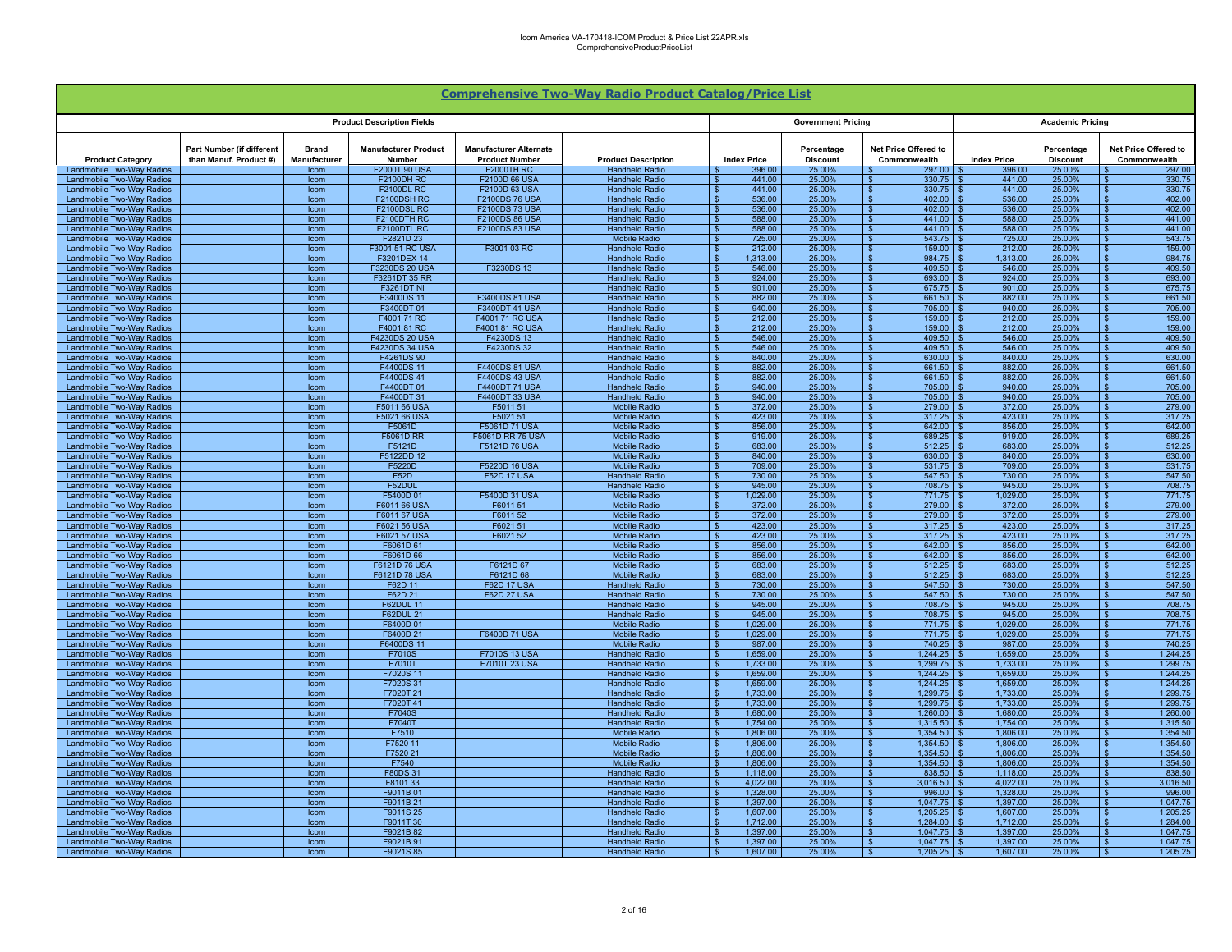|                                                        |                                                            |                              |                                       |                                                        | <b>Comprehensive Two-Way Radio Product Catalog/Price List</b> |                                      |                               |                                                         |                      |                               |                                                        |
|--------------------------------------------------------|------------------------------------------------------------|------------------------------|---------------------------------------|--------------------------------------------------------|---------------------------------------------------------------|--------------------------------------|-------------------------------|---------------------------------------------------------|----------------------|-------------------------------|--------------------------------------------------------|
|                                                        |                                                            |                              | <b>Product Description Fields</b>     |                                                        |                                                               |                                      | <b>Government Pricing</b>     |                                                         |                      | <b>Academic Pricing</b>       |                                                        |
| <b>Product Category</b>                                | <b>Part Number (if different</b><br>than Manuf. Product #) | <b>Brand</b><br>Manufacturer | <b>Manufacturer Product</b><br>Number | <b>Manufacturer Alternate</b><br><b>Product Number</b> | <b>Product Description</b>                                    | <b>Index Price</b>                   | Percentage<br><b>Discount</b> | Net Price Offered to<br>Commonwealth                    | <b>Index Price</b>   | Percentage<br><b>Discount</b> | <b>Net Price Offered to</b><br>Commonwealth            |
| Landmobile Two-Way Radios<br>Landmobile Two-Way Radios |                                                            | Icom<br>Icom                 | F2000T 90 USA<br><b>F2100DH RC</b>    | <b>F2000TH RC</b><br>F2100D 66 USA                     | <b>Handheld Radio</b><br><b>Handheld Radio</b>                | 396.00<br>441.00                     | 25.00%<br>25.00%              | 297.00<br>330.75<br>- 93                                | 396.00<br>441.00     | 25.00%<br>25.00%              | 297.00<br>330.75                                       |
| Landmobile Two-Way Radios                              |                                                            | Icom                         | <b>F2100DL RC</b>                     | F2100D 63 USA                                          | <b>Handheld Radio</b>                                         | 441.00                               | 25.00%                        | 330.75<br>$\overline{\mathbf{s}}$                       | 441.00               | 25.00%                        | 330.75                                                 |
| Landmobile Two-Way Radios                              |                                                            | Icom                         | F2100DSH RC                           | <b>F2100DS 76 USA</b>                                  | <b>Handheld Radio</b>                                         | 536.00                               | 25.00%                        | $\overline{\mathbf{s}}$<br>402.00                       | 536.00               | 25.00%                        | 402.00<br>$\mathbf{s}$                                 |
| Landmobile Two-Way Radios<br>Landmobile Two-Way Radios |                                                            | Icom<br>Icom                 | F2100DSL RC<br>F2100DTH RC            | <b>F2100DS 73 USA</b><br><b>F2100DS 86 USA</b>         | <b>Handheld Radio</b><br><b>Handheld Radio</b>                | 536.00<br>588.00                     | 25.00%<br>25.00%              | -\$<br>402.00<br>441.00<br>- \$                         | 536.00<br>588.00     | 25.00%<br>25.00%              | 402.00<br>$\mathbf{s}$<br>441.00                       |
| Landmobile Two-Way Radios                              |                                                            | Icom                         | <b>F2100DTL RC</b>                    | F2100DS 83 USA                                         | <b>Handheld Radio</b>                                         | 588.00                               | 25.00%                        | ∣\$<br>441.00                                           | 588.00               | 25.00%                        | 441.00<br>- \$                                         |
| Landmobile Two-Way Radios                              |                                                            | Icom                         | F2821D 23                             |                                                        | <b>Mobile Radio</b>                                           | 725.00                               | 25.00%                        | 543.75<br>∣\$                                           | 725.00               | 25.00%                        | 543.75<br>\$.                                          |
| Landmobile Two-Way Radios                              |                                                            | Icom                         | F3001 51 RC USA                       | F3001 03 RC                                            | <b>Handheld Radio</b>                                         | 212.00                               | 25.00%                        | 159.00<br>$\mathbf{\hat{S}}$                            | 212.00               | 25.00%                        | 159.00                                                 |
| Landmobile Two-Wav Radios<br>Landmobile Two-Way Radios |                                                            | Icom<br>Icom                 | F3201DEX 14<br>F3230DS 20 USA         | F3230DS 13                                             | <b>Handheld Radio</b><br><b>Handheld Radio</b>                | 1.313.00<br>546.00                   | 25.00%<br>25.00%              | 984 75<br>$\mathbf{s}$<br>409.50<br>$\mathbf{s}$        | 1.313.00<br>546.00   | 25.00%<br>25.00%              | 984.75<br>\$<br>409.50                                 |
| Landmobile Two-Way Radios                              |                                                            | Icom                         | F3261DT 35 RR                         |                                                        | <b>Handheld Radio</b>                                         | 924.00                               | 25.00%                        | 693.00                                                  | 924.00               | 25.00%                        | 693.00                                                 |
| Landmobile Two-Way Radios                              |                                                            | Icom                         | <b>F3261DT NI</b>                     |                                                        | <b>Handheld Radio</b>                                         | 901.00                               | 25.00%                        | l \$<br>675.75                                          | 901.00               | 25.00%                        | $\hat{\mathbf{r}}$<br>675.75                           |
| Landmobile Two-Way Radios                              |                                                            | Icom                         | F3400DS 11<br>F3400DT 01              | F3400DS 81 USA<br><b>F3400DT41USA</b>                  | <b>Handheld Radio</b><br><b>Handheld Radio</b>                | 882.00<br>940.00                     | 25.00%                        | <b>S</b><br>661.50<br>$\overline{\mathbf{s}}$<br>705.00 | 882.00<br>940.00     | 25.00%                        | 661.50                                                 |
| Landmobile Two-Way Radios<br>Landmobile Two-Wav Radios |                                                            | Icom<br>Icom                 | F4001 71 RC                           | E4001 71 RC USA                                        | <b>Handheld Radio</b>                                         | 212.00                               | 25.00%<br>25.00%              | <b>S</b><br>159.00                                      | 212.00               | 25.00%<br>25.00%              | 705.00<br>159.00                                       |
| Landmobile Two-Way Radios                              |                                                            | Icom                         | F4001 81 RC                           | F4001 81 RC USA                                        | <b>Handheld Radio</b>                                         | 212.00                               | 25.00%                        | <b>S</b><br>159.00                                      | 212.00               | 25.00%                        | 159,00                                                 |
| Landmobile Two-Way Radios                              |                                                            | Icom                         | F4230DS 20 USA                        | F4230DS 13                                             | <b>Handheld Radio</b>                                         | 546.00<br>- \$                       | 25.00%                        | $409.50$ \$<br>l S                                      | 546.00               | 25.00%                        | 409.50                                                 |
| Landmobile Two-Way Radios<br>Landmobile Two-Way Radios |                                                            | Icom<br><b>Icom</b>          | F4230DS 34 USA<br>F4261DS 90          | F4230DS 32                                             | <b>Handheld Radio</b><br><b>Handheld Radio</b>                | 546.00<br>840.00                     | 25.00%<br>25.00%              | 409.50<br>∣\$<br>630.00<br>- \$                         | 546.00<br>840.00     | 25.00%<br>25.00%              | 409.50<br>-S<br>630.00<br>-S.                          |
| Landmobile Two-Way Radios                              |                                                            | Icom                         | F4400DS 11                            | F4400DS 81 USA                                         | <b>Handheld Radio</b>                                         | 882.00                               | 25.00%                        | 661.50<br>$\mathbf{s}$                                  | 882.00               | 25.00%                        | 661.50<br>S.                                           |
| Landmobile Two-Way Radios                              |                                                            | Icom                         | F4400DS41                             | <b>F4400DS 43 USA</b>                                  | <b>Handheld Radio</b>                                         | 882.00                               | 25.00%                        | 661.50<br>$\mathbf{s}$                                  | 882.00               | 25.00%                        | 661.50                                                 |
| Landmobile Two-Way Radios                              |                                                            | Icom                         | F4400DT 01                            | F4400DT 71 USA                                         | <b>Handheld Radio</b>                                         | 940.00                               | 25.00%                        | 705.00<br>-S                                            | 940.00               | 25.00%                        | 705.00                                                 |
| Landmobile Two-Way Radios<br>Landmobile Two-Way Radios |                                                            | Icom<br>Icom                 | F4400DT 31<br>F5011 66 USA            | F4400DT 33 USA<br>F5011 51                             | <b>Handheld Radio</b><br><b>Mobile Radio</b>                  | 940.00<br>372.00                     | 25.00%<br>25.00%              | 705.00<br>- 93<br>∣ s<br>279.00                         | 940.00<br>372.00     | 25.00%<br>25.00%              | 705.00<br>279.00<br>$\mathbf{\hat{F}}$                 |
| Landmobile Two-Way Radios                              |                                                            | Icom                         | F5021 66 USA                          | F5021 51                                               | <b>Mobile Radio</b>                                           | 423.00                               | 25.00%                        | $\overline{\mathbf{s}}$<br>317.25                       | 423.00               | 25.00%                        | $\overline{\mathbf{s}}$<br>317.25                      |
| Landmobile Two-Way Radios                              |                                                            | Icom                         | F5061D                                | F5061D 71 USA                                          | <b>Mobile Radio</b>                                           | 856.00                               | 25.00%                        | $\overline{\mathbf{s}}$<br>642.00                       | 856.00               | 25.00%                        | $\overline{\mathbf{s}}$<br>642.00                      |
| <b>Landmobile Two-Way Radios</b>                       |                                                            | Icom                         | <b>F5061D RR</b>                      | <b>F5061D RR 75 USA</b>                                | <b>Mobile Radio</b>                                           | 919.00                               | 25.00%                        | 689.25<br>- \$                                          | 919.00               | 25.00%                        | 689.25<br>$\mathbf{s}$                                 |
| Landmobile Two-Way Radios<br>Landmobile Two-Way Radios |                                                            | Icom<br>Icom                 | F5121D<br>F5122DD 12                  | F5121D 76 USA                                          | <b>Mobile Radio</b><br><b>Mobile Radio</b>                    | 683.00<br>- \$<br>840.00<br>- \$     | 25.00%<br>25.00%              | <b>S</b><br>$512.25$ \$<br>∣\$<br>$630.00$ \$           | 683.00<br>840.00     | 25.00%<br>25.00%              | 512.25<br>- \$<br>630.00<br>- \$                       |
| Landmobile Two-Way Radios                              |                                                            | Icom                         | F5220D                                | F5220D 16 USA                                          | <b>Mobile Radio</b>                                           | 709.00                               | 25.00%                        | 531.75<br>- \$                                          | 709.00               | 25.00%                        | 531.75<br>\$.                                          |
| Landmobile Two-Way Radios                              |                                                            | <b>Icom</b>                  | <b>F52D</b>                           | <b>F52D 17 USA</b>                                     | <b>Handheld Radio</b>                                         | 730.00                               | 25.00%                        | 547.50<br>- \$                                          | 730.00               | 25.00%                        | 547.50<br>\$.                                          |
| Landmobile Two-Way Radios<br>Landmobile Two-Wav Radios |                                                            | Icom<br>Icom                 | F52DUI<br>F5400D 01                   | F5400D 31 USA                                          | <b>Handheld Radio</b><br><b>Mobile Radio</b>                  | 945.00<br>1.029.00                   | 25.00%<br>25.00%              | $\mathbf{s}$<br>708.75<br>771.75                        | 945.00<br>1.029.00   | 25.00%<br>25,00%              | 708.75<br>771.75                                       |
| Landmobile Two-Way Radios                              |                                                            | Icom                         | F6011 66 USA                          | F6011 51                                               | <b>Mobile Radio</b>                                           | 372.00                               | 25.00%                        | 279.00<br><b>S</b>                                      | 372.00               | 25.00%                        | 279.00                                                 |
| Landmobile Two-Way Radios                              |                                                            | Icom                         | F6011 67 USA                          | F6011 52                                               | <b>Mobile Radio</b>                                           | 372.00                               | 25.00%                        | <b>S</b><br>279.00                                      | 372.00               | 25.00%                        | $\mathbf{\hat{z}}$<br>279.00                           |
| Landmobile Two-Way Radios                              |                                                            | Icom                         | F6021 56 USA                          | F6021 51                                               | <b>Mobile Radio</b>                                           | 423.00                               | 25.00%                        | $\overline{\mathbf{s}}$<br>317.25                       | 423.00               | 25.00%                        | 317.25                                                 |
| Landmobile Two-Way Radios<br>Landmobile Two-Way Radios |                                                            | Icom<br>Icom                 | F6021 57 USA<br>F6061D 61             | F6021 52                                               | <b>Mobile Radio</b><br><b>Mobile Radio</b>                    | 423.00<br>856.00                     | 25.00%<br>25.00%              | $\mathbf{s}$<br>317.25<br>642.00<br>- \$                | 423.00<br>856.00     | 25.00%<br>25.00%              | 317.25<br>642.00                                       |
| Landmobile Two-Way Radios                              |                                                            | Icom                         | F6061D 66                             |                                                        | <b>Mobile Radio</b>                                           | 856.00                               | 25.00%                        | 642.00<br><b>S</b>                                      | 856.00               | 25.00%                        | 642.00                                                 |
| Landmobile Two-Way Radios                              |                                                            | Icom                         | F6121D 76 USA                         | F6121D 67                                              | <b>Mobile Radio</b>                                           | 683.00                               | 25.00%                        | $\sqrt{s}$<br>512.25                                    | 683.00               | 25.00%                        | 512.25<br>- \$                                         |
| Landmobile Two-Way Radios                              |                                                            | Icom                         | F6121D 78 USA                         | F6121D 68                                              | <b>Mobile Radio</b>                                           | 683.00                               | 25.00%                        | 512.25<br>- \$                                          | 683.00               | 25.00%                        | 512.25                                                 |
| Landmobile Two-Way Radios<br>Landmobile Two-Way Radios |                                                            | Icom<br>Icom                 | F62D 11<br>F62D 21                    | <b>F62D 17 USA</b><br><b>F62D 27 USA</b>               | <b>Handheld Radio</b><br><b>Handheld Radio</b>                | 730.00<br>730.00                     | 25.00%<br>25.00%              | 547.50<br>$\mathbf{S}$<br>547.50<br>- \$                | 730.00<br>730.00     | 25.00%<br>25.00%              | 547.50<br>547.50                                       |
| Landmobile Two-Way Radios                              |                                                            | Icom                         | <b>F62DUL 11</b>                      |                                                        | <b>Handheld Radio</b>                                         | 945.00                               | 25.00%                        | 708.75                                                  | 945.00               | 25.00%                        | 708.75                                                 |
| Landmobile Two-Way Radios                              |                                                            | Icom                         | <b>F62DUL 21</b>                      |                                                        | <b>Handheld Radio</b>                                         | 945.00                               | 25.00%                        | 708.75<br>- 99                                          | 945.00               | 25.00%                        | 708.75                                                 |
| Landmobile Two-Way Radios<br>Landmobile Two-Way Radios |                                                            | Icom<br>Icom                 | F6400D 01<br>F6400D 21                | F6400D 71 USA                                          | <b>Mobile Radio</b><br><b>Mobile Radio</b>                    | 1,029.00<br>1.029.00                 | 25.00%<br>25.00%              | $\overline{\mathbf{s}}$<br>771.75<br><b>S</b><br>771.75 | 1.029.00<br>1.029.00 | 25.00%<br>25.00%              | 771.75<br>$\mathbf{\hat{z}}$<br>771.75<br>$\mathbf{R}$ |
| <b>Landmobile Two-Way Radios</b>                       |                                                            | Icom                         | F6400DS 11                            |                                                        | <b>Mobile Radio</b>                                           | 987.00                               | 25.00%                        | $\overline{\mathbf{s}}$<br>740.25                       | 987.00               | 25.00%                        | $\overline{\mathbf{r}}$<br>740.25                      |
| Landmobile Two-Way Radios                              |                                                            | Icom                         | F7010S                                | <b>F7010S 13 USA</b>                                   | <b>Handheld Radio</b>                                         | 1.659.00                             | 25.00%                        | 1.244.25<br>- \$                                        | 1.659.00             | 25.00%                        | 1.244.25                                               |
| Landmobile Two-Way Radios                              |                                                            | Icom                         | F7010T                                | F7010T 23 USA                                          | <b>Handheld Radio</b>                                         | 1,733.00<br>-\$                      | 25.00%                        | $1,299.75$ \$<br>∣\$                                    | 1,733.00             | 25.00%                        | 1,299.75<br>- \$                                       |
| Landmobile Two-Way Radios<br>Landmobile Two-Way Radios |                                                            | Icom<br>Icom                 | F7020S 11<br>F7020S 31                |                                                        | <b>Handheld Radio</b><br><b>Handheld Radio</b>                | 1,659.00<br>1.659.00                 | 25.00%<br>25.00%              | $1,244.25$ \$<br>∣\$<br>1.244.25<br>- \$                | 1,659.00<br>1.659.00 | 25.00%<br>25.00%              | 1,244.25<br>-S<br>1.244.25<br>S.                       |
| Landmobile Two-Way Radios                              |                                                            | Icom                         | F7020T 21                             |                                                        | <b>Handheld Radio</b>                                         | 1.733.00                             | 25.00%                        | 1.299.75<br>$\mathbf{s}$                                | 1.733.00             | 25.00%                        | 1.299.75<br>S.                                         |
| Landmobile Two-Way Radios                              |                                                            | Icom                         | F7020T 41                             |                                                        | <b>Handheld Radio</b>                                         | 1,733.00                             | 25.00%                        | 1.299.75<br>-S                                          | 1.733.00             | 25.00%                        | 1.299.75<br>\$.                                        |
| Landmobile Two-Way Radios                              |                                                            | Icom                         | <b>F7040S</b>                         |                                                        | <b>Handheld Radio</b>                                         | 1.680.00                             | 25.00%                        | 1.260.00<br><b>S</b>                                    | 1.680.00             | 25.00%                        | 1.260.00                                               |
| Landmobile Two-Way Radios<br>Landmobile Two-Way Radios |                                                            | Icom<br>Icom                 | F7040T<br>F7510                       |                                                        | <b>Handheld Radio</b><br><b>Mobile Radio</b>                  | 1,754.00<br>1.806.00                 | 25.00%<br>25.00%              | 1.315.50<br><b>S</b><br>1.354.50                        | 1,754.00<br>1.806.00 | 25.00%<br>25.00%              | 1.315.50<br>1,354.50<br>$\hat{\mathbf{r}}$             |
| Landmobile Two-Way Radios                              |                                                            | Icom                         | F7520 11                              |                                                        | <b>Mobile Radio</b>                                           | 1.806.00                             | 25.00%                        | $\overline{\mathbf{s}}$<br>1.354.50                     | 1.806.00             | 25.00%                        | 1.354.50                                               |
| Landmobile Two-Way Radios                              |                                                            | Icom                         | F7520 21                              |                                                        | <b>Mobile Radio</b>                                           | 1.806.00                             | 25.00%                        | <b>S</b><br>1.354.50                                    | 1.806.00             | 25.00%                        | 1.354.50                                               |
| Landmobile Two-Way Radios<br>Landmobile Two-Way Radios |                                                            | Icom<br>Icom                 | F7540<br>F80DS 31                     |                                                        | <b>Mobile Radio</b><br><b>Handheld Radio</b>                  | 1.806.00<br>1,118.00<br>$\mathbb{R}$ | 25.00%<br>25.00%              | 1.354.50<br><b>S</b><br>838.50<br>∣\$                   | 1,806.00<br>1,118.00 | 25.00%<br>25.00%              | 1,354.50<br>838.50                                     |
| Landmobile Two-Way Radios                              |                                                            | Icom                         | F8101 33                              |                                                        | <b>Handheld Radio</b>                                         | 4,022.00                             | 25.00%                        | 3,016.50<br>$\sqrt{s}$                                  | 4,022.00             | 25.00%                        | 3,016.50<br>- \$                                       |
| Landmobile Two-Way Radios                              |                                                            | Icom                         | F9011B 01                             |                                                        | <b>Handheld Radio</b>                                         | 1,328.00                             | 25.00%                        | 996.00<br>∣\$                                           | 1,328.00             | 25.00%                        | 996.00                                                 |
| Landmobile Two-Way Radios                              |                                                            | Icom                         | F9011B 21                             |                                                        | <b>Handheld Radio</b>                                         | 1,397.00                             | 25.00%                        | 1.047.75<br>$\mathbf{\hat{S}}$                          | 1.397.00             | 25.00%                        | 1,047.75                                               |
| Landmobile Two-Way Radios<br>Landmobile Two-Way Radios |                                                            | Icom<br>Icom                 | F9011S 25<br>F9011T 30                |                                                        | <b>Handheld Radio</b><br><b>Handheld Radio</b>                | 1.607.00<br>1.712.00                 | 25.00%<br>25.00%              | 1.205.25<br>$\mathbf{s}$<br>1.284.00                    | 1.607.00<br>1.712.00 | 25.00%<br>25.00%              | 1.205.25<br>1.284.00                                   |
| Landmobile Two-Way Radios                              |                                                            | Icom                         | F9021B 82                             |                                                        | <b>Handheld Radio</b>                                         | 1,397.00                             | 25.00%                        | 1,047.75                                                | 1,397.00             | 25.00%                        | 1,047.75                                               |
| Landmobile Two-Way Radios                              |                                                            | Icom                         | F9021B 91                             |                                                        | <b>Handheld Radio</b>                                         | 1,397.00                             | 25.00%                        | 1.047.75<br><b>S</b>                                    | 1,397.00             | 25.00%                        | 1,047.75                                               |
| Landmobile Two-Way Radios                              |                                                            | Icom                         | F9021S 85                             |                                                        | <b>Handheld Radio</b>                                         | 1,607.00<br>- \$                     | 25.00%                        | $\overline{\mathbf{s}}$<br>1,205.25                     | 1,607.00             | 25.00%                        | 1,205.25                                               |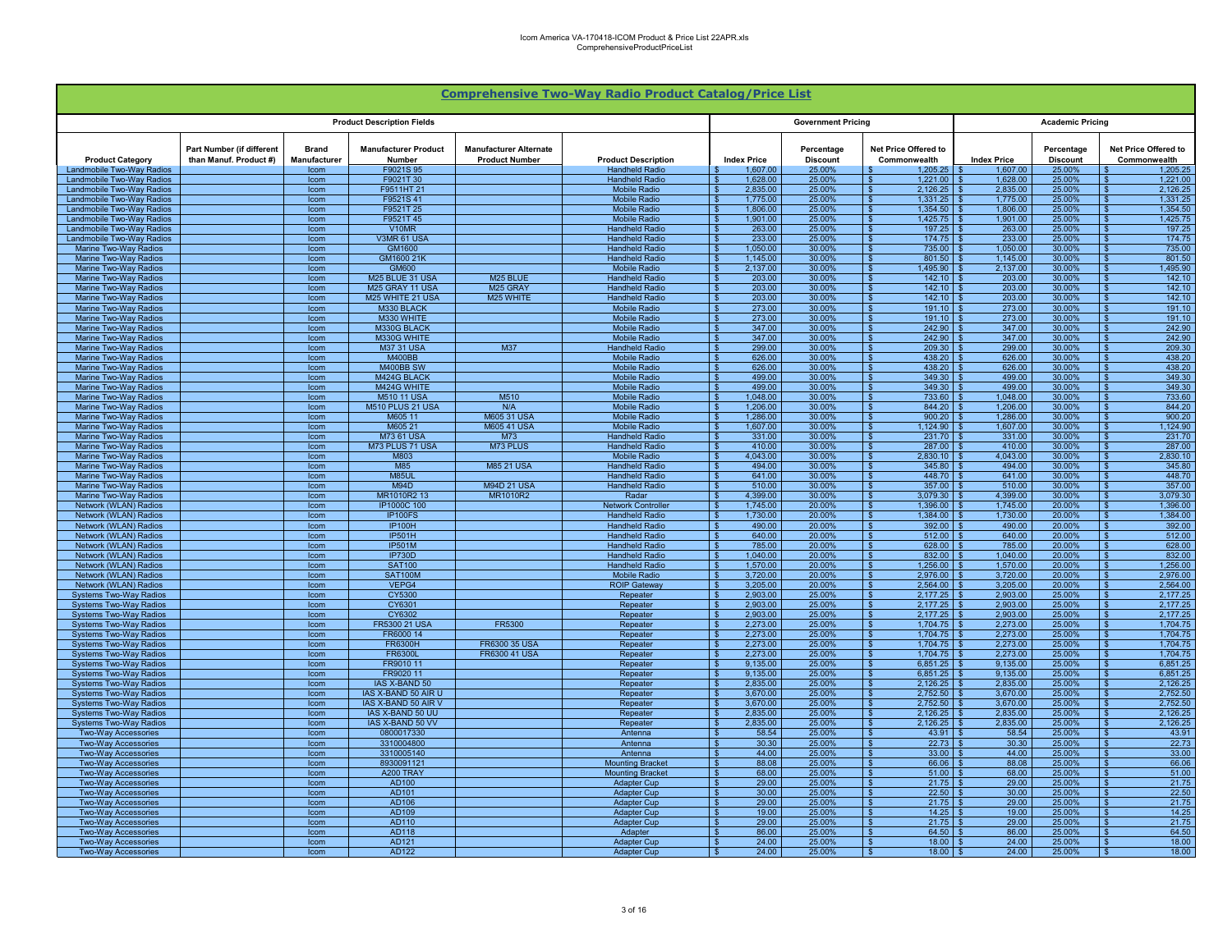|                                                                |                                                     |                              |                                             |                                                        | <b>Comprehensive Two-Way Radio Product Catalog/Price List</b> |                                      |                               |                                                           |                      |                               |                                                                          |
|----------------------------------------------------------------|-----------------------------------------------------|------------------------------|---------------------------------------------|--------------------------------------------------------|---------------------------------------------------------------|--------------------------------------|-------------------------------|-----------------------------------------------------------|----------------------|-------------------------------|--------------------------------------------------------------------------|
|                                                                |                                                     |                              | <b>Product Description Fields</b>           |                                                        |                                                               |                                      | <b>Government Pricing</b>     |                                                           |                      | <b>Academic Pricing</b>       |                                                                          |
| <b>Product Category</b>                                        | Part Number (if different<br>than Manuf. Product #) | <b>Brand</b><br>Manufacturer | <b>Manufacturer Product</b><br>Number       | <b>Manufacturer Alternate</b><br><b>Product Number</b> | <b>Product Description</b>                                    | <b>Index Price</b>                   | Percentage<br><b>Discount</b> | Net Price Offered to<br>Commonwealth                      | <b>Index Price</b>   | Percentage<br><b>Discount</b> | <b>Net Price Offered to</b><br>Commonwealth                              |
| Landmobile Two-Way Radios<br>Landmobile Two-Way Radios         |                                                     | Icom<br>Icom                 | F9021S 95<br>F9021T 30                      |                                                        | <b>Handheld Radio</b><br><b>Handheld Radio</b>                | 1,607.00<br>1,628.00                 | 25.00%<br>25.00%              | 1,205.25<br>1,221.00<br>∣ S                               | 1,607.00<br>1,628.00 | 25.00%<br>25.00%              | 1,205.25<br>1,221.00                                                     |
| Landmobile Two-Way Radios                                      |                                                     | Icom                         | F9511HT 21                                  |                                                        | <b>Mobile Radio</b>                                           | 2,835.00                             | 25.00%                        | 2.126.25<br>∣ s                                           | 2.835.00             | 25.00%                        | 2,126.25<br>$\mathbf{\hat{z}}$                                           |
| Landmobile Two-Way Radios                                      |                                                     | Icom                         | F9521S41                                    |                                                        | <b>Mobile Radio</b>                                           | 1,775.00                             | 25.00%                        | $\overline{\mathbf{s}}$<br>1.331.25                       | 1.775.00             | 25.00%                        | 1.331.25<br>$\mathbf{s}$                                                 |
| Landmobile Two-Way Radios                                      |                                                     | Icom                         | F9521T 25                                   |                                                        | <b>Mobile Radio</b>                                           | 1,806.00                             | 25.00%                        | 1.354.50<br>- \$                                          | 1,806.00             | 25.00%                        | 1,354.50<br>$\mathbf{s}$                                                 |
| Landmobile Two-Way Radios<br>Landmobile Two-Way Radios         |                                                     | Icom<br>Icom                 | F9521T45<br>V10MR                           |                                                        | <b>Mobile Radio</b><br><b>Handheld Radio</b>                  | 1.901.00<br>263.00                   | 25.00%<br>25.00%              | 1.425.75<br>- \$<br>l \$<br>197.25                        | 1.901.00<br>263.00   | 25.00%<br>25.00%              | 1.425.75<br>197.25<br>- \$                                               |
| Landmobile Two-Way Radios                                      |                                                     | Icom                         | V3MR 61 USA                                 |                                                        | <b>Handheld Radio</b>                                         | 233.00                               | 25.00%                        | 174.75<br>∣\$                                             | 233.00               | 25.00%                        | 174.75<br>-\$                                                            |
| Marine Two-Way Radios                                          |                                                     | <b>Icom</b>                  | GM1600                                      |                                                        | <b>Handheld Radio</b>                                         | 1.050.00                             | 30.00%                        | 735.00<br>$\mathbf{s}$                                    | 1.050.00             | 30.00%                        | 735.00<br>£.                                                             |
| Marine Two-Way Radios                                          |                                                     | <b>Icom</b>                  | GM1600 21K                                  |                                                        | <b>Handheld Radio</b>                                         | 1.145.00                             | 30.00%                        | 801.50<br>- \$                                            | 1.145.00             | 30.00%                        | 801.50<br>$\mathbf{s}$                                                   |
| Marine Two-Way Radios<br>Marine Two-Way Radios                 |                                                     | Icom<br>Icom                 | GM600<br>M25 BLUE 31 USA                    | M <sub>25</sub> BLUE                                   | <b>Mobile Radio</b><br><b>Handheld Radio</b>                  | 2.137.00<br>203.00                   | 30.00%<br>30.00%              | 1.495.90<br>- \$<br>142.10                                | 2.137.00<br>203.00   | 30.00%<br>30.00%              | 1.495.90<br>142.10                                                       |
| Marine Two-Way Radios                                          |                                                     | Icom                         | M25 GRAY 11 USA                             | M25 GRAY                                               | <b>Handheld Radio</b>                                         | 203.00                               | 30.00%                        | 142.10<br>l \$                                            | 203.00               | 30.00%                        | 142.10                                                                   |
| <b>Marine Two-Way Radios</b>                                   |                                                     | Icom                         | M25 WHITE 21 USA                            | M25 WHITE                                              | <b>Handheld Radio</b>                                         | 203.00                               | 30.00%                        | $\mathbf{s}$<br>142.10                                    | 203.00               | 30.00%                        | 142.10<br>. ድ                                                            |
| Marine Two-Way Radios                                          |                                                     | Icom                         | M330 BLACK                                  |                                                        | <b>Mobile Radio</b>                                           | 273.00                               | 30.00%                        | $\overline{\mathbf{s}}$<br>191.10                         | 273.00               | 30.00%                        | 191.10                                                                   |
| Marine Two-Way Radios<br>Marine Two-Way Radios                 |                                                     | Icom<br>Icom                 | M330 WHITE<br>M330G BLACK                   |                                                        | <b>Mobile Radio</b><br><b>Mobile Radio</b>                    | 273.00<br>347.00                     | 30.00%<br>30.00%              | <b>S</b><br>191.10<br>242.90<br><b>S</b>                  | 273.00<br>347.00     | 30.00%<br>30.00%              | 191.10<br>242.90                                                         |
| Marine Two-Way Radios                                          |                                                     | Icom                         | M330G WHITE                                 |                                                        | <b>Mobile Radio</b>                                           | 347.00                               | 30.00%                        | 242.90<br>l S                                             | 347.00               | 30.00%                        | 242.90                                                                   |
| Marine Two-Way Radios                                          |                                                     | Icom                         | <b>M37 31 USA</b>                           | M37                                                    | <b>Handheld Radio</b>                                         | 299.00<br>- \$                       | 30.00%                        | 209.30<br>l S                                             | 299.00               | 30.00%                        | 209.30<br>-96                                                            |
| Marine Two-Way Radios                                          |                                                     | Icom                         | <b>M400BB</b><br>M400BB SW                  |                                                        | <b>Mobile Radio</b>                                           | 626.00                               | 30.00%<br>30.00%              | 438.20<br>$\mathbf{s}$<br>- \$                            | 626.00               | 30.00%                        | 438.20<br>-SS<br>438.20<br>$\mathbf{s}$                                  |
| <b>Marine Two-Way Radios</b><br>Marine Two-Way Radios          |                                                     | Icom<br>Icom                 | M424G BLACK                                 |                                                        | <b>Mobile Radio</b><br><b>Mobile Radio</b>                    | 626.00<br>S.<br>499.00               | 30.00%                        | 438.20<br>349.30<br>- \$                                  | 626.00<br>499.00     | 30.00%<br>30.00%              | 349.30                                                                   |
| Marine Two-Way Radios                                          |                                                     | Icom                         | M424G WHITE                                 |                                                        | <b>Mobile Radio</b>                                           | 499.00                               | 30.00%                        | 349.30                                                    | 499.00               | 30.00%                        | 349.30                                                                   |
| Marine Two-Way Radios                                          |                                                     | Icom                         | <b>M510 11 USA</b>                          | M510                                                   | <b>Mobile Radio</b>                                           | 1,048.00                             | 30.00%                        | 733.60<br>∣ \$                                            | 1,048.00             | 30.00%                        | 733.60<br>-96                                                            |
| Marine Two-Way Radios                                          |                                                     | Icom                         | M510 PLUS 21 USA                            | N/A                                                    | <b>Mobile Radio</b>                                           | 1,206.00                             | 30.00%                        | 844.20<br>$\mathbf{S}$                                    | 1,206.00             | 30.00%                        | 844.20<br>$\mathbf{\hat{z}}$                                             |
| <b>Marine Two-Way Radios</b><br><b>Marine Two-Way Radios</b>   |                                                     | Icom<br>Icom                 | M605 11<br>M605 21                          | M605 31 USA<br><b>M605 41 USA</b>                      | <b>Mobile Radio</b><br><b>Mobile Radio</b>                    | 1,286.00<br>-8<br>1,607.00           | 30.00%<br>30.00%              | <b>S</b><br>900.20<br>1,124.90<br>$\overline{\mathbf{s}}$ | 1.286.00<br>1,607.00 | 30.00%<br>30.00%              | $\overline{\mathbf{s}}$<br>900.20<br>1,124.90<br>$\overline{\mathbf{S}}$ |
| Marine Two-Way Radios                                          |                                                     | Icom                         | M73 61 USA                                  | M73                                                    | <b>Handheld Radio</b>                                         | 331.00                               | 30.00%                        | ∣\$<br>231.70                                             | 331.00               | 30.00%                        | $\mathbf{s}$<br>231.70                                                   |
| Marine Two-Way Radios                                          |                                                     | Icom                         | M73 PLUS 71 USA                             | M73 PLUS                                               | <b>Handheld Radio</b>                                         | 410.00<br>- \$                       | 30.00%                        | 287.00<br>∣\$                                             | 410.00               | 30.00%                        | 287.00<br>- \$                                                           |
| Marine Two-Way Radios                                          |                                                     | Icom                         | M803                                        |                                                        | <b>Mobile Radio</b>                                           | 4,043.00<br>- \$                     | 30.00%                        | $2,830.10$ \$<br>∣\$                                      | 4,043.00             | 30.00%                        | 2,830.10<br>- \$                                                         |
| Marine Two-Way Radios<br><b>Marine Two-Way Radios</b>          |                                                     | lcom<br><b>Icom</b>          | M85<br><b>M85UI</b>                         | <b>M85 21 USA</b>                                      | <b>Handheld Radio</b><br><b>Handheld Radio</b>                | 494.00<br>641.00                     | 30.00%<br>30.00%              | 345.80<br>∣\$<br>448.70<br>- \$                           | 494.00<br>641.00     | 30.00%<br>30.00%              | 345.80<br>S.<br>448.70<br>$\mathbf{s}$                                   |
| Marine Two-Way Radios                                          |                                                     | Icom                         | <b>M94D</b>                                 | <b>M94D 21 USA</b>                                     | <b>Handheld Radio</b>                                         | 510.00                               | 30.00%                        | - \$<br>357.00                                            | 510.00               | 30.00%                        | 357.00                                                                   |
| Marine Two-Way Radios                                          |                                                     | Icom                         | MR1010R2 13                                 | MR1010R2                                               | Radar                                                         | 4.399.00                             | 30.00%                        | 3.079.30                                                  | 4.399.00             | 30.00                         | 3.079.30                                                                 |
| Network (WLAN) Radios                                          |                                                     | Icom                         | IP1000C 100                                 |                                                        | <b>Network Controller</b>                                     | 1,745.00                             | 20.00%                        | 1,396.00<br>l s                                           | 1.745.00             | 20.00%                        | 1,396.00<br>$\hat{\mathbf{r}}$                                           |
| Network (WLAN) Radios<br>Network (WLAN) Radios                 |                                                     | Icom<br>Icom                 | IP100FS<br><b>IP100H</b>                    |                                                        | <b>Handheld Radio</b><br><b>Handheld Radio</b>                | 1,730.00<br>490.00                   | 20.00%<br>20.00%              | <b>S</b><br>1.384.00<br>$\overline{\mathbf{s}}$<br>392.00 | 1,730.00<br>490.00   | 20.00%<br>20.00%              | 1,384.00<br>$\mathbf{\hat{z}}$<br>392.00                                 |
| Network (WLAN) Radios                                          |                                                     | Icom                         | <b>IP501H</b>                               |                                                        | <b>Handheld Radio</b>                                         | 640.00                               | 20.00%                        | <b>S</b><br>512.00                                        | 640.00               | 20,00%                        | $\mathbf{\hat{z}}$<br>512.00                                             |
| Network (WLAN) Radios                                          |                                                     | Icom                         | <b>IP501M</b>                               |                                                        | <b>Handheld Radio</b>                                         | 785.00                               | 20.00%                        | l \$<br>628.00                                            | 785.00               | 20.00%                        | 628.00                                                                   |
| Network (WLAN) Radios                                          |                                                     | Icom                         | <b>IP730D</b>                               |                                                        | <b>Handheld Radio</b>                                         | 1,040.00<br><b>S</b>                 | 20.00%                        | 832.00<br>l \$                                            | 1,040.00             | 20.00%                        | 832.00                                                                   |
| Network (WLAN) Radios<br>Network (WLAN) Radios                 |                                                     | Icom<br>Icom                 | <b>SAT100</b><br><b>SAT100M</b>             |                                                        | <b>Handheld Radio</b><br><b>Mobile Radio</b>                  | 1,570.00<br>3,720.00                 | 20.00%<br>20.00%              | <b>S</b><br>1,256.00<br>2.976.00<br>$\sqrt{s}$            | 1,570.00<br>3,720.00 | 20.00%<br>20.00%              | 1,256.00<br>- \$<br>2,976.00                                             |
| Network (WLAN) Radios                                          |                                                     | Icom                         | VEPG4                                       |                                                        | <b>ROIP Gateway</b>                                           | 3,205.00                             | 20.00%                        | 2.564.00<br>$\mathbf{s}$                                  | 3.205.00             | 20.00%                        | 2.564.00                                                                 |
| <b>Systems Two-Way Radios</b>                                  |                                                     | Icom                         | <b>CY5300</b>                               |                                                        | Repeater                                                      | 2,903.00                             | 25.00%                        | 2.177.25<br>$\mathbf{s}$                                  | 2.903.00             | 25.00%                        | 2,177.25                                                                 |
| <b>Systems Two-Way Radios</b>                                  |                                                     | Icom                         | CY6301                                      |                                                        | Repeater                                                      | 2,903.00                             | 25.00%                        | 2,177.25<br><b>S</b>                                      | 2,903.00             | 25.00%                        | 2,177.25                                                                 |
| <b>Systems Two-Way Radios</b><br><b>Systems Two-Way Radios</b> |                                                     | Icom<br>Icom                 | CY6302<br><b>FR5300 21 USA</b>              | <b>FR5300</b>                                          | Repeater<br>Repeater                                          | 2,903.00<br>2,273.00                 | 25.00%<br>25.00%              | 2,177.25<br>∣ s<br>1,704.75                               | 2,903.00<br>2,273.00 | 25.00%<br>25.00%              | 2,177.25<br>1,704.75<br>$\mathbf{\hat{R}}$                               |
| <b>Systems Two-Way Radios</b>                                  |                                                     | Icom                         | FR6000 14                                   |                                                        | Repeater                                                      | 2.273.00<br>-96                      | 25.00%                        | <b>S</b><br>1.704.75                                      | 2.273.00             | 25.00%                        | $\overline{\mathbf{s}}$<br>1,704.75                                      |
| <b>Systems Two-Way Radios</b>                                  |                                                     | Icom                         | <b>FR6300H</b>                              | FR6300 35 USA                                          | Repeater                                                      | 2,273.00<br>£.                       | 25.00%                        | $\overline{\mathbf{s}}$<br>1,704.75                       | 2,273.00             | 25.00%                        | 1,704.75<br>$\overline{\mathbf{S}}$                                      |
| <b>Systems Two-Way Radios</b>                                  |                                                     | Icom                         | <b>FR6300L</b>                              | <b>FR6300 41 USA</b>                                   | Repeater                                                      | 2,273.00<br>- \$                     | 25.00%                        | 1.704.75<br>∣\$                                           | 2.273.00             | 25.00%                        | 1.704.75<br>$\mathbf{s}$                                                 |
| <b>Systems Two-Way Radios</b><br>Systems Two-Way Radios        |                                                     | Icom<br>Icom                 | FR9010 11<br>FR9020 11                      |                                                        | Repeater<br>Repeater                                          | 9,135.00<br>- \$<br>9,135.00<br>- \$ | 25.00%<br>25.00%              | 6,851.25<br>∣\$<br><b>S</b><br>6,851.25                   | 9,135.00<br>9,135.00 | 25.00%<br>25.00%              | 6,851.25<br>- \$<br>6,851.25<br>- \$                                     |
| Systems Two-Way Radios                                         |                                                     | Icom                         | <b>IAS X-BAND 50</b>                        |                                                        | Repeater                                                      | 2,835.00<br>-SS                      | 25.00%                        | 2.126.25<br>∣\$.                                          | 2.835.00             | 25.00%                        | 2,126.25<br>-S.                                                          |
| <b>Systems Two-Way Radios</b>                                  |                                                     | Icom                         | <b>IAS X-BAND 50 AIR U</b>                  |                                                        | Repeater                                                      | 3.670.00                             | 25.00%                        | 2.752.50<br>$\mathbf{s}$                                  | 3.670.00             | 25.00%                        | 2.752.50<br>S.                                                           |
| <b>Systems Two-Way Radios</b>                                  |                                                     | Icom                         | <b>IAS X-BAND 50 AIR V</b>                  |                                                        | Repeater                                                      | 3,670.00                             | 25.00%                        | 2.752.50<br>-S                                            | 3.670.00             | 25.00%                        | 2.752.50<br>\$.                                                          |
| <b>Systems Two-Way Radios</b><br><b>Systems Two-Way Radios</b> |                                                     | Icom<br>Icom                 | <b>IAS X-BAND 50 UU</b><br>IAS X-BAND 50 VV |                                                        | Repeater<br>Repeater                                          | 2.835.00<br>2.835.00                 | 25.00%<br>25.00%              | 2.126.25<br>l \$<br>2,126.25                              | 2.835.00<br>2.835.00 | 25.00%<br>25.00%              | 2.126.25<br>2,126.25<br>. ድ                                              |
| <b>Two-Way Accessories</b>                                     |                                                     | Icom                         | 0800017330                                  |                                                        | Antenna                                                       | 58.54                                | 25.00%                        | 43.91<br><b>S</b>                                         | 58.54                | 25.00%                        | 43.91<br>$\hat{\mathbf{r}}$                                              |
| <b>Two-Wav Accessories</b>                                     |                                                     | Icom                         | 3310004800                                  |                                                        | Antenna                                                       | 30.30                                | 25.00%                        | $\overline{\mathbf{s}}$<br>22.73                          | 30.30                | 25.00%                        | 22.73                                                                    |
| <b>Two-Wav Accessories</b>                                     |                                                     | Icom                         | 3310005140                                  |                                                        | Antenna                                                       | 44.00                                | 25.00%                        | <b>S</b><br>33.00                                         | 44.00                | 25.00%                        | 33.00                                                                    |
| <b>Two-Way Accessories</b><br><b>Two-Way Accessories</b>       |                                                     | Icom<br>Icom                 | 8930091121<br>A200 TRAY                     |                                                        | <b>Mounting Bracke</b><br><b>Mounting Bracket</b>             | 88.08<br>68.00<br>- \$               | 25.00%<br>25.00%              | <b>S</b><br>66.06<br>51.00<br>l \$                        | 88.08<br>68.00       | 25.00%<br>25.00%              | 66.06<br>51.00                                                           |
| <b>Two-Way Accessories</b>                                     |                                                     | Icom                         | AD100                                       |                                                        | <b>Adapter Cup</b>                                            | 29.00                                | 25.00%                        | 21.75<br>$\sqrt{s}$                                       | 29.00                | 25.00%                        | 21.75<br>- \$                                                            |
| <b>Two-Way Accessories</b>                                     |                                                     | Icom                         | AD101                                       |                                                        | <b>Adapter Cup</b>                                            | 30.00                                | 25.00%                        | 22.50<br>∣\$                                              | 30.00                | 25.00%                        | 22.50<br>-96                                                             |
| <b>Two-Way Accessories</b>                                     |                                                     | Icom                         | AD106                                       |                                                        | <b>Adapter Cup</b>                                            | 29.00                                | 25.00%                        | 21.75<br>- \$                                             | 29.00                | 25.00%                        | 21.75<br>14.25                                                           |
| <b>Two-Way Accessories</b><br><b>Two-Way Accessories</b>       |                                                     | Icom<br>Icom                 | AD109<br>AD110                              |                                                        | <b>Adapter Cup</b><br><b>Adapter Cup</b>                      | 19.00<br>29.00                       | 25.00%<br>25.00%              | 14.25<br>- \$<br>21.75                                    | 19.00<br>29.00       | 25.00%<br>25.00%              | 21.75                                                                    |
| Two-Wav Accessories                                            |                                                     | Icom                         | AD118                                       |                                                        | Adapter                                                       | 86.00                                | 25.00%                        | 64.50                                                     | 86.00                | 25.00%                        | 64.50                                                                    |
| Two-Wav Accessories                                            |                                                     | Icom                         | AD121                                       |                                                        | <b>Adapter Cup</b>                                            | 24.00                                | 25.00%                        | 18.00<br>∣ \$                                             | 24.00                | 25.00%                        | 18.00                                                                    |
| <b>Two-Way Accessories</b>                                     |                                                     | Icom                         | <b>AD122</b>                                |                                                        | <b>Adapter Cup</b>                                            | 24.00                                | 25.00%                        | $\overline{\mathbf{s}}$<br>18.00                          | 24.00                | 25.00%                        | 18.00<br>$\mathbf{s}$                                                    |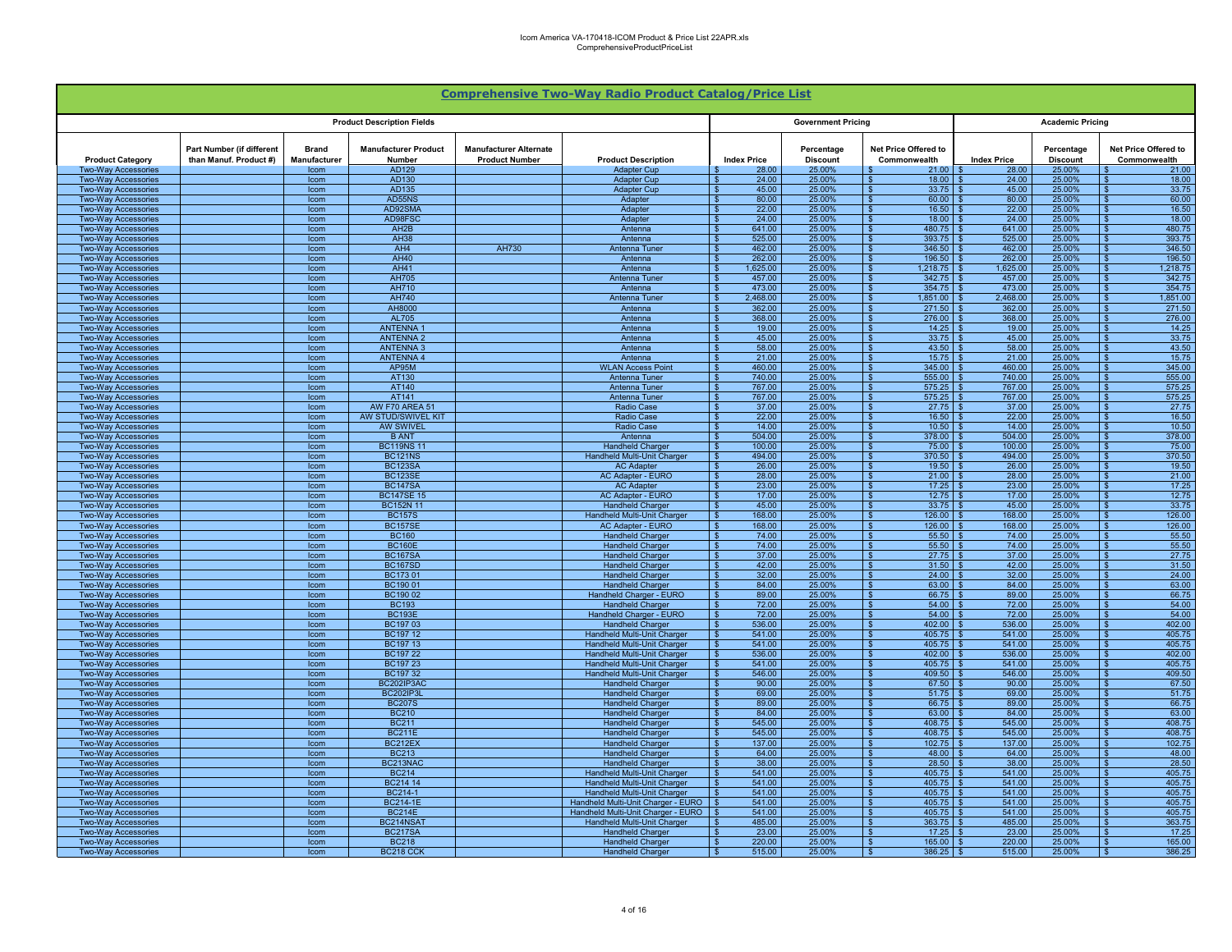|                                                          |                                                     |                              |                                       |                                                        | <b>Comprehensive Two-Way Radio Product Catalog/Price List</b> |                                                      |                               |                                                 |                                |                               |                                      |
|----------------------------------------------------------|-----------------------------------------------------|------------------------------|---------------------------------------|--------------------------------------------------------|---------------------------------------------------------------|------------------------------------------------------|-------------------------------|-------------------------------------------------|--------------------------------|-------------------------------|--------------------------------------|
|                                                          |                                                     |                              | <b>Product Description Fields</b>     |                                                        |                                                               |                                                      | <b>Government Pricing</b>     |                                                 |                                | <b>Academic Pricing</b>       |                                      |
| <b>Product Category</b>                                  | Part Number (if different<br>than Manuf. Product #) | <b>Brand</b><br>Manufacturer | <b>Manufacturer Product</b><br>Number | <b>Manufacturer Alternate</b><br><b>Product Number</b> | <b>Product Description</b>                                    | <b>Index Price</b>                                   | Percentage<br><b>Discount</b> | Net Price Offered to<br>Commonwealth            | <b>Index Price</b>             | Percentage<br><b>Discount</b> | Net Price Offered to<br>Commonwealth |
| <b>Two-Way Accessories</b>                               |                                                     | Icom                         | AD129                                 |                                                        | <b>Adapter Cup</b>                                            | 28.00                                                | 25.00%                        | 21.00                                           | 28.00                          | 25.00%                        | 21.00                                |
| <b>Two-Way Accessories</b>                               |                                                     | Icom                         | AD130                                 |                                                        | <b>Adapter Cup</b>                                            | 24.00<br>- \$                                        | 25.00%                        | $18.00$ \$                                      | 24.00                          | 25.00%                        | 18.00                                |
| <b>Two-Way Accessories</b>                               |                                                     | Icom                         | AD135<br>AD55NS                       |                                                        | <b>Adapter Cup</b>                                            | 45.00<br>$\sqrt{3}$<br>80.00<br><b>S</b>             | 25.00%<br>25.00%              | $33.75$ \$<br>$60.00$ \$                        | 45.00<br>80.00                 | 25.00%                        | 33.75<br>60.00                       |
| Two-Way Accessories<br>Two-Way Accessories               |                                                     | Icom<br>Icom                 | AD92SMA                               |                                                        | Adapter<br>Adapter                                            | 22.00<br>$\mathbf{S}$                                | 25.00%                        | $16.50$ \$                                      | 22.00                          | 25.00%<br>25.00%              | 16.50                                |
| <b>Two-Way Accessories</b>                               |                                                     | Icom                         | AD98FSC                               |                                                        | Adapter                                                       | $\overline{\mathbf{s}}$<br>24.00                     | 25.00%                        | $18.00$   \$                                    | 24.00                          | 25.00%                        | 18.00                                |
| <b>Two-Way Accessories</b>                               |                                                     | Icom                         | AH <sub>2</sub> B                     |                                                        | Antenna                                                       | 641.00<br><b>S</b>                                   | 25.00%                        | 480.75 \$                                       | 641.00                         | 25.00%                        | 480.75                               |
| <b>Two-Way Accessories</b>                               |                                                     | Icom                         | <b>AH38</b>                           |                                                        | Antenna                                                       | 525.00<br>∣\$                                        | 25.00%                        | $393.75$ \$                                     | 525.00                         | 25.00%                        | 393.75                               |
| <b>Two-Way Accessories</b>                               |                                                     | Icom                         | AH4                                   | AH730                                                  | Antenna Tuner                                                 | 462.00<br>$\sqrt{3}$                                 | 25.00%                        | $346.50$ \$<br>∣\$.                             | 462.00                         | 25.00%                        | 346.50<br>. ድ                        |
| <b>Two-Way Accessories</b>                               |                                                     | Icom                         | AH40                                  |                                                        | Antenna                                                       | 262.00<br>- \$                                       | 25.00%                        | $196.50$ \$                                     | 262.00                         | 25.00%                        | 196.50                               |
| <b>Two-Way Accessories</b>                               |                                                     | Icom                         | <b>AH41</b>                           |                                                        | Antenna                                                       | 1,625.00<br>$\mathbf{R}$                             | 25.00%                        | $1,218.75$ \$                                   | 1.625.00                       | 25.00%                        | 1.218.75                             |
| <b>Two-Wav Accessories</b><br><b>Two-Way Accessories</b> |                                                     | Icom<br>Icom                 | AH705<br><b>AH710</b>                 |                                                        | Antenna Tuner<br>Antenna                                      | 457.00<br>- \$<br>473.00                             | 25.00%<br>25.00%              | $342.75$ \$<br>$354.75$ \$                      | 457.00<br>473.00               | 25.00%<br>25.00%              | 342.75<br>354.75                     |
| <b>Two-Way Accessories</b>                               |                                                     | Icom                         | AH740                                 |                                                        | Antenna Tune                                                  | <b>S</b><br>2,468.00                                 | 25.00%                        |                                                 | 2.468.00                       | 25.00%                        | 1,851.00                             |
| <b>Two-Way Accessories</b>                               |                                                     | Icom                         | AH8000                                |                                                        | Antenna                                                       | $\mathbf{S}$<br>362.00                               | 25.00%                        | $271.50$ \$<br>$\hat{\mathbf{r}}$               | 362.00                         | 25.00%                        | 271.50                               |
| <b>Two-Way Accessories</b>                               |                                                     | Icom                         | <b>AL705</b>                          |                                                        | Antenna                                                       | 368,00<br>$\mathbf{s}$                               | 25.00%                        | 276.00                                          | 368.00<br>$\mathbb{R}$         | 25.00%                        | 276.00                               |
| <b>Two-Way Accessories</b>                               |                                                     | Icom                         | <b>ANTENNA</b>                        |                                                        | Antenna                                                       | $\overline{\mathbf{s}}$<br>19.00                     | 25.00%                        | $14.25$ \$                                      | 19.00                          | 25.00%                        | 14.25                                |
| <b>Two-Wav Accessories</b>                               |                                                     | Icom                         | <b>ANTENNA2</b>                       |                                                        | Antenna                                                       | $\mathbf{s}$<br>45.00                                | 25.00%                        |                                                 | 45.00                          | 25.00%                        | 33.75                                |
| <b>Two-Way Accessories</b>                               |                                                     | Icom                         | <b>ANTENNA 3</b>                      |                                                        | Antenna                                                       | $\sqrt{3}$<br>58.00                                  | 25.00%                        | $43.50$ \ \$<br>- \$                            | 58.00                          | 25.00%                        | 43.50                                |
| <b>Two-Way Accessories</b>                               |                                                     | Icom                         | <b>ANTENNA 4</b><br>AP95M             |                                                        | Antenna<br><b>WLAN Access Point</b>                           | 21.00<br>$\sqrt{3}$<br>460.00                        | 25.00%<br>25.00%              | $15.75$ \$<br>ιs<br>$345.00$ \$<br>- \$         | 21.00<br>460.00                | 25.00%<br>25.00%              | 15.75<br>-S<br>345.00<br>-96         |
| Two-Way Accessories<br><b>Two-Way Accessories</b>        |                                                     | Icom<br>Icom                 | AT130                                 |                                                        | Antenna Tuner                                                 | <b>S</b><br>740.00<br>$\mathbf{s}$                   | 25.00%                        | $555.00$ \ \$<br>- \$                           | 740.00                         | 25.00%                        | 555.00                               |
| <b>Two-Way Accessories</b>                               |                                                     | Icom                         | AT140                                 |                                                        | Antenna Tuner                                                 | 767.00<br>- \$                                       | 25.00%                        | $575.25$ \$                                     | 767.00                         | 25.00%                        | 575.25                               |
| Two-Way Accessories                                      |                                                     | Icom                         | AT141                                 |                                                        | Antenna Tune                                                  | 767.00<br>- \$                                       | 25.00%                        | $575.25$ \$                                     | 767.00                         | 25.00%                        | 575.25                               |
| <b>Two-Way Accessories</b>                               |                                                     | Icom                         | <b>AW F70 AREA 51</b>                 |                                                        | <b>Radio Case</b>                                             | 37.00<br>- \$                                        | 25.00%                        | $27.75$ \$                                      | 37.00                          | 25.00%                        | 27.75                                |
| Two-Way Accessories                                      |                                                     | Icom                         | AW STUD/SWIVEL KIT                    |                                                        | Radio Case                                                    | 22.00<br>∣ \$                                        | 25.00%                        | $16.50$ \$                                      | 22.00                          | 25.00%                        | 16.50                                |
| Two-Way Accessories                                      |                                                     | Icom                         | <b>AW SWIVEL</b>                      |                                                        | <b>Radio Case</b>                                             | 14.00<br>$\mathbf{S}$                                | 25.00%                        | $10.50$ \ \$<br>$\mathbf{\hat{x}}$              | 14.00                          | 25.00%                        | 10.50                                |
| Two-Way Accessories                                      |                                                     | Icom                         | <b>B ANT</b>                          |                                                        | Antenna                                                       | $\overline{\mathbf{s}}$<br>504.00                    | 25.00%                        | $378.00$ \$                                     | 504.00                         | 25.00%                        | 378.00                               |
| <b>Two-Way Accessories</b>                               |                                                     | Icom                         | <b>BC119NS11</b>                      |                                                        | <b>Handheld Charge</b>                                        | $\mathbf{\$}$<br>100.00<br>494.00<br><b>S</b>        | 25.00%                        | $75.00$ \$<br>$370.50$ \ \$                     | 100.00<br>494.00               | 25.00%                        | 75.00                                |
| <b>Two-Way Accessories</b><br><b>Two-Way Accessories</b> |                                                     | Icom<br>Icom                 | <b>BC121NS</b><br><b>BC123SA</b>      |                                                        | <b>Handheld Multi-Unit Charger</b><br><b>AC Adapter</b>       | 26.00<br><b>S</b>                                    | 25.00%<br>25.00%              | $19.50$ \$<br>- \$                              | 26.00                          | 25.00%<br>25.00%              | 370.50<br>19.50                      |
| Two-Way Accessories                                      |                                                     | Icom                         | <b>BC123SE</b>                        |                                                        | AC Adapter - EURO                                             | 28.00<br><b>S</b>                                    | 25.00%                        | $21.00$ \ \$                                    | 28.00                          | 25.00%                        | 21.00                                |
| <b>Two-Way Accessories</b>                               |                                                     | Icom                         | <b>BC147SA</b>                        |                                                        | <b>AC Adapter</b>                                             | 23.00<br>$\mathcal{R}$                               | 25.00%                        |                                                 | 23.00                          | 25.00%                        | 17.25                                |
| <b>Two-Way Accessories</b>                               |                                                     | Icom                         | <b>BC147SE 15</b>                     |                                                        | <b>AC Adapter - EURO</b>                                      | 17.00<br>- \$                                        | 25.00%                        |                                                 | 17.00                          | 25.00%                        | 12.75                                |
| <b>Two-Way Accessories</b>                               |                                                     | Icom                         | <b>BC152N 11</b>                      |                                                        | <b>Handheld Charger</b>                                       | 45.00                                                | 25.00%                        | $33.75$ \$                                      | 45.00                          | 25.00%                        | 33.75                                |
| <b>Two-Way Accessories</b>                               |                                                     | Icom                         | <b>BC157S</b>                         |                                                        | Handheld Multi-Unit Charger                                   | 168.00                                               | 25.00%                        | $126.00$ \$                                     | 168.00                         | 25.00%                        | 126.00                               |
| <b>Two-Way Accessories</b>                               |                                                     | Icom                         | <b>BC157SE</b><br><b>BC160</b>        |                                                        | AC Adapter - EURO                                             | 168.00<br><b>S</b><br>$\sqrt{s}$<br>74.00            | 25.00%<br>25.00%              | $126.00$ \$<br>$55.50$ \$<br>$\hat{\mathbf{z}}$ | 168.00<br>74.00                | 25.00%<br>25.00%              | 126.00<br>55.50                      |
| Two-Way Accessories<br>Two-Way Accessories               |                                                     | Icom<br>Icom                 | <b>BC160E</b>                         |                                                        | <b>Handheld Charge</b><br><b>Handheld Charger</b>             | 74.00<br>$\hat{\mathbf{S}}$                          | 25.00%                        | $55.50$ \$                                      | 74.00                          | 25.00%                        | 55.50                                |
| <b>Two-Wav Accessories</b>                               |                                                     | Icom                         | <b>BC167SA</b>                        |                                                        | <b>Handheld Charger</b>                                       | $\mathbf{s}$<br>37.00                                | 25.00%                        |                                                 | 37.00                          | 25.00%                        | 27.75                                |
| <b>Two-Way Accessories</b>                               |                                                     | Icom                         | <b>BC167SD</b>                        |                                                        | <b>Handheld Charger</b>                                       | 42.00<br><b>S</b>                                    | 25.00%                        | $31.50$ \$                                      | 42.00                          | 25.00%                        | 31.50                                |
| <b>Two-Way Accessories</b>                               |                                                     | Icom                         | BC17301                               |                                                        | <b>Handheld Charger</b>                                       | 32.00<br><b>S</b>                                    | 25.00%                        | $24.00$ \ \$<br><b>S</b>                        | 32.00                          | 25.00%                        | 24.00                                |
| <b>Two-Way Accessories</b>                               |                                                     | Icom                         | BC19001                               |                                                        | <b>Handheld Charger</b>                                       | 84.00<br>$\sqrt{3}$                                  | 25.00%                        | $63.00$ \$<br>l S                               | 84.00                          | 25.00%                        | 63.00<br>- \$                        |
| Two-Wav Accessories                                      |                                                     | Icom                         | BC19002                               |                                                        | Handheld Charger - EURO                                       | 89.00<br>- \$                                        | 25.00%                        | $66.75$ \$<br>- \$                              | 89.00                          | 25.00%                        | 66.75                                |
| <b>Two-Wav Accessories</b><br><b>Two-Way Accessories</b> |                                                     | Icom<br>Icom                 | <b>BC193</b><br><b>BC193E</b>         |                                                        | <b>Handheld Charger</b><br>Handheld Charger - EURO            | 72.00<br>$\mathbf{s}$<br>72.00<br>$\mathbf{\$}$      | 25.00%<br>25.00%              | $54.00$ \ \$<br>- \$<br>$54.00$ \$              | 72.00<br>72.00                 | 25.00%<br>25.00%              | 54.00<br>54.00                       |
| Two-Wav Accessories                                      |                                                     | Icom                         | BC19703                               |                                                        | <b>Handheld Charge</b>                                        | 536.00                                               | 25.00%                        | $402.00$ \$                                     | 536.00                         | 25.00%                        | 402.00                               |
| <b>Two-Way Accessories</b>                               |                                                     | Icom                         | BC197 12                              |                                                        | Handheld Multi-Unit Charger                                   | 541.00<br><b>S</b>                                   | 25.00%                        | $405.75$ \$                                     | 541.00                         | 25.00%                        | 405.75                               |
| Two-Way Accessories                                      |                                                     | Icom                         | <b>BC19713</b>                        |                                                        | <b>Handheld Multi-Unit Charger</b>                            | 541.00<br>$\mathcal{R}$                              | 25.00%                        | $405.75$ \$                                     | 541.00                         | 25.00%                        | 405.75                               |
| <b>Two-Way Accessories</b>                               |                                                     | Icom                         | BC197 22                              |                                                        | Handheld Multi-Unit Charger                                   | 536.00<br><b>S</b>                                   | 25.00%                        | $402.00$ \ \$                                   | 536.00                         | 25.00%                        | 402.00                               |
| Two-Way Accessories                                      |                                                     | <b>Icom</b>                  | BC197 23                              |                                                        | <b>Handheld Multi-Unit Charger</b>                            | $\overline{\mathbf{s}}$<br>541.00                    | 25.00%                        |                                                 | 541.00                         | 25.00%                        | 405.75                               |
| <b>Two-Way Accessories</b>                               |                                                     | Icom                         | BC197 32                              |                                                        | <b>Handheld Multi-Unit Charger</b>                            | 546.00<br><b>S</b>                                   | 25.00%                        | $409.50$ \$                                     | 546.00                         | 25.00%                        | 409.50                               |
| <b>Two-Way Accessories</b><br><b>Two-Way Accessories</b> |                                                     | Icom<br>Icom                 | BC202IP3AC<br><b>BC202IP3L</b>        |                                                        | <b>Handheld Charger</b><br><b>Handheld Charger</b>            | 90.00<br>- \$<br>$\sqrt{3}$<br>69.00                 | 25.00%<br>25.00%              | $67.50$ \ \$<br>$51.75$ \$<br>∣\$.              | 90.00<br>69.00                 | 25.00%<br>25.00%              | 67.50<br>51.75<br>-S.                |
| <b>Two-Way Accessories</b>                               |                                                     | Icom                         | <b>BC207S</b>                         |                                                        | <b>Handheld Charger</b>                                       | 89.00<br><b>S</b>                                    | 25.00%                        | $66.75$ \$<br>∣\$.                              | 89.00                          | 25.00%                        | 66.75<br>-SS                         |
| <b>Two-Way Accessories</b>                               |                                                     | Icom                         | <b>BC210</b>                          |                                                        | <b>Handheld Charger</b>                                       | 84.00<br>- \$                                        | 25.00%                        | $63.00$ \$<br>- \$                              | 84.00                          | 25.00%                        | 63.00<br>-S.                         |
| <b>Two-Wav Accessories</b>                               |                                                     | Icom                         | <b>BC211</b>                          |                                                        | <b>Handheld Charger</b>                                       | 545.00<br><b>S</b>                                   | 25.00%                        |                                                 | 545.00                         | 25.00%                        | 408.75                               |
| <b>Two-Way Accessories</b>                               |                                                     | Icom                         | <b>BC211E</b>                         |                                                        | <b>Handheld Charger</b>                                       | 545.00                                               | 25.00%                        | $408.75$ \$                                     | 545.00                         | 25.00%                        | 408.75                               |
| <b>Two-Way Accessories</b>                               |                                                     | Icom                         | BC212EX                               |                                                        | <b>Handheld Charger</b>                                       | <b>S</b><br>137.00                                   | 25.00%                        | $102.75$ \$                                     | 137.00                         | 25.00%                        | 102.75                               |
| <b>Two-Way Accessories</b>                               |                                                     | Icom                         | <b>BC213</b><br>BC213NAC              |                                                        | Handheld Charger                                              | 64.00<br>$\mathbf{R}$<br>38.00<br>$\hat{\mathbf{S}}$ | 25.00%<br>25.00%              | 48.00                                           | 64.00<br>$\mathbf{S}$<br>38.00 | 25.00%<br>25.00%              | 48.00<br>28.50                       |
| Two-Way Accessories<br><b>Two-Way Accessories</b>        |                                                     | Icom<br>Icom                 | <b>BC214</b>                          |                                                        | <b>Handheld Charger</b><br><b>Handheld Multi-Unit Charger</b> | - \$<br>541.00                                       | 25.00%                        | $405.75$ \$                                     | 541.00                         | 25.00%                        | 405.75                               |
| <b>Two-Wav Accessories</b>                               |                                                     | Icom                         | BC214 14                              |                                                        | Handheld Multi-Unit Charger                                   | $\mathbf{S}$<br>541.00                               | 25.00%                        | $405.75$ \$                                     | 541.00                         | 25.00%                        | 405.75                               |
| <b>Two-Way Accessories</b>                               |                                                     | Icom                         | BC214-1                               |                                                        | Handheld Multi-Unit Charger                                   | 541.00                                               | 25.00%                        | $405.75$ \$                                     | 541.00                         | 25.00%                        | 405.75                               |
| <b>Two-Way Accessories</b>                               |                                                     | Icom                         | <b>BC214-1E</b>                       |                                                        | Handheld Multi-Unit Charger - EURO \$                         | 541.00                                               | 25.00%                        | $405.75$ \$<br>∣ \$                             | 541.00                         | 25.00%                        | 405.75                               |
| <b>Two-Way Accessories</b>                               |                                                     | Icom                         | <b>BC214E</b>                         |                                                        | Handheld Multi-Unit Charger - EURO \$                         | 541.00                                               | 25.00%                        | $405.75$ \$<br>- 93                             | 541.00                         | 25.00%                        | 405.75                               |
| <b>Two-Way Accessories</b>                               |                                                     | Icom                         | BC214NSA1                             |                                                        | <b>Handheld Multi-Unit Charger</b>                            | 485.00<br>-93                                        | 25.00%                        | $363.75$ \$                                     | 485.00                         | 25.00%                        | 363.75                               |
| <b>Two-Way Accessories</b>                               |                                                     | Icom                         | <b>BC217SA</b><br><b>BC218</b>        |                                                        | <b>Handheld Charger</b>                                       | 23.00<br>- \$<br>- \$                                | 25.00%                        | 17.25                                           | 23.00<br>220.00                | 25.00%                        | 17.25                                |
| <b>Two-Way Accessories</b><br><b>Two-Way Accessories</b> |                                                     | Icom<br>Icom                 | <b>BC218 CCI</b>                      |                                                        | <b>Handheld Charger</b><br><b>Handheld Charger</b>            | 220.00<br>515.00                                     | 25.00%<br>25.00%              | $386.25$ \$                                     | 515.00                         | 25.00%<br>25.00%              | 165.00<br>386.25                     |
|                                                          |                                                     |                              |                                       |                                                        |                                                               |                                                      |                               |                                                 |                                |                               |                                      |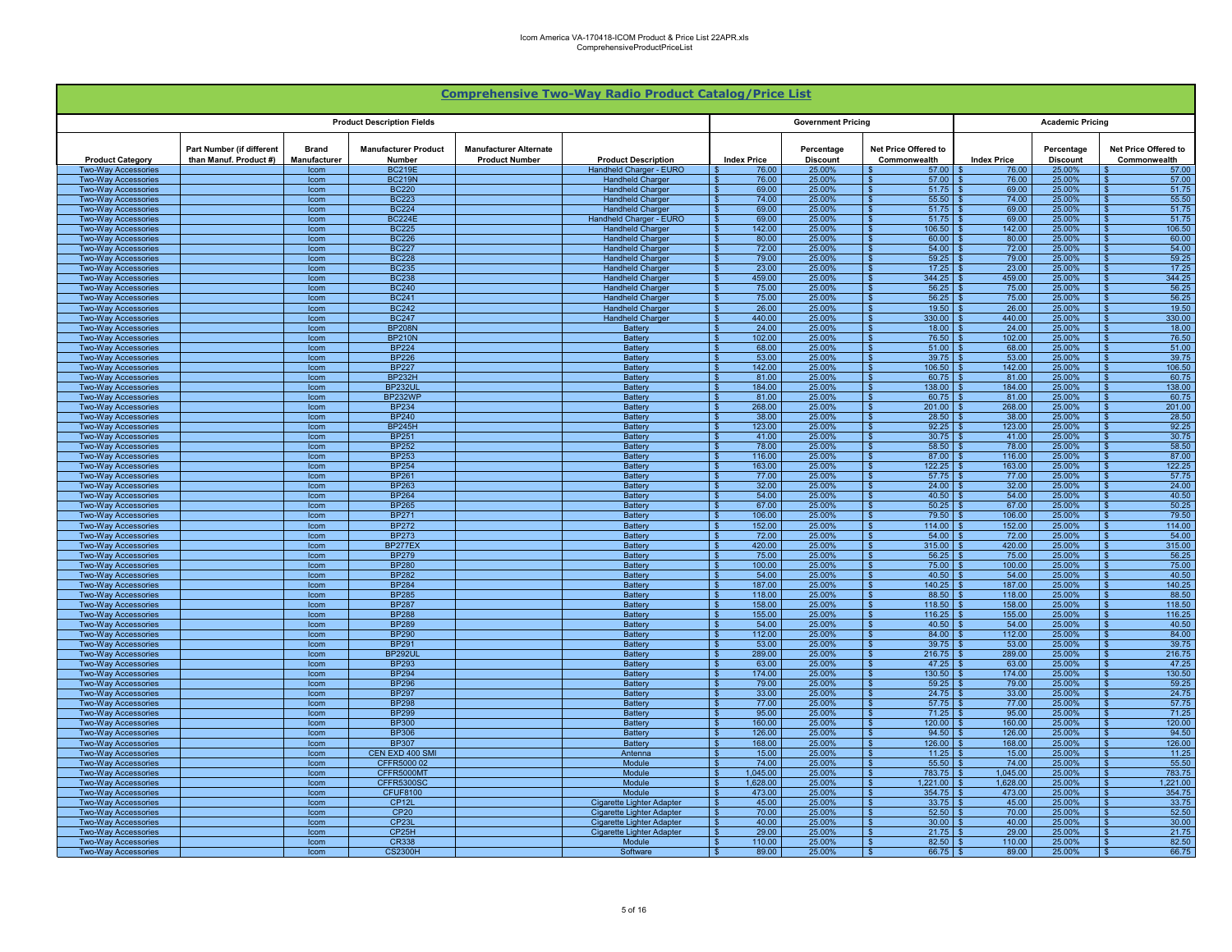|                                                          |                                                     |                              |                                       |                                                        | <b>Comprehensive Two-Way Radio Product Catalog/Price List</b>        |                                            |                               |                                           |                    |                               |                                         |
|----------------------------------------------------------|-----------------------------------------------------|------------------------------|---------------------------------------|--------------------------------------------------------|----------------------------------------------------------------------|--------------------------------------------|-------------------------------|-------------------------------------------|--------------------|-------------------------------|-----------------------------------------|
|                                                          |                                                     |                              | <b>Product Description Fields</b>     |                                                        |                                                                      |                                            | <b>Government Pricing</b>     |                                           |                    | <b>Academic Pricing</b>       |                                         |
| <b>Product Category</b>                                  | Part Number (if different<br>than Manuf. Product #) | <b>Brand</b><br>Manufacturer | <b>Manufacturer Product</b><br>Number | <b>Manufacturer Alternate</b><br><b>Product Number</b> | <b>Product Description</b>                                           | <b>Index Price</b>                         | Percentage<br><b>Discount</b> | Net Price Offered to<br>Commonwealth      | <b>Index Price</b> | Percentage<br><b>Discount</b> | Net Price Offered to<br>Commonwealth    |
| <b>Two-Way Accessories</b>                               |                                                     | Icom                         | <b>BC219E</b>                         |                                                        | Handheld Charger - EURO                                              | 76.00                                      | 25.00%                        | 57.00                                     | 76.00              | 25.00%                        | 57.00                                   |
| Two-Way Accessories<br>Two-Way Accessories               |                                                     | Icom<br>Icom                 | <b>BC219N</b><br><b>BC220</b>         |                                                        | <b>Handheld Charger</b><br><b>Handheld Charger</b>                   | 76.00<br>69.00<br>. ድ                      | 25.00%<br>25.00%              | 57.00<br>51.75                            | 76.00<br>69.00     | 25.00%<br>25.00%              | 57.00<br>51.75                          |
| <b>Two-Way Accessories</b>                               |                                                     | Icom                         | <b>BC223</b>                          |                                                        | <b>Handheld Charger</b>                                              | 74.00<br>$\mathbf{\hat{s}}$                | 25.00%                        | 55.50<br>. ድ                              | 74.00              | 25.00%                        | 55.50                                   |
| <b>Two-Way Accessories</b>                               |                                                     | Icom                         | <b>BC224</b>                          |                                                        | <b>Handheld Charger</b>                                              | 69.00<br>$\mathbf{\hat{s}}$                | 25.00%                        | 51.75                                     | 69.00              | 25.00%                        | 51.75                                   |
| <b>Two-Way Accessories</b>                               |                                                     | Icom                         | <b>BC224E</b>                         |                                                        | Handheld Charger - EURO                                              | 69.00<br>- \$                              | 25.00%                        | 51.75<br>- \$                             | 69.00              | 25.00%                        | 51.75                                   |
| <b>Two-Way Accessories</b>                               |                                                     | Icom                         | <b>BC225</b>                          |                                                        | <b>Handheld Charger</b>                                              | 142.00<br>- \$<br>80.00<br>- \$            | 25.00%<br>25.00%              | $106.50$ \$<br>l \$<br>60.00<br>- \$      | 142.00<br>80.00    | 25.00%                        | 106.50<br>l \$<br>60.00<br>- \$         |
| <b>Two-Way Accessories</b><br><b>Two-Way Accessories</b> |                                                     | Icom<br>Icom                 | <b>BC226</b><br><b>BC227</b>          |                                                        | <b>Handheld Charger</b><br><b>Handheld Charger</b>                   | 72.00<br>$\mathbf{\hat{z}}$                | 25.00%                        | 54.00<br>- \$                             | 72.00              | 25.00%<br>25.00%              | 54.00<br>$\mathbf{\hat{S}}$             |
| <b>Two-Wav Accessories</b>                               |                                                     | Icom                         | <b>BC228</b>                          |                                                        | <b>Handheld Charger</b>                                              | 79.00<br>$\mathbf{s}$                      | 25.00%                        | 59.25<br>- \$                             | 79.00              | 25.00%                        | 59.25<br>- \$                           |
| <b>Two-Way Accessories</b>                               |                                                     | Icom                         | <b>BC235</b>                          |                                                        | <b>Handheld Charger</b>                                              | 23.00                                      | 25.00%                        | 17.25                                     | 23.00              | 25.00%                        | 17.25                                   |
| Two-Way Accessories<br>Two-Way Accessories               |                                                     | Icom<br>Icom                 | <b>BC238</b><br><b>BC240</b>          |                                                        | <b>Handheld Charger</b><br><b>Handheld Charger</b>                   | 459.00<br>75.00                            | 25.00%<br>25.00%              | 344.25<br>56.25                           | 459.00<br>75.00    | 25.00%<br>25.00%              | 344.25<br>56.25                         |
| <b>Two-Wav Accessories</b>                               |                                                     | Icom                         | <b>BC241</b>                          |                                                        | <b>Handheld Charger</b>                                              | 75.00<br>. ድ                               | 25.00%                        | 56.25<br>$\mathbf{S}$                     | 75.00              | 25.00%                        | 56.25                                   |
| Two-Way Accessories                                      |                                                     | Icom                         | <b>BC242</b>                          |                                                        | <b>Handheld Charger</b>                                              | 26.00                                      | 25.00%                        | 19.50                                     | 26.00              | 25.00%                        | 19.50                                   |
| <b>Two-Wav Accessories</b>                               |                                                     | Icom                         | <b>BC247</b>                          |                                                        | <b>Handheld Charger</b>                                              | 440.00<br>$\hat{\mathbf{r}}$               | 25.00%                        | $\mathbf{s}$<br>330.00                    | 440.00             | 25.00%                        | 330.00                                  |
| <b>Two-Way Accessories</b>                               |                                                     | Icom                         | <b>BP208N</b>                         |                                                        | Battery                                                              | 24.00<br>- \$                              | 25.00%                        | 18.00                                     | 24.00              | 25.00%                        | 18.00                                   |
| <b>Two-Way Accessories</b><br><b>Two-Way Accessories</b> |                                                     | Icom<br>Icom                 | <b>BP210N</b><br><b>BP224</b>         |                                                        | Battery<br><b>Battery</b>                                            | 102.00<br>- \$<br>68.00<br>- \$            | 25.00%<br>25.00%              | 76.50 \$<br>l S<br>$51.00$ \$<br>l S      | 102.00<br>68.00    | 25.00%<br>25.00%              | 76.50<br>51.00<br>- \$                  |
| <b>Two-Way Accessories</b>                               |                                                     | Icom                         | <b>BP226</b>                          |                                                        | Battery                                                              | 53.00<br>- \$                              | 25.00%                        | 39.75<br>- \$                             | 53.00              | 25.00%                        | 39.75<br>- \$                           |
| <b>Two-Way Accessories</b>                               |                                                     | Icom                         | <b>BP227</b>                          |                                                        | Battery                                                              | 142.00<br>$\mathbf{s}$                     | 25.00%                        | 106.50<br>- \$                            | 142.00             | 25.00%                        | 106.50<br>- \$                          |
| <b>Two-Way Accessories</b>                               |                                                     | Icom                         | <b>BP232H</b>                         |                                                        | <b>Battery</b>                                                       | 81.00<br>$\mathbf{\hat{s}}$                | 25.00%                        | 60.75                                     | 81.00              | 25.00%                        | 60.75                                   |
| <b>Two-Way Accessories</b>                               |                                                     | Icom                         | <b>BP232UL</b><br>BP232WP             |                                                        | <b>Battery</b><br><b>Battery</b>                                     | 184.00<br>81.00<br>- \$                    | 25.00%<br>25.00%              | 138.00<br>60.75                           | 184.00<br>81.00    | 25.00%<br>25.00%              | 138.00<br>60.75                         |
| Two-Way Accessories<br>Two-Way Accessories               |                                                     | Icom<br>Icom                 | <b>BP234</b>                          |                                                        | <b>Battery</b>                                                       | 268.00<br>$\mathbf{\hat{R}}$               | 25.00%                        | 201.00                                    | 268.00             | 25.00%                        | 201.00                                  |
| <b>Two-Way Accessories</b>                               |                                                     | Icom                         | <b>BP240</b>                          |                                                        | Battery                                                              | $\overline{\mathbf{s}}$<br>38.00           | 25.00%                        | 28.50<br>- \$                             | 38.00              | 25.00%                        | 28.50<br>$\mathbf{\hat{R}}$             |
| <b>Two-Way Accessories</b>                               |                                                     | Icom                         | <b>BP245H</b>                         |                                                        | <b>Battery</b>                                                       | $\overline{\mathbf{s}}$<br>123.00          | 25.00%                        | 92.25                                     | 123.00             | 25.00%                        | 92.25                                   |
| <b>Two-Way Accessories</b>                               |                                                     | Icom                         | <b>BP251</b>                          |                                                        | <b>Battery</b>                                                       | 41.00<br>- \$                              | 25.00%                        | 30.75<br>- \$                             | 41.00              | 25.00%                        | 30.75                                   |
| <b>Two-Way Accessories</b><br><b>Two-Way Accessories</b> |                                                     | Icom<br>Icom                 | <b>BP252</b><br><b>BP253</b>          |                                                        | Battery<br>Battery                                                   | 78.00<br>- \$<br>116.00<br>-\$             | 25.00%<br>25.00%              | $58.50$ \$<br>l S<br>$87.00$ \$<br>ΙSΙ    | 78.00<br>116.00    | 25.00%<br>25.00%              | 58.50<br>- \$<br>87.00<br>- \$          |
| <b>Two-Way Accessories</b>                               |                                                     | Icom                         | <b>BP254</b>                          |                                                        | Battery                                                              | 163.00<br>- \$                             | 25.00%                        | 122.25<br>l \$                            | 163.00             | 25.00%                        | 122.25<br>- \$                          |
| <b>Two-Wav Accessories</b>                               |                                                     | Icom                         | <b>BP261</b>                          |                                                        | Battery                                                              | 77.00<br>$\mathbf{\hat{s}}$                | 25.00%                        | 57.75<br>- \$                             | 77.00              | 25.00%                        | 57.75<br>- \$                           |
| <b>Two-Way Accessories</b>                               |                                                     | Icom                         | <b>BP263</b>                          |                                                        | Battery                                                              | 32.00<br>\$.                               | 25.00%                        | 24.00                                     | 32.00              | 25.00%                        | 24.00                                   |
| Two-Way Accessories<br><b>Two-Way Accessories</b>        |                                                     | Icom<br>Icom                 | <b>BP264</b><br><b>BP265</b>          |                                                        | Battery<br>Battery                                                   | 54.00<br>67.00<br>$\mathcal{R}$            | 25.00%<br>25.00%              | 40.50<br>50.25<br><b>C</b>                | 54.00<br>67.00     | 25.00%<br>25.00%              | 40.50<br>50.25                          |
| <b>Two-Way Accessories</b>                               |                                                     | Icom                         | <b>BP271</b>                          |                                                        | <b>Battery</b>                                                       | 106.00<br>- \$                             | 25.00%                        | 79.50                                     | 106.00             | 25.00%                        | 79.50                                   |
| Two-Way Accessories                                      |                                                     | Icom                         | <b>BP272</b>                          |                                                        | <b>Battery</b>                                                       | 152.00<br>$\hat{\mathbf{r}}$               | 25.00%                        | 114.00                                    | 152.00             | 25.00%                        | 114.00                                  |
| <b>Two-Wav Accessories</b>                               |                                                     | Icom                         | <b>BP273</b>                          |                                                        | Battery                                                              | - \$<br>72.00                              | 25.00%                        | $\mathbf{s}$<br>54.00                     | 72.00              | 25.00%                        | 54.00                                   |
| <b>Two-Way Accessories</b><br><b>Two-Way Accessories</b> |                                                     | Icom                         | <b>BP277EX</b><br><b>BP279</b>        |                                                        | <b>Battery</b><br>Battery                                            | 420.00<br>- \$<br>75.00<br>- \$            | 25.00%<br>25.00%              | 315.00<br>$56.25$ \$<br>∣ \$              | 420.00<br>75.00    | 25.00%<br>25.00%              | 315.00                                  |
| <b>Two-Way Accessories</b>                               |                                                     | Icom<br>Icom                 | <b>BP280</b>                          |                                                        | <b>Battery</b>                                                       | 100.00<br>- \$                             | 25.00%                        | $75.00$ \$<br>l \$                        | 100.00             | 25.00%                        | 56.25<br>75.00<br>- \$                  |
| <b>Two-Way Accessories</b>                               |                                                     | Icom                         | <b>BP282</b>                          |                                                        | Battery                                                              | 54.00<br>- \$                              | 25.00%                        | 40.50<br>- \$                             | 54.00              | 25.00%                        | 40.50                                   |
| <b>Two-Way Accessories</b>                               |                                                     | Icom                         | <b>BP284</b>                          |                                                        | Battery                                                              | 187.00<br>- \$                             | 25.00%                        | 140.25<br>- \$                            | 187,00             | 25.00%                        | 140.25                                  |
| <b>Two-Way Accessories</b>                               |                                                     | Icom                         | <b>BP285</b>                          |                                                        | <b>Battery</b>                                                       | 118.00<br>- \$                             | 25.00%                        | 88.50                                     | 118.00             | 25.00%                        | 88.50                                   |
| <b>Two-Way Accessories</b><br><b>Two-Way Accessories</b> |                                                     | Icom<br>Icom                 | <b>BP287</b><br><b>BP288</b>          |                                                        | <b>Battery</b><br><b>Battery</b>                                     | 158.00<br>155.00<br>- \$                   | 25.00%<br>25.00%              | 118.50<br>116.25                          | 158.00<br>155.00   | 25.00%<br>25.00%              | 118.50<br>116.25                        |
| Two-Way Accessories                                      |                                                     | Icom                         | <b>BP289</b>                          |                                                        | <b>Battery</b>                                                       | 54.00<br>. ድ                               | 25.00%                        | 40.50                                     | 54.00              | 25.00%                        | 40.50                                   |
| <b>Two-Way Accessories</b>                               |                                                     | Icom                         | <b>BP290</b>                          |                                                        | Battery                                                              | $\overline{\mathbf{s}}$<br>112.00          | 25.00%                        | 84.00<br>- \$                             | 112.00             | 25.00%                        | 84.00<br>$\mathbf{\hat{R}}$             |
| <b>Two-Way Accessories</b>                               |                                                     | Icom                         | <b>BP291</b>                          |                                                        | <b>Battery</b>                                                       | 53.00<br>$\overline{\mathbf{s}}$           | 25.00%                        | 39.75                                     | 53.00              | 25.00%                        | 39.75                                   |
| <b>Two-Way Accessories</b><br><b>Two-Way Accessories</b> |                                                     | Icom<br>Icom                 | <b>BP292UL</b><br><b>BP293</b>        |                                                        | Battery<br>Battery                                                   | 289.00<br>- \$<br>63.00<br>- \$            | 25.00%<br>25.00%              | $216.75$ \$<br>- \$<br>$47.25$ \$<br>l \$ | 289.00<br>63.00    | 25.00%<br>25.00%              | 216.75<br>$\mathbf{s}$<br>47.25<br>- \$ |
| <b>Two-Way Accessories</b>                               |                                                     | Icom                         | <b>BP294</b>                          |                                                        | Battery                                                              | 174.00<br>-\$                              | 25.00%                        | $130.50$ \$<br>ΙSΙ                        | 174.00             | 25.00%                        | 130.50<br>IS.                           |
| Two-Way Accessories                                      |                                                     | Icom                         | <b>BP296</b>                          |                                                        | Battery                                                              | 79.00<br>- \$                              | 25.00%                        | $59.25$ \$<br>l \$                        | 79.00              | 25.00%                        | 59.25<br>- \$                           |
| Two-Wav Accessories                                      |                                                     | Icom                         | <b>BP297</b>                          |                                                        | Battery                                                              | 33.00<br>- \$                              | 25.00%                        | - \$                                      | 33.00              | 25.00%                        | 24.75<br>- \$                           |
| <b>Two-Way Accessories</b>                               |                                                     | Icom                         | <b>BP298</b>                          |                                                        | Battery                                                              | 77.00<br>- \$                              | 25.00%                        | 57.75<br>- \$                             | 77.00<br>-96       | 25.00%                        | 57.75<br>- \$                           |
| <b>Two-Way Accessories</b><br><b>Two-Way Accessories</b> |                                                     | Icom<br>Icom                 | <b>BP299</b><br><b>BP300</b>          |                                                        | Battery<br>Battery                                                   | 95.00<br>160.00<br>- \$                    | 25.00%<br>25.00%              | 71.25<br>$120.00$ \$                      | 95.00<br>160.00    | 25.00%<br>25.00%              | 71.25<br>120.00<br>∣ \$                 |
| Two-Way Accessories                                      |                                                     | Icom                         | <b>BP306</b>                          |                                                        | <b>Battery</b>                                                       | 126.00<br>- \$                             | 25.00%                        | 94.50                                     | 126.00             | 25.00%                        | 94.50                                   |
| <b>Two-Way Accessories</b>                               |                                                     | Icom                         | <b>BP307</b>                          |                                                        | Battery                                                              | 168.00<br>$\mathbf{\hat{S}}$               | 25.00%                        | 126.00<br>$\mathbf{C}$                    | 168.00             | 25.00%                        | 126.00                                  |
| <b>Two-Wav Accessories</b>                               |                                                     | Icom                         | CEN EXD 400 SMI                       |                                                        | Antenna                                                              | - \$<br>15.00                              | 25.00%                        | 11.25                                     | 15.00              | 25.00%                        | 11.25                                   |
| <b>Two-Way Accessories</b><br><b>Two-Way Accessories</b> |                                                     | Icom<br>Icom                 | CFFR5000 02<br>CFFR5000MT             |                                                        | Module<br>Module                                                     | 74.00<br>- \$<br>1,045.00<br>$\mathcal{R}$ | 25.00%<br>25.00%              | 55.50<br>783.75<br>l s                    | 74.00<br>1,045.00  | 25.00%<br>25.00%              | 55.50<br>783.75                         |
| <b>Two-Way Accessories</b>                               |                                                     | Icom                         | <b>CFFR5300SC</b>                     |                                                        | Module                                                               | 1,628.00<br>- \$                           | 25.00%                        | $1,221.00$ \$<br>l \$                     | 1,628.00           | 25.00%                        | 1,221.00<br>- \$                        |
| <b>Two-Way Accessories</b>                               |                                                     | Icom                         | <b>CFUF8100</b>                       |                                                        | Module                                                               | 473.00<br>- \$                             | 25.00%                        | 354.75<br>- \$                            | 473.00             | 25.00%                        | 354.75                                  |
| <b>Two-Way Accessories</b>                               |                                                     | Icom                         | CP <sub>12</sub> L                    |                                                        | Cigarette Lighter Adapter                                            | 45.00                                      | 25.00%                        | 33.75<br>- \$                             | 45.00              | 25.00%                        | 33.75                                   |
| <b>Two-Wav Accessories</b>                               |                                                     | Icom                         | <b>CP20</b>                           |                                                        | <b>Cigarette Lighter Adapter</b>                                     | 70.00<br>£.<br>40.00                       | 25.00%                        | 52.50                                     | 70.00<br>40.00     | 25.00%                        | 52.50                                   |
| <b>Two-Way Accessories</b><br><b>Two-Way Accessories</b> |                                                     | Icom<br>Icom                 | CP <sub>23L</sub><br>CP25H            |                                                        | <b>Cigarette Lighter Adapter</b><br><b>Cigarette Lighter Adapter</b> | 29.00                                      | 25.00%<br>25.00%              | 30.00<br>21.75                            | 29.00              | 25.00%<br>25.00%              | 30.00<br>21.75                          |
| <b>Two-Way Accessories</b>                               |                                                     | Icom                         | <b>CR338</b>                          |                                                        | Module                                                               | 110.00<br>- \$                             | 25.00%                        | 82.50<br>∣ \$                             | 110.00             | 25.00%                        | 82.50                                   |
| <b>Two-Way Accessories</b>                               |                                                     | Icom                         | <b>CS2300H</b>                        |                                                        | Software                                                             | 89.00<br>$\mathbf{s}$                      | 25.00%                        | $66.75$ \$<br>- \$                        | 89.00              | 25.00%                        | 66.75                                   |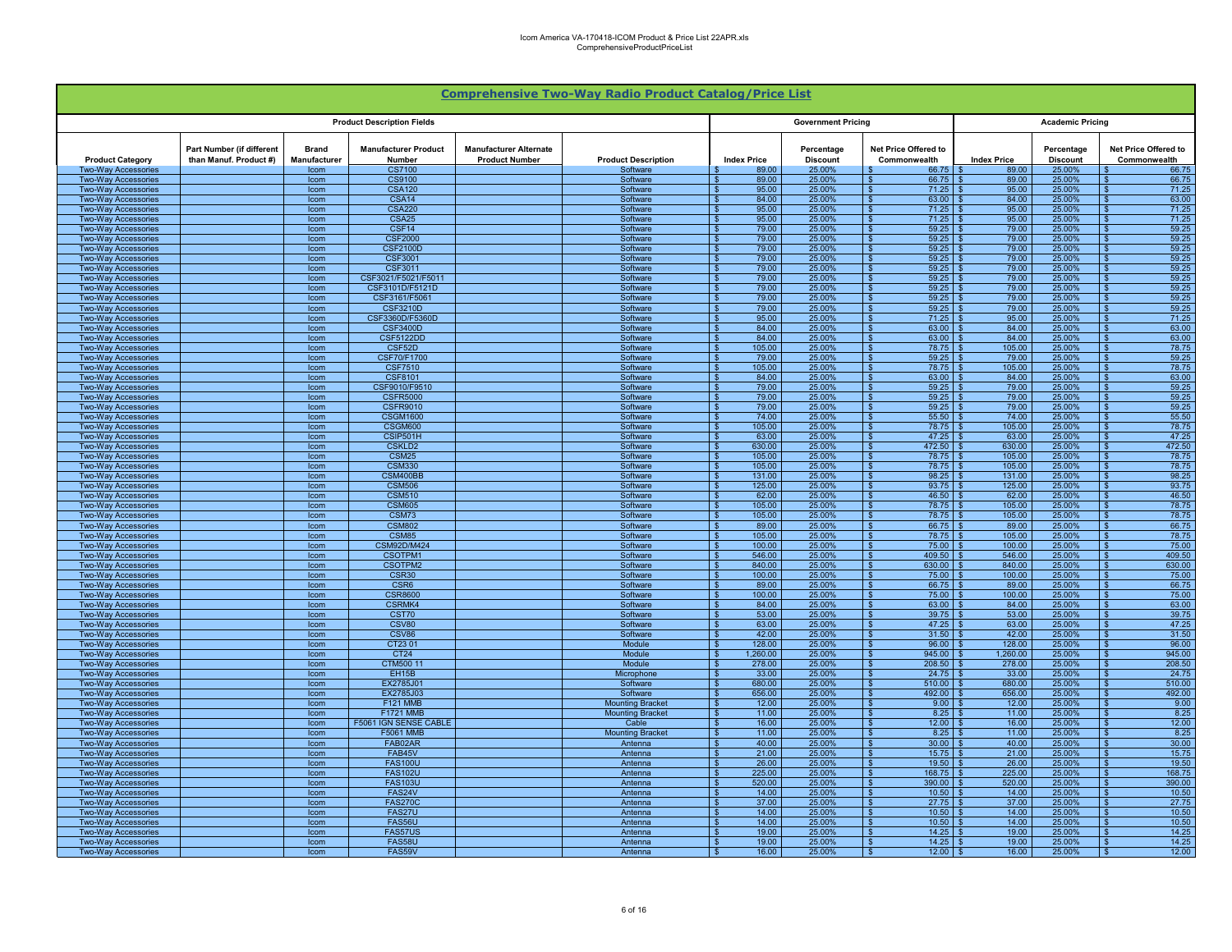|                                                          |                                                     |                                     |                                       |                                                        | <b>Comprehensive Two-Way Radio Product Catalog/Price List</b> |                                      |                               |                                                                     |                    |                               |                                                           |
|----------------------------------------------------------|-----------------------------------------------------|-------------------------------------|---------------------------------------|--------------------------------------------------------|---------------------------------------------------------------|--------------------------------------|-------------------------------|---------------------------------------------------------------------|--------------------|-------------------------------|-----------------------------------------------------------|
|                                                          |                                                     |                                     | <b>Product Description Fields</b>     |                                                        |                                                               |                                      | <b>Government Pricing</b>     |                                                                     |                    | <b>Academic Pricing</b>       |                                                           |
| <b>Product Category</b>                                  | Part Number (if different<br>than Manuf. Product #) | <b>Brand</b><br><b>Manufacturer</b> | <b>Manufacturer Product</b><br>Number | <b>Manufacturer Alternate</b><br><b>Product Number</b> | <b>Product Description</b>                                    | <b>Index Price</b>                   | Percentage<br><b>Discount</b> | Net Price Offered to<br>Commonwealth                                | <b>Index Price</b> | Percentage<br><b>Discount</b> | Net Price Offered to<br>Commonwealth                      |
| <b>Two-Way Accessories</b><br><b>Two-Way Accessories</b> |                                                     | Icom<br>Icom                        | <b>CS7100</b><br>CS9100               |                                                        | Software<br>Software                                          | 89.00<br>89.00                       | 25.00%<br>25.00%              | 66.75<br>66.75<br>- \$                                              | 89.00<br>89.00     | 25.00%<br>25.00%              | 66.75<br>66.75                                            |
| <b>Two-Way Accessories</b>                               |                                                     | Icom                                | <b>CSA120</b>                         |                                                        | Software                                                      | 95.00                                | 25.00%                        | 71.25<br><b>S</b>                                                   | 95.00              | 25.00%                        | 71.25                                                     |
| <b>Two-Way Accessories</b>                               |                                                     | Icom                                | CSA14                                 |                                                        | Software                                                      | 84.00                                | 25.00%                        | 63.00<br><b>S</b>                                                   | 84.00              | 25.00%                        | 63.00<br>$\overline{\mathbf{r}}$                          |
| <b>Two-Way Accessories</b>                               |                                                     | Icom                                | <b>CSA220</b>                         |                                                        | Software                                                      | 95.00<br>\$.                         | 25.00%                        | <b>S</b><br>71.25                                                   | 95.00              | 25.00%                        | $\overline{\mathbf{s}}$<br>71.25                          |
| <b>Two-Way Accessories</b><br><b>Two-Way Accessories</b> |                                                     | Icom<br>Icom                        | <b>CSA25</b><br>CSF <sub>14</sub>     |                                                        | Software<br>Software                                          | 95.00<br>£.<br>79.00                 | 25.00%<br>25.00%              | $\overline{\mathbf{s}}$<br>71.25<br>59.25<br><b>S</b>               | 95.00<br>79.00     | 25.00%<br>25.00%              | 71.25<br>$\overline{\mathbf{S}}$<br>59.25                 |
| <b>Two-Way Accessories</b>                               |                                                     | Icom                                | <b>CSF2000</b>                        |                                                        | Software                                                      | 79.00                                | 25.00%                        | 59.25<br><b>S</b>                                                   | 79.00              | 25.00%                        | 59.25<br>- \$                                             |
| <b>Two-Way Accessories</b>                               |                                                     | Icom                                | <b>CSF2100D</b>                       |                                                        | Software                                                      | 79.00                                | 25.00%                        | 59.25<br>∣\$                                                        | 79.00              | 25.00%                        | 59.25<br>-\$                                              |
| <b>Two-Way Accessories</b>                               |                                                     | Icom                                | CSF3001                               |                                                        | Software                                                      | 79.00                                | 25.00%                        | 59.25<br>$\mathbf{s}$                                               | 79.00              | 25.00%                        | 59.25<br>£.                                               |
| <b>Two-Way Accessories</b><br><b>Two-Way Accessories</b> |                                                     | <b>Icom</b><br>Icom                 | CSF3011<br>CSF3021/F5021/F5011        |                                                        | Software<br>Software                                          | 79.00<br>79.00                       | 25.00%<br>25.00%              | $\mathbf{s}$<br>59.25<br>59.25<br><b>S</b>                          | 79.00<br>79.00     | 25.00%<br>25.00%              | 59.25<br>$\mathbf{s}$<br>59.25                            |
| <b>Two-Way Accessories</b>                               |                                                     | Icom                                | CSF3101D/F5121D                       |                                                        | Software                                                      | 79.00                                | 25.00%                        | 59.25<br>$\sqrt{ }$                                                 | 79.00              | 25.00%                        | 59.25                                                     |
| <b>Two-Way Accessories</b>                               |                                                     | Icom                                | CSF3161/F5061                         |                                                        | Software                                                      | 79.00                                | 25.00%                        | <b>S</b><br>59.25                                                   | 79.00              | 25.00%                        | 59.25<br>$\hat{\mathbf{r}}$                               |
| <b>Two-Way Accessories</b>                               |                                                     | Icom                                | CSF3210D                              |                                                        | Software                                                      | 79.00                                | 25.00%                        | s  <br>59.25                                                        | 79.00              | 25.00%                        | 59.25<br>$\hat{\mathbf{r}}$                               |
| <b>Two-Way Accessories</b><br><b>Two-Wav Accessories</b> |                                                     | Icom<br>Icom                        | CSF3360D/F5360D<br><b>CSF3400D</b>    |                                                        | Software<br>Software                                          | 95.00<br>84.00<br>$\mathbf{\hat{x}}$ | 25.00%<br>25.00%              | <b>S</b><br>71.25<br><b>S</b><br>63.00                              | 95.00<br>84.00     | 25.00%<br>25.00%              | 71.25<br>$\mathbf{\hat{z}}$<br>63.00                      |
| <b>Two-Way Accessories</b>                               |                                                     | Icom                                | <b>CSF5122DD</b>                      |                                                        | Software                                                      | 84.00<br>- \$                        | 25.00%                        | 63.00<br><b>S</b>                                                   | 84.00              | 25.00%                        | 63.00                                                     |
| <b>Two-Way Accessories</b>                               |                                                     | Icom                                | CSF52D                                |                                                        | Software                                                      | 105.00<br>- \$                       | 25.00%                        | $\sqrt{3}$<br>$78.75$ \$                                            | 105.00             | 25.00%                        | 78.75<br>- \$                                             |
| <b>Two-Way Accessories</b>                               |                                                     | Icom                                | CSF70/F1700                           |                                                        | Software                                                      | 79.00<br>- \$                        | 25.00%                        | 59.25<br>∣\$                                                        | 79.00              | 25.00%                        | 59.25<br>\$.                                              |
| <b>Two-Way Accessories</b>                               |                                                     | Icom                                | <b>CSF7510</b><br><b>CSF8101</b>      |                                                        | Software                                                      | 105.00<br>-S                         | 25.00%<br>25.00%              | 78.75<br>$\mathbf{s}$                                               | 105.00<br>84.00    | 25.00%                        | 78.75<br>\$.<br>63.00                                     |
| <b>Two-Way Accessories</b><br><b>Two-Way Accessories</b> |                                                     | Icom<br>Icom                        | CSF9010/F9510                         |                                                        | Software<br>Software                                          | 84.00<br>S<br>79.00                  | 25.00%                        | 63.00<br>-S<br>59.25<br>$\mathbf{s}$                                | 79.00              | 25.00%<br>25.00%              | \$<br>59.25                                               |
| <b>Two-Way Accessories</b>                               |                                                     | Icom                                | <b>CSFR5000</b>                       |                                                        | Software                                                      | 79.00                                | 25.00%                        | 59.25<br>- \$                                                       | 79.00              | 25.00%                        | 59.25                                                     |
| Two-Way Accessories                                      |                                                     | Icom                                | <b>CSFR9010</b>                       |                                                        | Software                                                      | 79.00                                | 25.00%                        | 59.25<br>∣\$                                                        | 79.00              | 25.00%                        | 59.25<br>- \$                                             |
| <b>Two-Way Accessories</b>                               |                                                     | Icom                                | <b>CSGM1600</b>                       |                                                        | Software                                                      | 74.00                                | 25.00%                        | 55.50<br><b>S</b>                                                   | 74.00              | 25.00%                        | 55.50<br>$\overline{\mathbf{r}}$                          |
| <b>Two-Way Accessories</b><br><b>Two-Way Accessories</b> |                                                     | Icom<br>Icom                        | CSGM600<br>CSIP501H                   |                                                        | Software<br>Software                                          | 105.00<br>\$.<br>63.00<br>\$.        | 25.00%<br>25.00%              | <b>S</b><br>78.75<br>-\$<br>47.25                                   | 105.00<br>63.00    | 25.00%<br>25.00%              | $\overline{\mathbf{s}}$<br>78.75<br>47.25<br>$\mathbf{s}$ |
| <b>Two-Way Accessories</b>                               |                                                     | Icom                                | <b>CSKLD2</b>                         |                                                        | Software                                                      | 630.00<br>$\mathbf{s}$               | 25.00%                        | 472.50<br>∣\$                                                       | 630.00             | 25.00%                        | 472.50<br>$\mathbf{s}$                                    |
| <b>Two-Way Accessories</b>                               |                                                     | Icom                                | <b>CSM25</b>                          |                                                        | Software                                                      | 105.00<br>- \$                       | 25.00%                        | $\sqrt{s}$<br>$78.75$ \ \ \$                                        | 105.00             | 25.00%                        | 78.75<br>- \$                                             |
| <b>Two-Way Accessories</b>                               |                                                     | Icom                                | <b>CSM330</b>                         |                                                        | Software                                                      | 105.00<br>- \$                       | 25.00%                        | 78.75<br><b>S</b>                                                   | 105.00             | 25.00%                        | 78.75<br>S.                                               |
| <b>Two-Wav Accessories</b><br><b>Two-Wav Accessories</b> |                                                     | Icom<br><b>Icom</b>                 | CSM400BB<br><b>CSM506</b>             |                                                        | Software<br>Software                                          | 131.00<br>125.00                     | 25.00%<br>25.00%              | 98.25<br>∣\$<br><b>S</b><br>93.75                                   | 131.00<br>125.00   | 25.00%<br>25.00%              | 98.25<br>-96<br>93.75<br>$\mathbf{s}$                     |
| <b>Two-Way Accessories</b>                               |                                                     | Icom                                | <b>CSM510</b>                         |                                                        | Software                                                      | 62.00                                | 25.00%                        | 46.50<br>- \$                                                       | 62.00              | 25.00%                        | 46.50                                                     |
| <b>Two-Way Accessories</b>                               |                                                     | Icom                                | <b>CSM605</b>                         |                                                        | Software                                                      | 105.00                               | 25.00%                        | l \$<br>78.75                                                       | 105.00             | 25.00%                        | 78.75                                                     |
| <b>Two-Way Accessories</b>                               |                                                     | Icom                                | CSM73                                 |                                                        | Software                                                      | 105.00                               | 25.00%                        | s  <br>78.75                                                        | 105.00             | 25,00%                        | 78.75<br>$\mathbf{\hat{s}}$                               |
| <b>Two-Way Accessories</b>                               |                                                     | Icom                                | <b>CSM802</b>                         |                                                        | Software                                                      | 89.00                                | 25.00%                        | <b>S</b><br>66.75                                                   | 89.00              | 25.00%                        | 66.75                                                     |
| <b>Two-Wav Accessories</b><br><b>Two-Way Accessories</b> |                                                     | Icom<br>Icom                        | CSM85<br><b>CSM92D/M424</b>           |                                                        | Software<br>Software                                          | 105.00<br>100.00                     | 25.00%<br>25.00%              | <b>S</b><br>78.75<br>$\mathbf{S}$<br>75.00                          | 105.00<br>100.00   | 25.00%<br>25.00%              | 78.75<br>75.00                                            |
| <b>Two-Way Accessories</b>                               |                                                     | Icom                                | CSOTPM1                               |                                                        | Software                                                      | 546.00<br>- \$                       | 25.00%                        | 409.50<br><b>S</b>                                                  | 546.00             | 25.00%                        | 409.50                                                    |
| <b>Two-Way Accessories</b>                               |                                                     | Icom                                | CSOTPM2                               |                                                        | Software                                                      | 840.00<br><b>S</b>                   | 25.00%                        | $\mathbf{s}$<br>630.00                                              | 840.00             | 25.00%                        | 630.00<br>- \$                                            |
| <b>Two-Way Accessories</b>                               |                                                     | Icom                                | CSR30                                 |                                                        | Software                                                      | 100.00                               | 25.00%                        | 75.00<br>∣\$                                                        | 100.00             | 25.00%                        | 75.00<br>-S                                               |
| <b>Two-Way Accessories</b><br><b>Two-Way Accessories</b> |                                                     | Icom<br>Icom                        | CSR6<br><b>CSR8600</b>                |                                                        | Software<br>Software                                          | 89.00<br>100.00<br>-S                | 25.00%<br>25.00%              | 66.75<br>∣\$<br>75.00<br>- \$                                       | 89.00<br>100.00    | 25.00%<br>25.00%              | 66.75<br>75.00<br>\$                                      |
| <b>Two-Way Accessories</b>                               |                                                     | Icom                                | <b>CSRMK4</b>                         |                                                        | Software                                                      | 84.00                                | 25.00%                        | 63.00                                                               | 84.00              | 25.00%                        | 63.00                                                     |
| <b>Two-Way Accessories</b>                               |                                                     | Icom                                | CST70                                 |                                                        | Software                                                      | 53.00                                | 25.00%                        | 39.75<br><b>S</b>                                                   | 53.00              | 25.00%                        | 39.75                                                     |
| Two-Way Accessories                                      |                                                     | Icom                                | CSV80                                 |                                                        | Software                                                      | 63.00<br>42.00                       | 25.00%                        | 47.25<br><b>S</b><br><b>S</b>                                       | 63.00              | 25.00%                        | 47.25<br>£.<br>$\overline{\mathbf{r}}$                    |
| <b>Two-Way Accessories</b><br><b>Two-Way Accessories</b> |                                                     | Icom<br>Icom                        | CSV86<br>CT2301                       |                                                        | Software<br>Module                                            | -96<br>128.00<br>$\mathbf{s}$        | 25.00%<br>25.00%              | 31.50<br><b>S</b><br>96.00                                          | 42.00<br>128.00    | 25.00%<br>25.00%              | 31.50<br>96.00<br>$\overline{\mathbf{s}}$                 |
| <b>Two-Way Accessories</b>                               |                                                     | Icom                                | CT24                                  |                                                        | Module                                                        | 1,260.00<br>$\mathbf{s}$             | 25.00%                        | 945.00<br>∣\$                                                       | 1,260.00           | 25.00%                        | 945.00<br>$\mathbf{s}$                                    |
| <b>Two-Way Accessories</b>                               |                                                     | Icom                                | CTM500 11                             |                                                        | Module                                                        | 278.00<br>\$                         | 25.00%                        | 208.50<br>∣\$                                                       | 278.00             | 25.00%                        | 208.50<br>\$.                                             |
| <b>Two-Way Accessories</b>                               |                                                     | Icom                                | <b>EH15B</b>                          |                                                        | Microphone                                                    | 33.00<br>- \$                        | 25.00%                        | $24.75$ \$<br>$\sqrt{3}$                                            | 33.00              | 25.00%                        | 24.75<br>- \$                                             |
| <b>Two-Way Accessories</b><br><b>Two-Way Accessories</b> |                                                     | Icom<br>Icom                        | EX2785J01<br>EX2785J03                |                                                        | Software<br>Software                                          | 680.00<br>- \$<br>656.00             | 25.00%<br>25.00%              | 510.00<br>∣\$<br>492.00<br>$\mathbf{s}$                             | 680.00<br>656.00   | 25.00%<br>25.00%              | 510.00<br>- \$<br>492.00<br>\$.                           |
| <b>Two-Way Accessories</b>                               |                                                     | Icom                                | <b>F121 MMR</b>                       |                                                        | <b>Mounting Bracket</b>                                       | 12.00                                | 25.00%                        | 9.00<br>- \$                                                        | 1200               | 25.00%                        | 9.00<br>$\mathbf{s}$                                      |
| <b>Two-Way Accessories</b>                               |                                                     | Icom                                | <b>F1721 MMB</b>                      |                                                        | <b>Mounting Bracket</b>                                       | 11.00                                | 25.00%                        | 8.25<br>-\$                                                         | 11.00              | 25.00%                        | 8.25<br>$\mathbf{s}$                                      |
| <b>Two-Way Accessories</b>                               |                                                     | Icom                                | F5061 IGN SENSE CABLE                 |                                                        | Cable                                                         | 16.00                                | 25.00%                        | <b>S</b><br>12.00                                                   | 16.00              | 25.00%                        | 12.00<br>. ድ                                              |
| <b>Two-Way Accessories</b><br><b>Two-Way Accessories</b> |                                                     | Icom<br>Icom                        | <b>F5061 MMB</b><br>FAB02AR           |                                                        | <b>Mounting Bracke</b><br>Antenna                             | 11.00<br>40.00                       | 25.00%<br>25.00%              | $\overline{\mathbf{s}}$<br>8.25<br>$\overline{\mathbf{s}}$<br>30.00 | 11.00<br>40.00     | 25.00%<br>25.00%              | 8.25<br>$\hat{\mathbf{r}}$<br>30.00<br>$\mathbf{\hat{z}}$ |
| <b>Two-Wav Accessories</b>                               |                                                     | Icom                                | FAB45V                                |                                                        | Antenna                                                       | 21.00                                | 25.00%                        | <b>S</b><br>15.75                                                   | 21.00              | 25.00%                        | $\mathbf{\hat{z}}$<br>15.75                               |
| <b>Two-Way Accessories</b>                               |                                                     | Icom                                | <b>FAS100U</b>                        |                                                        | Antenna                                                       | $\mathbf{s}$<br>26.00                | 25.00%                        | 19.50<br>l \$                                                       | 26.00              | 25.00%                        | 19.50                                                     |
| <b>Two-Way Accessories</b>                               |                                                     | Icom                                | <b>FAS102U</b>                        |                                                        | Antenna                                                       | 225.00<br>- \$                       | 25.00%                        | 168.75<br>l \$                                                      | 225.00             | 25.00%                        | 168.75                                                    |
| <b>Two-Way Accessories</b>                               |                                                     | Icom                                | <b>FAS103U</b><br>FAS24V              |                                                        | Antenna                                                       | 520.00<br>- \$<br>14.00              | 25.00%                        | <b>S</b><br>390.00<br>10.50                                         | 520.00<br>14.00    | 25.00%<br>25.00%              | 390.00<br>- \$<br>10.50<br>-S                             |
| <b>Two-Way Accessories</b><br><b>Two-Way Accessories</b> |                                                     | Icom<br>Icom                        | <b>FAS270C</b>                        |                                                        | Antenna<br>Antenna                                            | 37.00                                | 25.00%<br>25.00%              | ∣\$<br>27.75<br>- \$                                                | 37.00              | 25.00%                        | 27.75                                                     |
| <b>Two-Way Accessories</b>                               |                                                     | Icom                                | FAS27U                                |                                                        | Antenna                                                       | 14.00                                | 25.00%                        | 10.50<br>- \$                                                       | 14.00              | 25.00%                        | 10.50                                                     |
| <b>Two-Way Accessories</b>                               |                                                     | Icom                                | <b>FAS56U</b>                         |                                                        | Antenna                                                       | 14.00                                | 25.00%                        | 10.50                                                               | 14.00              | 25.00%                        | 10.50                                                     |
| <b>Two-Way Accessories</b>                               |                                                     | Icom<br>Icom                        | FAS57US<br>FAS58U                     |                                                        | Antenna<br>Antenna                                            | 19.00<br>19.00                       | 25.00%<br>25.00%              | 14.25<br>l S<br>14.25                                               | 19.00<br>19.00     | 25.00%<br>25.00%              | 14.25<br>14.25                                            |
| Two-Way Accessories<br><b>Two-Way Accessories</b>        |                                                     | Icom                                | FAS59V                                |                                                        | Antenna                                                       | 16.00<br>$\mathbf{s}$                | 25.00%                        | $\overline{\mathbf{s}}$<br>12.00                                    | 16.00              | 25.00%                        | 12.00<br>$\mathbf{s}$                                     |
|                                                          |                                                     |                                     |                                       |                                                        |                                                               |                                      |                               |                                                                     |                    |                               |                                                           |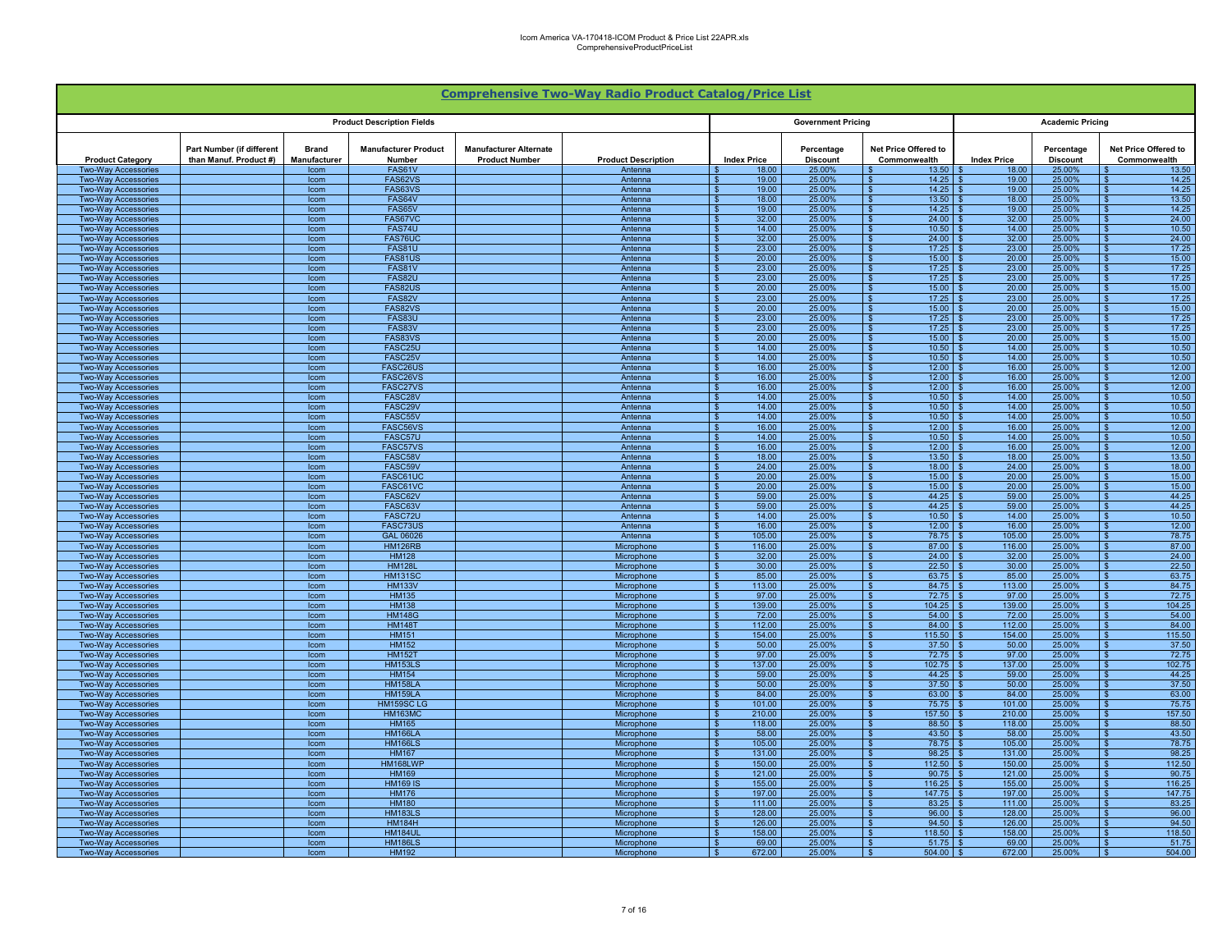|                                                          |                                                     |                              |                                       |                                                        | <b>Comprehensive Two-Way Radio Product Catalog/Price List</b> |                                         |                               |                                          |                         |                               |                                                            |
|----------------------------------------------------------|-----------------------------------------------------|------------------------------|---------------------------------------|--------------------------------------------------------|---------------------------------------------------------------|-----------------------------------------|-------------------------------|------------------------------------------|-------------------------|-------------------------------|------------------------------------------------------------|
|                                                          |                                                     |                              | <b>Product Description Fields</b>     |                                                        |                                                               | <b>Government Pricing</b>               |                               |                                          | <b>Academic Pricing</b> |                               |                                                            |
| <b>Product Category</b>                                  | Part Number (if different<br>than Manuf. Product #) | <b>Brand</b><br>Manufacturer | <b>Manufacturer Product</b><br>Number | <b>Manufacturer Alternate</b><br><b>Product Number</b> | <b>Product Description</b>                                    | <b>Index Price</b>                      | Percentage<br><b>Discount</b> | Net Price Offered to<br>Commonwealth     | <b>Index Price</b>      | Percentage<br><b>Discount</b> | Net Price Offered to<br>Commonwealth                       |
| <b>Two-Way Accessories</b>                               |                                                     | Icom                         | FAS61V                                |                                                        | Antenna                                                       | 18.00                                   | 25.00%                        | 13.50                                    | 18.00<br>19.00          | 25.00%                        | 13.50                                                      |
| Two-Way Accessories<br><b>Two-Way Accessories</b>        |                                                     | Icom<br>Icom                 | FAS62VS<br>FAS63VS                    |                                                        | Antenna<br>Antenna                                            | 19.00<br>19.00                          | 25.00%<br>25.00%              | 14.25<br>∣ \$<br>14.25<br>∣ s            | 19.00                   | 25.00%<br>25.00%              | 14.25<br>14.25<br>$\overline{\mathbf{r}}$                  |
| <b>Two-Way Accessories</b>                               |                                                     | Icom                         | FAS64V                                |                                                        | Antenna                                                       | 18.00<br>\$.                            | 25.00%                        | <b>S</b><br>13.50                        | 18.00                   | 25.00%                        | $\overline{\mathbf{s}}$<br>13.50                           |
| <b>Two-Way Accessories</b>                               |                                                     | Icom                         | FAS65V                                |                                                        | Antenna                                                       | 19.00                                   | 25.00%                        | 14.25<br>-\$                             | 19.00                   | 25.00%                        | 14.25<br>$\mathbf{s}$                                      |
| <b>Two-Way Accessories</b>                               |                                                     | Icom                         | FAS67VC                               |                                                        | Antenna                                                       | 32.00                                   | 25.00%                        | 24.00<br><b>S</b>                        | 32.00                   | 25.00%                        | 24.00<br>$\mathbf{s}$                                      |
| <b>Two-Way Accessories</b><br><b>Two-Way Accessories</b> |                                                     | Icom<br>Icom                 | FAS74U<br>FAS76UC                     |                                                        | Antenna<br>Antenna                                            | 14.00<br>- \$<br>32.00                  | 25.00%<br>25.00%              | 10.50<br>$\mathbf{s}$<br>24.00<br>∣\$    | 14.00<br>32.00          | 25.00%<br>25.00%              | 10.50<br><b>S</b><br>24.00<br>\$.                          |
| <b>Two-Way Accessories</b>                               |                                                     | Icom                         | <b>FAS81U</b>                         |                                                        | Antenna                                                       | 23.00                                   | 25.00%                        | 17.25<br>$\mathbf{s}$                    | 23.00                   | 25.00%                        | 17.25<br>$\mathbf{\hat{f}}$                                |
| <b>Two-Wav Accessories</b>                               |                                                     | Icom                         | FAS81US                               |                                                        | Antenna                                                       | 20.00                                   | 25.00%                        | $\mathbf{s}$<br>15.00                    | 20.00                   | 25.00%                        | 15.00<br>$\mathbf{s}$                                      |
| <b>Two-Way Accessories</b>                               |                                                     | Icom                         | FAS81V                                |                                                        | Antenna                                                       | 23.00                                   | 25.00%                        | 17.25                                    | 23.00                   | 25.00%                        | 17.25                                                      |
| <b>Two-Way Accessories</b><br><b>Two-Way Accessories</b> |                                                     | Icom<br>Icom                 | <b>FAS82U</b><br>FAS82US              |                                                        | Antenna<br>Antenna                                            | 23.00<br>20.00                          | 25.00%<br>25.00%              | l \$<br>17.25<br>15.00<br><b>S</b>       | 23.00<br>20.00          | 25.00%<br>25.00%              | 17.25<br>15.00<br>. ድ                                      |
| <b>Two-Way Accessories</b>                               |                                                     | Icom                         | FAS82V                                |                                                        | Antenna                                                       | 23.00                                   | 25.00%                        | $\overline{\mathbf{s}}$<br>17.25         | 23.00                   | 25.00%                        | 17.25<br>$\mathbf{\hat{z}}$                                |
| <b>Two-Way Accessories</b>                               |                                                     | Icom                         | FAS82VS                               |                                                        | Antenna                                                       | 20.00<br>\$.                            | 25.00%                        | $\sqrt{3}$<br>15.00                      | 20.00                   | 25.00%                        | $\overline{\mathbf{s}}$<br>15.00                           |
| <b>Two-Way Accessories</b>                               |                                                     | Icom                         | <b>FAS83U</b>                         |                                                        | Antenna                                                       | 23.00<br>£.                             | 25.00%                        | $\sqrt{s}$<br>17.25                      | 23.00                   | 25.00%                        | $\overline{\mathbf{s}}$<br>17.25                           |
| <b>Two-Way Accessories</b><br><b>Two-Way Accessories</b> |                                                     | Icom<br>Icom                 | FAS83V<br>FAS83VS                     |                                                        | Antenna<br>Antenna                                            | 23.00<br>$\mathbf{s}$<br>20.00<br>- \$  | 25.00%<br>25.00%              | 17.25<br>l \$<br><b>S</b><br>15.00       | 23.00<br>20.00          | 25.00%<br>25.00%              | 17.25<br>$\mathbf{s}$<br>15.00<br>- \$                     |
| Two-Way Accessories                                      |                                                     | Icom                         | FASC25U                               |                                                        | Antenna                                                       | 14.00<br>- \$                           | 25.00%                        | 10.50<br>$\sqrt{3}$                      | 14.00                   | 25.00%                        | 10.50<br>-SS                                               |
| <b>Two-Way Accessories</b>                               |                                                     | Icom                         | FASC25V                               |                                                        | Antenna                                                       | 14.00<br>- \$                           | 25.00%                        | 10.50<br>∣\$                             | 14.00                   | 25.00%                        | 10.50<br>- \$                                              |
| <b>Two-Way Accessories</b>                               |                                                     | Icom                         | FASC26US                              |                                                        | Antenna                                                       | 16.00<br>- \$                           | 25.00%                        | 12.00<br>$\mathbf{s}$                    | 16.00                   | 25.00%                        | 12.00<br>-SS                                               |
| <b>Two-Way Accessories</b>                               |                                                     | Icom                         | FASC26VS                              |                                                        | Antenna                                                       | 16.00                                   | 25.00%                        | 12.00<br>- \$                            | 1600                    | 25.00%                        | 12.00<br>£.                                                |
| <b>Two-Way Accessories</b><br><b>Two-Way Accessories</b> |                                                     | Icom<br>Icom                 | FASC27VS<br>FASC28V                   |                                                        | Antenna<br>Antenna                                            | 16.00<br>14.00                          | 25.00%<br>25.00%              | 12.00<br>10.50<br>l \$                   | 16.00<br>14.00          | 25.00%<br>25.00%              | 12.00<br>10.50                                             |
| <b>Two-Way Accessories</b>                               |                                                     | Icom                         | FASC29V                               |                                                        | Antenna                                                       | 14.00                                   | 25.00%                        | 10.50<br><b>S</b>                        | 14.00                   | 25.00%                        | 10.50<br>$\hat{\mathbf{r}}$                                |
| <b>Two-Way Accessories</b>                               |                                                     | Icom                         | FASC55V                               |                                                        | Antenna                                                       | 14.00                                   | 25.00%                        | $\overline{\mathbf{s}}$<br>10.50         | 14.00                   | 25.00%                        | 10.50                                                      |
| <b>Two-Way Accessories</b>                               |                                                     | Icom                         | FASC56VS                              |                                                        | Antenna                                                       | 16.00                                   | 25.00%                        | $\mathbf{s}$<br>12.00                    | 16.00                   | 25.00%                        | \$.<br>12.00                                               |
| <b>Two-Way Accessories</b><br><b>Two-Way Accessories</b> |                                                     | Icom<br>Icom                 | FASC57U<br>FASC57VS                   |                                                        | Antenna<br>Antenna                                            | 14.00<br>16.00                          | 25.00%<br>25.00%              | 10.50<br>∣\$<br>12.00<br>l \$            | 14.00<br>16.00          | 25.00%<br>25.00%              | 10.50<br>12.00                                             |
| <b>Two-Way Accessories</b>                               |                                                     | Icom                         | FASC58V                               |                                                        | Antenna                                                       | 18.00                                   | 25.00%                        | 13.50<br>$\mathbf{s}$                    | 18.00                   | 25.00%                        | 13.50<br>- \$                                              |
| <b>Two-Way Accessories</b>                               |                                                     | Icom                         | FASC59V                               |                                                        | Antenna                                                       | 24.00                                   | 25.00%                        | 18.00<br>$\sqrt{s}$                      | 24.00                   | 25.00%                        | 18.00<br>\$.                                               |
| <b>Two-Way Accessories</b>                               |                                                     | Icom                         | FASC61UC                              |                                                        | Antenna                                                       | 20.00                                   | 25.00%                        | 15.00<br>$\mathbf{s}$                    | 20.00                   | 25.00%                        | 15.00<br>-96                                               |
| <b>Two-Wav Accessories</b>                               |                                                     | <b>Icom</b>                  | FASC61VC                              |                                                        | Antenna                                                       | 20.00<br>59.00                          | 25.00%                        | 15.00<br>∣\$<br>44.25                    | 20.00<br>59.00          | 25.00%                        | 15.00<br>$\mathbf{s}$<br>44.25                             |
| <b>Two-Way Accessories</b><br>Two-Way Accessories        |                                                     | Icom<br>Icom                 | FASC62V<br>FASC63V                    |                                                        | Antenna<br>Antenna                                            | 59.00                                   | 25.00%<br>25.00%              | 44.25<br>l S                             | 59.00                   | 25.00%<br>25.00%              | 44.25<br>-96                                               |
| <b>Two-Way Accessories</b>                               |                                                     | Icom                         | FASC72U                               |                                                        | Antenna                                                       | 14.00                                   | 25.00%                        | <b>S</b><br>10.50                        | 14.00                   | 25.00%                        | 10.50                                                      |
| <b>Two-Way Accessories</b>                               |                                                     | Icom                         | FASC73US                              |                                                        | Antenna                                                       | 16.00<br>- \$                           | 25.00%                        | Γs<br>12.00                              | 16.00                   | 25.00%                        | 12.00<br>$\mathcal{R}$                                     |
| <b>Two-Way Accessories</b>                               |                                                     | Icom                         | GAL 06026                             |                                                        | Antenna                                                       | 105.00<br>£.                            | 25.00%                        | <b>S</b><br>78.75                        | 105.00                  | 25.00%                        | 78.75<br>$\mathbf{s}$                                      |
| <b>Two-Way Accessories</b><br><b>Two-Way Accessories</b> |                                                     | Icom<br>Icom                 | <b>HM126RB</b><br><b>HM128</b>        |                                                        | Microphone<br>Microphone                                      | 116.00<br>32.00                         | 25.00%<br>25.00%              | $\sqrt{s}$<br>87.00<br>24.00<br><b>S</b> | 116.00<br>32.00         | 25.00%<br>25.00%              | $\overline{\mathbf{r}}$<br>87.00<br>24.00                  |
| <b>Two-Way Accessories</b>                               |                                                     | Icom                         | <b>HM128L</b>                         |                                                        | Microphone                                                    | 30.00<br>- \$                           | 25.00%                        | <b>S</b><br>22.50                        | 30.00                   | 25.00%                        | 22.50<br>- \$                                              |
| <b>Two-Way Accessories</b>                               |                                                     | Icom                         | <b>HM131SC</b>                        |                                                        | Microphone                                                    | 85.00                                   | 25.00%                        | 63.75<br>∣\$                             | 85.00                   | 25.00%                        | 63.75<br>-96                                               |
| <b>Two-Way Accessories</b>                               |                                                     | Icom                         | <b>HM133V</b>                         |                                                        | Microphone                                                    | 113.00                                  | 25.00%                        | 84.75<br>- \$                            | 113.00                  | 25.00%                        | 84.75                                                      |
| <b>Two-Way Accessories</b><br><b>Two-Way Accessories</b> |                                                     | Icom<br>Icom                 | <b>HM135</b><br><b>HM138</b>          |                                                        | Microphone<br>Microphone                                      | 97.00<br>139.00                         | 25.00%<br>25.00%              | 72.75<br>-\$<br>104.25<br>$\mathbf{S}$   | 97.00<br>139.00         | 25.00%<br>25.00%              | 72.75<br>-S<br>104.25                                      |
| <b>Two-Way Accessories</b>                               |                                                     | Icom                         | <b>HM148G</b>                         |                                                        | Microphone                                                    | 72.00                                   | 25.00%                        | 54.00                                    | 72.00                   | 25.00%                        | 54.00                                                      |
| <b>Two-Way Accessories</b>                               |                                                     | Icom                         | <b>HM148T</b>                         |                                                        | Microphone                                                    | 112.00                                  | 25.00%                        | 84.00<br>$\mathbf{\hat{s}}$              | 112.00                  | 25.00%                        | 84.00                                                      |
| <b>Two-Way Accessories</b>                               |                                                     | Icom                         | <b>HM151</b>                          |                                                        | Microphone                                                    | 154.00                                  | 25.00%                        | $\overline{\mathbf{s}}$<br>115.50        | 154.00                  | 25.00%                        | 115.50<br>$\hat{\mathbf{r}}$                               |
| <b>Two-Way Accessories</b>                               |                                                     | Icom                         | <b>HM152</b>                          |                                                        | Microphone                                                    | 50.00                                   | 25.00%                        | $\overline{\mathbf{s}}$<br>37.50         | 50.00                   | 25.00%                        | 37.50                                                      |
| <b>Two-Wav Accessories</b><br><b>Two-Way Accessories</b> |                                                     | Icom<br>Icom                 | <b>HM152T</b><br><b>HM153LS</b>       |                                                        | Microphone<br>Microphone                                      | 97.00<br>137.00                         | 25.00%<br>25.00%              | <b>S</b><br>72.75<br>102.75<br>∣\$       | 97.00<br>137.00         | 25.00%<br>25.00%              | 72.75<br>102.75                                            |
| <b>Two-Way Accessories</b>                               |                                                     | Icom                         | <b>HM154</b>                          |                                                        | Microphone                                                    | 59.00<br>- \$                           | 25.00%                        | $\sqrt{3}$<br>44.25                      | 59.00                   | 25.00%                        | 44.25<br>- \$                                              |
| <b>Two-Way Accessories</b>                               |                                                     | Icom                         | <b>HM158LA</b>                        |                                                        | Microphone                                                    | 50.00<br>- \$                           | 25.00%                        | 37.50<br>∣\$                             | 50.00                   | 25.00%                        | 37.50<br>- \$                                              |
| <b>Two-Way Accessories</b>                               |                                                     | Icom                         | <b>HM159LA</b>                        |                                                        | Microphone                                                    | 84.00                                   | 25.00%                        | 63.00<br>$\mathbf{s}$                    | 84.00                   | 25.00%                        | 63.00<br>\$.                                               |
| <b>Two-Way Accessories</b><br><b>Two-Way Accessories</b> |                                                     | Icom<br>Icom                 | HM159SC LG<br><b>HM163MC</b>          |                                                        | Microphone<br>Microphone                                      | 101.00<br>210.00                        | 25.00%<br>25.00%              | 75.75<br>- \$<br>-\$<br>157.50           | 101.00<br>210.00        | 25.00%<br>25.00%              | 75.75<br>$\mathbf{s}$<br>157.50<br>$\mathbf{s}$            |
| <b>Two-Way Accessories</b>                               |                                                     | Icom                         | <b>HM165</b>                          |                                                        | Microphone                                                    | 118.00                                  | 25.00%                        | 88.50                                    | 118.00                  | 25.00%                        | 88.50                                                      |
| Two-Way Accessories                                      |                                                     | Icom                         | <b>HM166LA</b>                        |                                                        | Microphone                                                    | 58.00                                   | 25.00%                        | 43.50<br>l S                             | 58.00                   | 25.00%                        | 43.50<br>-8                                                |
| <b>Two-Way Accessories</b>                               |                                                     | Icom                         | <b>HM166LS</b>                        |                                                        | Microphone                                                    | 105.00                                  | 25.00%                        | 78.75<br>∣ s                             | 105.00                  | 25.00%                        | 78.75<br>$\mathbf{\hat{z}}$                                |
| <b>Two-Way Accessories</b>                               |                                                     | Icom                         | <b>HM167</b>                          |                                                        | Microphone                                                    | 131.00<br>\$.                           | 25.00%<br>25.00%              | S.<br>98.25                              | 131.00<br>150.00        | 25.00%                        | $\overline{\mathbf{s}}$<br>98.25<br>112.50<br>$\mathbf{s}$ |
| <b>Two-Way Accessories</b><br><b>Two-Way Accessories</b> |                                                     | Icom<br>Icom                 | HM168LWF<br><b>HM169</b>              |                                                        | Microphone<br>Microphone                                      | 150.00<br>\$.<br>121.00<br>$\mathbf{s}$ | 25.00%                        | $\sqrt{s}$<br>112.50<br>90.75<br>∣\$     | 121.00                  | 25.00%<br>25.00%              | 90.75                                                      |
| <b>Two-Way Accessories</b>                               |                                                     | Icom                         | <b>HM169 IS</b>                       |                                                        | Microphone                                                    | 155.00<br>- \$                          | 25.00%                        | 116.25<br>l S                            | 155.00                  | 25.00%                        | 116.25<br>- \$                                             |
| <b>Two-Way Accessories</b>                               |                                                     | Icom                         | <b>HM176</b>                          |                                                        | Microphone                                                    | 197.00                                  | 25.00%                        | 147.75<br>l S                            | 197.00                  | 25.00%                        | 147.75<br>-96                                              |
| <b>Two-Way Accessories</b>                               |                                                     | Icom                         | <b>HM180</b>                          |                                                        | Microphone                                                    | 111.00                                  | 25.00%                        | 83.25<br>- \$                            | 111.00                  | 25.00%                        | 83.25                                                      |
| <b>Two-Way Accessories</b><br><b>Two-Way Accessories</b> |                                                     | Icom<br>Icom                 | <b>HM183LS</b><br><b>HM184H</b>       |                                                        | Microphone<br>Microphone                                      | 128.00<br>126.00                        | 25.00%<br>25.00%              | 96.00<br>- \$<br>94.50                   | 128.00<br>126.00        | 25.00%<br>25.00%              | 96.00<br>94.50                                             |
| Two-Wav Accessories                                      |                                                     | Icom                         | <b>HM184U</b>                         |                                                        | Microphone                                                    | 158.00                                  | 25.00%                        | 118.50                                   | 158.00                  | 25.00%                        | 118.50                                                     |
| <b>Two-Way Accessories</b>                               |                                                     | Icom                         | <b>HM186LS</b>                        |                                                        | Microphone                                                    | 69.00                                   | 25.00%                        | $\mathbf{s}$<br>51.75                    | 69.00                   | 25.00%                        | 51.75                                                      |
| <b>Two-Way Accessories</b>                               |                                                     | Icom                         | <b>HM192</b>                          |                                                        | Microphone                                                    | 672.00                                  | 25.00%                        | 504.00<br>$\mathbf{s}$                   | 672.00                  | 25.00%                        | 504.00                                                     |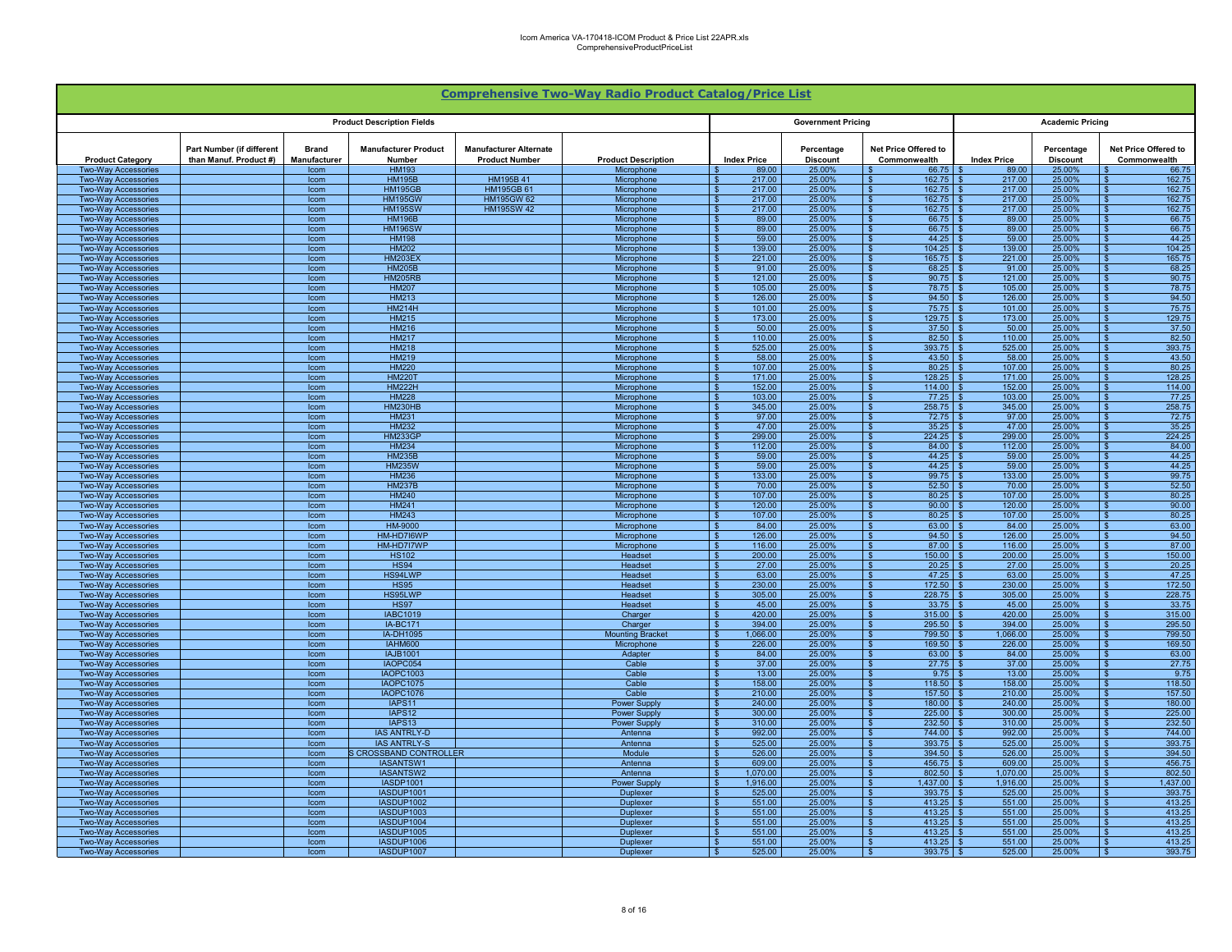|                                                          |                                                     |                              |                                          |                                                        | <b>Comprehensive Two-Way Radio Product Catalog/Price List</b> |                                             |                               |                                            |                    |                               |                                              |
|----------------------------------------------------------|-----------------------------------------------------|------------------------------|------------------------------------------|--------------------------------------------------------|---------------------------------------------------------------|---------------------------------------------|-------------------------------|--------------------------------------------|--------------------|-------------------------------|----------------------------------------------|
|                                                          |                                                     |                              | <b>Product Description Fields</b>        |                                                        |                                                               |                                             | <b>Government Pricing</b>     |                                            |                    | <b>Academic Pricing</b>       |                                              |
| <b>Product Category</b>                                  | Part Number (if different<br>than Manuf. Product #) | <b>Brand</b><br>Manufacturer | <b>Manufacturer Product</b><br>Number    | <b>Manufacturer Alternate</b><br><b>Product Number</b> | <b>Product Description</b>                                    | <b>Index Price</b>                          | Percentage<br><b>Discount</b> | Net Price Offered to<br>Commonwealth       | <b>Index Price</b> | Percentage<br><b>Discount</b> | Net Price Offered to<br>Commonwealth         |
| <b>Two-Way Accessories</b>                               |                                                     | Icom                         | <b>HM193</b>                             |                                                        | Microphone                                                    | 89.00                                       | 25.00%                        | 66.75                                      | 89.00              | 25.00%                        | 66.75                                        |
| Two-Way Accessories<br><b>Two-Way Accessories</b>        |                                                     | Icom<br>Icom                 | <b>HM195B</b><br><b>HM195GB</b>          | HM195B 41<br><b>HM195GB 61</b>                         | Microphone<br>Microphone                                      | 217.00<br>217.00<br>$\mathbf{\hat{R}}$      | 25.00%<br>25.00%              | 162.75<br>162.75                           | 217.00<br>217.00   | 25.00%<br>25.00%              | 162.75<br>162.75                             |
| <b>Two-Way Accessories</b>                               |                                                     | Icom                         | <b>HM195GW</b>                           | <b>HM195GW 62</b>                                      | Microphone                                                    | 217.00<br>$\mathbf{\hat{s}}$                | 25.00%                        | 162.75<br>. ድ                              | 217.00             | 25.00%                        | 162.75                                       |
| <b>Two-Way Accessories</b>                               |                                                     | Icom                         | <b>HM195SW</b>                           | <b>HM195SW 42</b>                                      | Microphone                                                    | $\mathbf{s}$<br>217.00                      | 25.00%                        | 162.75                                     | 217.00             | 25.00%                        | 162.75                                       |
| <b>Two-Way Accessories</b>                               |                                                     | Icom                         | <b>HM196B</b>                            |                                                        | Microphone                                                    | 89.00<br>- \$                               | 25.00%                        | 66.75<br>- \$                              | 89.00              | 25.00%                        | 66.75                                        |
| <b>Two-Way Accessories</b><br><b>Two-Way Accessories</b> |                                                     | Icom<br>Icom                 | <b>HM196SW</b><br><b>HM198</b>           |                                                        | Microphone<br>Microphone                                      | 89.00<br>- \$<br>59.00<br>- \$              | 25.00%<br>25.00%              | $66.75$ \$<br>l \$<br>44.25<br>- \$        | 89.00<br>59.00     | 25.00%<br>25.00%              | 66.75<br>l \$<br>44.25<br>- \$               |
| <b>Two-Way Accessories</b>                               |                                                     | Icom                         | HM202                                    |                                                        | Microphone                                                    | 139.00<br>$\mathbf{\hat{z}}$                | 25.00%                        | 104.25<br>- \$                             | 139.00             | 25.00%                        | 104.25<br>$\mathbf{\hat{S}}$                 |
| <b>Two-Wav Accessories</b>                               |                                                     | Icom                         | <b>HM203EX</b>                           |                                                        | Microphone                                                    | 221.00<br>$\mathbf{\hat{s}}$                | 25.00%                        | 165.75                                     | 221.00             | 25.00%                        | 165.75<br>$\mathbf{\hat{s}}$                 |
| <b>Two-Way Accessories</b>                               |                                                     | Icom                         | <b>HM205B</b>                            |                                                        | Microphone                                                    | 91.00                                       | 25.00%                        | 68.25                                      | 91.00              | 25.00%                        | 68.25                                        |
| <b>Two-Way Accessories</b><br><b>Two-Way Accessories</b> |                                                     | Icom<br>Icom                 | <b>HM205RB</b><br><b>HM207</b>           |                                                        | Microphone<br>Microphone                                      | 121.00<br>105.00<br>- ¢                     | 25.00%<br>25.00%              | 90.75<br>78.75                             | 121.00<br>105.00   | 25.00%<br>25.00%              | 90.75<br>78.75                               |
| <b>Two-Wav Accessories</b>                               |                                                     | Icom                         | <b>HM213</b>                             |                                                        | Microphone                                                    | 126.00<br>. ድ                               | 25.00%                        | 94.50<br>$\mathbf{S}$                      | 126.00             | 25.00%                        | 94.50                                        |
| Two-Way Accessories                                      |                                                     | Icom                         | <b>HM214H</b>                            |                                                        | Microphone                                                    | 101.00<br>$\mathbf{S}$                      | 25.00%                        | 75.75                                      | 101.00             | 25.00%                        | 75.75                                        |
| <b>Two-Wav Accessories</b>                               |                                                     | Icom                         | <b>HM215</b>                             |                                                        | Microphone                                                    | $\mathbf{\hat{S}}$<br>173.00                | 25.00%                        | $\mathbf{s}$<br>129.75                     | 173.00             | 25.00%                        | 129.75                                       |
| <b>Two-Way Accessories</b>                               |                                                     | Icom                         | <b>HM216</b>                             |                                                        | Microphone                                                    | 50.00<br>- \$                               | 25.00%                        | 37.50                                      | 50.00              | 25.00%                        | 37.50                                        |
| <b>Two-Way Accessories</b><br><b>Two-Way Accessories</b> |                                                     | Icom<br>Icom                 | <b>HM217</b><br><b>HM218</b>             |                                                        | Microphone<br>Microphone                                      | 110.00<br>- \$<br>525.00<br>- \$            | 25.00%<br>25.00%              | $82.50$ \$<br>l S<br>$393.75$ \$<br>l S    | 110.00<br>525.00   | 25.00%<br>25.00%              | 82.50<br>393.75<br>- \$                      |
| <b>Two-Way Accessories</b>                               |                                                     | Icom                         | <b>HM219</b>                             |                                                        | Microphone                                                    | 58.00<br>- \$                               | 25.00%                        | 43.50<br>- \$                              | 58.00              | 25.00%                        | 43.50<br>-96                                 |
| <b>Two-Way Accessories</b>                               |                                                     | Icom                         | <b>HM220</b>                             |                                                        | Microphone                                                    | 107.00<br>$\mathbf{s}$                      | 25.00%                        | 80.25<br>- S                               | 107.00<br>- \$     | 25.00%                        | 80.25<br>- \$                                |
| <b>Two-Way Accessories</b>                               |                                                     | Icom                         | <b>HM220T</b>                            |                                                        | Microphone                                                    | 171.00<br>- \$                              | 25.00%                        | 128.25                                     | 171.00             | 25.00%                        | 128.25                                       |
| <b>Two-Way Accessories</b>                               |                                                     | Icom                         | <b>HM222H</b><br><b>HM228</b>            |                                                        | Microphone                                                    | 152.00<br>103.00<br>- \$                    | 25.00%<br>25.00%              | 114.00<br>77.25                            | 152.00<br>103.00   | 25.00%<br>25.00%              | 114.00<br>77.25                              |
| Two-Way Accessories<br>Two-Way Accessories               |                                                     | Icom<br>Icom                 | <b>HM230HB</b>                           |                                                        | Microphone<br>Microphone                                      | 345.00<br>$\mathbf{F}$                      | 25.00%                        | 258.75                                     | 345.00             | 25.00%                        | 258.75                                       |
| <b>Two-Way Accessories</b>                               |                                                     | Icom                         | <b>HM231</b>                             |                                                        | Microphone                                                    | 97.00<br>- \$                               | 25.00%                        | 72.75<br>- \$                              | 97.00              | 25.00%                        | 72.75<br>$\mathbf{\hat{R}}$                  |
| <b>Two-Way Accessories</b>                               |                                                     | Icom                         | <b>HM232</b>                             |                                                        | Microphone                                                    | $\overline{\mathbf{s}}$<br>47.00            | 25.00%                        | 35.25                                      | 47.00              | 25.00%                        | 35.25                                        |
| <b>Two-Way Accessories</b>                               |                                                     | Icom                         | <b>HM233GP</b>                           |                                                        | Microphone                                                    | 299.00<br>- \$                              | 25.00%                        | 224.25<br>- \$                             | 299.00             | 25.00%                        | 224.25                                       |
| <b>Two-Way Accessories</b><br><b>Two-Way Accessories</b> |                                                     | Icom<br>Icom                 | <b>HM234</b><br><b>HM235B</b>            |                                                        | Microphone<br>Microphone                                      | 112.00<br>- \$<br>59.00<br>- \$             | 25.00%<br>25.00%              | $84.00$ \$<br>l \$<br>$44.25$ \$<br>ΙSΙ    | 112.00<br>59.00    | 25.00%<br>25.00%              | 84.00<br>- \$<br>44.25<br>l S                |
| <b>Two-Way Accessories</b>                               |                                                     | Icom                         | <b>HM235W</b>                            |                                                        | Microphone                                                    | 59.00<br>- \$                               | 25.00%                        | 44.25<br>l \$                              | 59.00              | 25.00%                        | 44.25<br>- \$                                |
| <b>Two-Wav Accessories</b>                               |                                                     | Icom                         | <b>HM236</b>                             |                                                        | Microphone                                                    | 133.00<br>$\mathbf{\hat{s}}$                | 25.00%                        | 99.75<br>- \$                              | 133.00             | 25.00%                        | 99.75<br>- \$                                |
| <b>Two-Way Accessories</b>                               |                                                     | Icom                         | <b>HM237B</b>                            |                                                        | Microphone                                                    | 70.00                                       | 25.00%                        | 52.50                                      | 70.00              | 25.00%                        | 52.50                                        |
| <b>Two-Way Accessories</b><br><b>Two-Way Accessories</b> |                                                     | Icom<br>Icom                 | <b>HM240</b><br><b>HM241</b>             |                                                        | Microphone<br>Microphone                                      | 107.00<br>$\mathcal{F}$<br>120.00           | 25.00%<br>25.00%              | 80.25<br>$90.00$ \$<br><b>C</b>            | 107.00<br>120.00   | 25.00%<br>25.00%              | 80.25<br>90.00                               |
| Two-Way Accessories                                      |                                                     | Icom                         | <b>HM243</b>                             |                                                        | Microphone                                                    | 107.00<br>- \$                              | 25.00%                        | 80.25                                      | 107.00             | 25.00%                        | 80.25                                        |
| Two-Way Accessories                                      |                                                     | Icom                         | HM-9000                                  |                                                        | Microphone                                                    | 84.00<br>$\mathbf{S}$                       | 25.00%                        | 63.00                                      | 84.00              | 25.00%                        | 63.00                                        |
| <b>Two-Wav Accessories</b>                               |                                                     | Icom                         | HM-HD7I6WF                               |                                                        | Microphone                                                    | - \$<br>126.00                              | 25.00%                        | $\mathbf{s}$<br>94.50                      | 126.00             | 25.00%                        | 94.50                                        |
| <b>Two-Way Accessories</b><br><b>Two-Way Accessories</b> |                                                     | Icom                         | HM-HD7I7WP<br><b>HS102</b>               |                                                        | Microphone<br>Headset                                         | 116.00<br>- \$<br>200.00<br>- \$            | 25.00%<br>25.00%              | 87.00<br>$150.00$ \$<br>١s                 | 116.00<br>200.00   | 25.00%<br>25.00%              | 87.00<br>150.00<br><b>S</b>                  |
| <b>Two-Way Accessories</b>                               |                                                     | Icom<br>Icom                 | <b>HS94</b>                              |                                                        | Headset                                                       | 27.00<br>- \$                               | 25.00%                        | $20.25$ \$<br>l \$                         | 27.00              | 25.00%                        | 20.25<br>- \$                                |
| <b>Two-Way Accessories</b>                               |                                                     | Icom                         | HS94LWP                                  |                                                        | Headset                                                       | 63.00<br>- \$                               | 25.00%                        | 47.25<br>- \$                              | 63.00              | 25.00%                        | 47.25                                        |
| <b>Two-Way Accessories</b>                               |                                                     | Icom                         | <b>HS95</b>                              |                                                        | <b>Headset</b>                                                | 230.00<br>. ድ                               | 25.00%                        | 172.50<br>- \$                             | 230.00             | 25.00%                        | 172.50                                       |
| <b>Two-Way Accessories</b>                               |                                                     | Icom                         | HS95LWP                                  |                                                        | Headset                                                       | 305.00<br>- \$                              | 25.00%                        | 228.75                                     | 305.00             | 25.00%                        | 228.75                                       |
| <b>Two-Way Accessories</b><br><b>Two-Way Accessories</b> |                                                     | Icom<br>Icom                 | <b>HS97</b><br><b>IABC1019</b>           |                                                        | Headset<br>Charger                                            | 45.00<br>420.00<br>- 3                      | 25.00%<br>25.00%              | 33.75<br>315.00                            | 45.00<br>420.00    | 25.00%<br>25.00%              | 33.75<br>315.00                              |
| <b>Two-Way Accessories</b>                               |                                                     | Icom                         | <b>IA-BC171</b>                          |                                                        | Charger                                                       | 394.00<br>. ድ                               | 25.00%                        | 295.50                                     | 394.00             | 25.00%                        | 295.50                                       |
| <b>Two-Way Accessories</b>                               |                                                     | Icom                         | IA-DH1095                                |                                                        | <b>Mounting Bracket</b>                                       | 1.066.00<br>- \$                            | 25.00%                        | 799.50<br>- \$                             | 1.066.00           | 25.00%                        | 799.50<br>$\mathbf{\hat{z}}$                 |
| <b>Two-Way Accessories</b>                               |                                                     | Icom                         | IAHM600                                  |                                                        | Microphone                                                    | $\overline{\mathbf{s}}$<br>226.00           | 25.00%                        | 169.50                                     | 226.00             | 25.00%                        | 169.50                                       |
| <b>Two-Way Accessories</b><br><b>Two-Way Accessories</b> |                                                     | Icom<br>Icom                 | <b>IAJB1001</b><br>IAOPC054              |                                                        | Adapter<br>Cable                                              | 84.00<br>- \$<br>37.00<br>- \$              | 25.00%<br>25.00%              | $63.00$ \ \$<br>- \$<br>$27.75$ \$<br>l \$ | 84.00<br>37.00     | 25.00%<br>25.00%              | 63.00<br>$\mathbf{\hat{s}}$<br>27.75<br>- \$ |
| <b>Two-Way Accessories</b>                               |                                                     | Icom                         | IAOPC1003                                |                                                        | Cable                                                         | 13.00<br>-\$                                | 25.00%                        | $9.75$ \$<br>ΙSΙ                           | 13.00              | 25.00%                        | 9.75<br>l S                                  |
| <b>Two-Way Accessories</b>                               |                                                     | Icom                         | IAOPC1075                                |                                                        | Cable                                                         | 158.00<br>- \$                              | 25.00%                        | $118.50$ \ \$<br>l \$                      | 158.00             | 25.00%                        | 118.50<br>- \$                               |
| Two-Wav Accessories                                      |                                                     | Icom                         | IAOPC1076                                |                                                        | Cable                                                         | 210.00<br>- \$                              | 25.00%                        | 157.50<br>- \$                             | 210.00             | 25.00%                        | 157.50<br>- \$                               |
| <b>Two-Way Accessories</b>                               |                                                     | Icom                         | IAPS11                                   |                                                        | Power Supply                                                  | 240.00<br>- \$                              | 25.00%                        | 180.00<br>- \$                             | 240.00<br>-96      | 25.00%                        | 180.00<br>- \$                               |
| <b>Two-Way Accessories</b><br><b>Two-Way Accessories</b> |                                                     | Icom<br>Icom                 | IAPS <sub>12</sub><br>IAPS <sub>13</sub> |                                                        | Power Supply<br>Power Supply                                  | 300.00<br>310.00<br>- \$                    | 25.00%<br>25.00%              | 225.00<br>$232.50$ \$                      | 300.00<br>310.00   | 25.00%<br>25.00%              | 225.00<br>232.50<br>∣ \$                     |
| Two-Way Accessories                                      |                                                     | Icom                         | <b>IAS ANTRLY-D</b>                      |                                                        | Antenna                                                       | 992.00<br>- \$                              | 25.00%                        | 744.00                                     | 992.00             | 25.00%                        | 744.00                                       |
| <b>Two-Way Accessories</b>                               |                                                     | Icom                         | <b>IAS ANTRLY-S</b>                      |                                                        | Antenna                                                       | 525.00<br>$\hat{\mathbf{r}}$                | 25.00%                        | 393.75                                     | 525.00             | 25.00%                        | 393.75                                       |
| <b>Two-Wav Accessories</b>                               |                                                     | Icom                         | <b>S CROSSBAND CONTROLLER</b>            |                                                        | Module                                                        | $\mathbf{s}$<br>526.00                      | 25.00%                        | 394.50                                     | 526.00             | 25.00%                        | 394.50                                       |
| <b>Two-Way Accessories</b><br><b>Two-Way Accessories</b> |                                                     | Icom<br>Icom                 | IASANTSW1<br>IASANTSW2                   |                                                        | Antenna<br>Antenna                                            | - \$<br>609.00<br>1,070.00<br>$\mathcal{R}$ | 25.00%<br>25.00%              | 456.75<br>$802.50$ \$<br>١s                | 609.00<br>1,070.00 | 25.00%<br>25.00%              | 456.75<br>802.50                             |
| <b>Two-Way Accessories</b>                               |                                                     | Icom                         | <b>IASDP1001</b>                         |                                                        | Power Supply                                                  | 1,916.00<br>- \$                            | 25.00%                        | $1,437.00$ \$<br>l \$                      | 1,916.00           | 25.00%                        | 1,437.00<br>- \$                             |
| <b>Two-Way Accessories</b>                               |                                                     | Icom                         | IASDUP1001                               |                                                        | Duplexer                                                      | 525.00<br>- \$                              | 25.00%                        | 393.75<br>- \$                             | 525.00             | 25.00%                        | 393.75                                       |
| <b>Two-Way Accessories</b>                               |                                                     | Icom                         | IASDUP1002                               |                                                        | <b>Duplexer</b>                                               | 551.00<br>-9                                | 25.00%                        | 413.25                                     | 551.00             | 25.00%                        | 413.25                                       |
| <b>Two-Wav Accessories</b>                               |                                                     | Icom                         | IASDUP1003<br>IASDUP1004                 |                                                        | <b>Duplexer</b>                                               | 551.00<br>- \$                              | 25.00%                        | 413.25<br>413.25                           | 551.00<br>551.00   | 25.00%                        | 413.25                                       |
| <b>Two-Way Accessories</b><br>Two-Wav Accessories        |                                                     | Icom<br>Icom                 | IASDUP1005                               |                                                        | Duplexer<br>Duplexe                                           | 551.00<br>551.00                            | 25.00%<br>25.00%              | 413.25                                     | 551.00             | 25.00%<br>25.00%              | 413.25<br>413.25                             |
| Two-Way Accessories                                      |                                                     | Icom                         | IASDUP1006                               |                                                        | <b>Duplexer</b>                                               | 551.00<br>- \$                              | 25.00%                        | $413.25$ \$<br>∣ \$                        | 551.00             | 25.00%                        | 413.25                                       |
| <b>Two-Way Accessories</b>                               |                                                     | Icom                         | IASDUP1007                               |                                                        | <b>Duplexer</b>                                               | 525.00<br>$\mathbf{\hat{s}}$                | 25.00%                        | $393.75$ \$<br>- \$                        | 525.00             | 25.00%                        | 393.75                                       |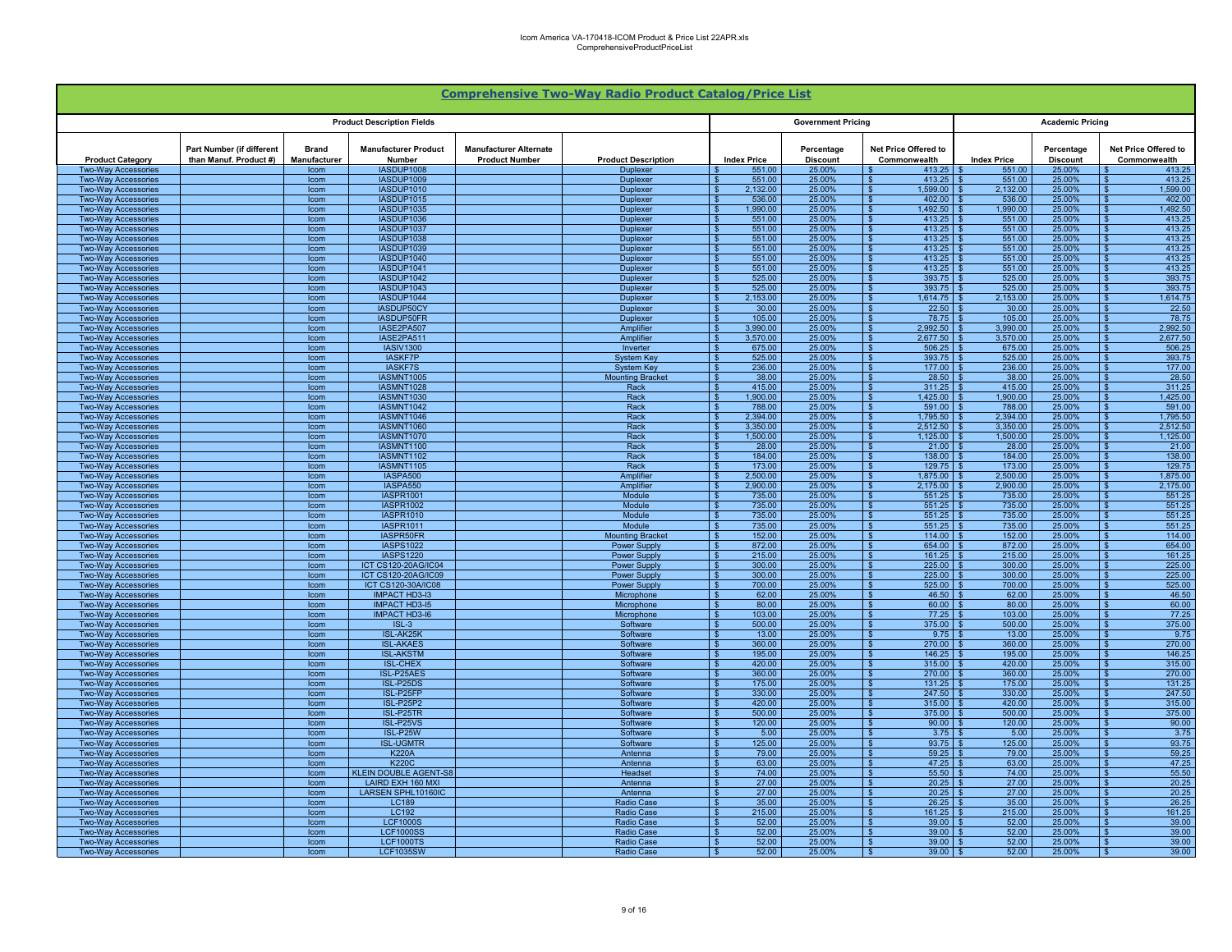|                                                          |                                                     |                              |                                              |                                                        | <b>Comprehensive Two-Way Radio Product Catalog/Price List</b> |                                   |                               |                                                  |                    |                               |                                               |
|----------------------------------------------------------|-----------------------------------------------------|------------------------------|----------------------------------------------|--------------------------------------------------------|---------------------------------------------------------------|-----------------------------------|-------------------------------|--------------------------------------------------|--------------------|-------------------------------|-----------------------------------------------|
|                                                          |                                                     |                              | <b>Product Description Fields</b>            |                                                        |                                                               |                                   | <b>Government Pricing</b>     |                                                  |                    | <b>Academic Pricing</b>       |                                               |
| <b>Product Category</b>                                  | Part Number (if different<br>than Manuf. Product #) | <b>Brand</b><br>Manufacturer | <b>Manufacturer Product</b><br>Number        | <b>Manufacturer Alternate</b><br><b>Product Number</b> | <b>Product Description</b>                                    | <b>Index Price</b>                | Percentage<br><b>Discount</b> | Net Price Offered to<br>Commonwealth             | <b>Index Price</b> | Percentage<br><b>Discount</b> | Net Price Offered to<br>Commonwealth          |
| <b>Two-Way Accessories</b>                               |                                                     | Icom                         | IASDUP1008                                   |                                                        | <b>Duplexer</b>                                               | 551.00                            | 25.00%                        | 413.25                                           | 551.00             | 25.00%                        | 413.25                                        |
| Two-Way Accessories<br><b>Two-Way Accessories</b>        |                                                     | Icom<br>Icom                 | IASDUP1009<br>IASDUP1010                     |                                                        | <b>Duplexer</b><br>Duplexer                                   | 551.00<br>2.132.00                | 25.00%<br>25.00%              | 413.25<br>∣ \$<br>1.599.00<br>$\mathbf{S}$       | 551.00<br>2.132.00 | 25.00%<br>25.00%              | 413.25<br>1,599.00<br>$\overline{\mathbf{r}}$ |
| <b>Two-Way Accessories</b>                               |                                                     | Icom                         | IASDUP1015                                   |                                                        | <b>Duplexer</b>                                               | 536.00<br>\$                      | 25.00%                        | <b>S</b><br>402.00                               | 536.00             | 25.00%                        | $\overline{\mathbf{s}}$<br>402.00             |
| <b>Two-Way Accessories</b>                               |                                                     | Icom                         | IASDUP1035                                   |                                                        | <b>Duplexer</b>                                               | 1,990.00<br>\$                    | 25.00%                        | 1.492.50<br>-\$                                  | 1.990.00           | 25.00%                        | 1,492.50<br>$\mathbf{s}$                      |
| <b>Two-Way Accessories</b>                               |                                                     | Icom                         | IASDUP1036                                   |                                                        | Duplexer                                                      | 551.00                            | 25.00%                        | 413.25<br><b>S</b>                               | 551.00             | 25.00%                        | 413.25<br>$\mathbf{s}$                        |
| Two-Way Accessories<br><b>Two-Way Accessories</b>        |                                                     | Icom<br>Icom                 | IASDUP1037<br>IASDUP1038                     |                                                        | <b>Duplexer</b><br>Duplexer                                   | 551.00<br>- \$<br>551.00          | 25.00%<br>25.00%              | $\mathbf{s}$<br>413.25<br>413.25<br>∣\$          | 551.00<br>551.00   | 25.00%<br>25.00%              | 413.25<br>- \$<br>413.25<br>\$.               |
| <b>Two-Way Accessories</b>                               |                                                     | Icom                         | IASDUP1039                                   |                                                        | <b>Duplexer</b>                                               | 551.00                            | 25.00%                        | 413.25<br>$\mathbf{s}$                           | 551.00             | 25.00%                        | 413.25<br>$\mathbf{\hat{f}}$                  |
| <b>Two-Wav Accessories</b>                               |                                                     | <b>Icom</b>                  | IASDUP1040                                   |                                                        | <b>Duplexer</b>                                               | 551.00                            | 25.00%                        | $\mathbf{s}$<br>413.25                           | 551.00             | 25.00%                        | 413.25<br>$\mathbf{s}$                        |
| <b>Two-Way Accessories</b>                               |                                                     | Icom                         | IASDUP1041                                   |                                                        | <b>Duplexer</b>                                               | 551.00                            | 25.00%                        | 413.25                                           | 551.00             | 25.00%                        | 413.25                                        |
| <b>Two-Way Accessories</b><br><b>Two-Way Accessories</b> |                                                     | Icom<br>Icom                 | IASDUP1042<br>IASDUP1043                     |                                                        | Duplexer<br>Duplexer                                          | 525.00<br>525.00                  | 25.00%<br>25.00%              | <b>S</b><br>393.75<br><b>S</b><br>393.75         | 525.00<br>525.00   | 25.00%<br>25.00%              | 393.75<br>393.75<br>$\hat{\mathbf{r}}$        |
| <b>Two-Way Accessories</b>                               |                                                     | Icom                         | IASDUP1044                                   |                                                        | <b>Duplexer</b>                                               | 2.153.00                          | 25.00%                        | $\overline{\mathbf{s}}$<br>1.614.75              | 2.153.00           | 25.00%                        | 1.614.75<br>$\mathbf{\hat{z}}$                |
| <b>Two-Way Accessories</b>                               |                                                     | Icom                         | IASDUP50CY                                   |                                                        | Duplexer                                                      | 30.00                             | 25.00%                        | <b>S</b><br>22.50                                | 30.00              | 25.00%                        | 22.50                                         |
| <b>Two-Way Accessories</b>                               |                                                     | Icom                         | IASDUP50FR                                   |                                                        | Duplexer                                                      | 105.00                            | 25.00%                        | $\mathbf{s}$<br>78.75                            | 105.00             | 25.00%                        | $\hat{\mathbf{r}}$<br>78.75                   |
| <b>Two-Way Accessories</b>                               |                                                     | Icom                         | IASE2PA507                                   |                                                        | Amplifier                                                     | 3.990.00<br>- \$                  | 25.00%                        | 2.992.50<br>l \$                                 | 3.990.00           | 25.00%                        | 2.992.50                                      |
| <b>Two-Way Accessories</b><br><b>Two-Wav Accessories</b> |                                                     | Icom<br>lcom                 | IASE2PA511<br><b>IASIV1300</b>               |                                                        | Amplifier<br>Inverter                                         | 3,570.00<br><b>S</b><br>675.00    | 25.00%<br>25.00%              | $\mathbf{s}$<br>2,677.50<br>506.25<br>$\sqrt{3}$ | 3,570.00<br>675.00 | 25.00%<br>25.00%              | 2,677.50<br>- \$<br>506.25<br>\$.             |
| <b>Two-Way Accessories</b>                               |                                                     | Icom                         | <b>IASKF7P</b>                               |                                                        | <b>System Key</b>                                             | 525.00<br>-S                      | 25.00%                        | 393.75<br>$\mathbf{s}$                           | 525.00             | 25.00%                        | 393.75<br>\$.                                 |
| <b>Two-Way Accessories</b>                               |                                                     | Icom                         | <b>IASKF7S</b>                               |                                                        | <b>System Key</b>                                             | 236.00<br>-SS                     | 25.00%                        | 177.00<br>-\$                                    | 236.00             | 25.00%                        | 177.00<br>\$                                  |
| Two-Way Accessories                                      |                                                     | Icom                         | IASMNT1005                                   |                                                        | <b>Mounting Bracket</b>                                       | 38.00                             | 25.00%                        | 28.50                                            | 38.00              | 25.00%                        | 28.50                                         |
| <b>Two-Way Accessories</b><br>Two-Way Accessories        |                                                     | Icom<br>Icom                 | IASMNT1028<br>IASMNT1030                     |                                                        | Rack<br>Rack                                                  | 415.00<br>1,900.00                | 25.00%<br>25.00%              | 311.25<br>- \$<br>1,425.00<br>∣\$                | 415.00<br>1.900.00 | 25.00%<br>25.00%              | 311.25<br>1,425.00<br>- \$                    |
| Two-Way Accessories                                      |                                                     | Icom                         | IASMNT1042                                   |                                                        | Rack                                                          | 788.00                            | 25.00%                        | 591.00<br>∣ s                                    | 788.00             | 25.00%                        | 591.00<br>$\overline{\mathbf{r}}$             |
| <b>Two-Wav Accessories</b>                               |                                                     | Icom                         | IASMNT1046                                   |                                                        | Rack                                                          | 2.394.00<br>$\mathbf{s}$          | 25.00%                        | <b>S</b><br>1.795.50                             | 2.394.00           | 25.00%                        | 1.795.50<br>$\overline{\mathbf{s}}$           |
| <b>Two-Way Accessories</b>                               |                                                     | Icom                         | IASMNT1060                                   |                                                        | Rack                                                          | 3,350.00<br>$\mathbf{s}$          | 25.00%                        | 2.512.50<br>- \$                                 | 3.350.00           | 25.00%                        | 2,512.50<br>$\mathbf{s}$                      |
| <b>Two-Way Accessories</b><br><b>Two-Way Accessories</b> |                                                     | Icom<br>Icom                 | IASMNT1070<br>IASMNT1100                     |                                                        | Rack<br>Rack                                                  | 1,500.00<br>- \$<br>28.00<br>- \$ | 25.00%<br>25.00%              | 1,125.00<br>∣\$<br>$21.00$ \$<br>$\sqrt{3}$      | 1,500.00<br>28.00  | 25.00%<br>25.00%              | 1,125.00<br>\$.<br>21.00<br>- \$              |
| <b>Two-Way Accessories</b>                               |                                                     | Icom                         | IASMNT1102                                   |                                                        | Rack                                                          | 184.00<br>- \$                    | 25.00%                        | 138.00<br>∣\$                                    | 184.00             | 25.00%                        | 138.00<br>-S                                  |
| <b>Two-Way Accessories</b>                               |                                                     | Icom                         | IASMNT1105                                   |                                                        | Rack                                                          | 173.00                            | 25.00%                        | 129.75<br>$\mathbf{s}$                           | 173.00             | 25.00%                        | 129.75<br>\$.                                 |
| <b>Two-Way Accessories</b>                               |                                                     | Icom                         | <b>IASPA500</b>                              |                                                        | Amplifier                                                     | 2,500.00                          | 25.00%                        | 1875.00<br>∣\$                                   | 2,500,00           | 25.00%                        | 1,875.00<br>$\mathbf{s}$                      |
| <b>Two-Way Accessories</b>                               |                                                     | Icom                         | IASPA550                                     |                                                        | Amplifier<br>Module                                           | 2.900.00                          | 25.00%                        | 2.175.00<br>l \$                                 | 2.900.00           | 25.00%                        | 2.175.00                                      |
| <b>Two-Way Accessories</b><br><b>Two-Way Accessories</b> |                                                     | Icom<br>Icom                 | <b>IASPR1001</b><br><b>IASPR1002</b>         |                                                        | Module                                                        | 735.00<br>735.00                  | 25.00%<br>25.00%              | 551.25<br>S.<br>551.25                           | 735.00<br>735.00   | 25.00%<br>25.00%              | 551.25<br>551.25<br>$\hat{\mathbf{z}}$        |
| <b>Two-Way Accessories</b>                               |                                                     | Icom                         | <b>IASPR1010</b>                             |                                                        | Module                                                        | 735.00                            | 25.00%                        | 551.25<br>$\mathbf{S}$                           | 735.00             | 25.00%                        | 551.25                                        |
| <b>Two-Wav Accessories</b>                               |                                                     | Icom                         | <b>IASPR1011</b>                             |                                                        | Module                                                        | 735.00                            | 25.00%                        | <b>S</b><br>551.25                               | 735.00             | 25.00%                        | 551.25                                        |
| <b>Two-Way Accessories</b>                               |                                                     | Icom                         | IASPR50FR                                    |                                                        | <b>Mounting Bracke</b>                                        | 152.00                            | 25.00%                        | <b>S</b><br>114.00                               | 152.00             | 25.00%                        | 114.00                                        |
| <b>Two-Way Accessories</b><br><b>Two-Way Accessories</b> |                                                     | Icom<br>Icom                 | <b>IASPS1022</b><br><b>IASPS1220</b>         |                                                        | <b>Power Supply</b><br><b>Power Supply</b>                    | 872.00<br>215.00<br>- \$          | 25.00%<br>25.00%              | 654.00<br>l \$<br>$\mathbf{s}$<br>161.25         | 872.00<br>215.00   | 25.00%<br>25.00%              | 654.00<br>161.25<br>- \$                      |
| <b>Two-Way Accessories</b>                               |                                                     | Icom                         | ICT CS120-20AG/IC04                          |                                                        | Power Supply                                                  | 300.00                            | 25.00%                        | 225.00<br>∣\$                                    | 300.00             | 25.00%                        | 225.00<br>-S                                  |
| <b>Two-Way Accessories</b>                               |                                                     | Icom                         | ICT CS120-20AG/IC09                          |                                                        | <b>Power Supply</b>                                           | 300.00                            | 25.00%                        | 225.00<br>$\sqrt{3}$                             | 300.00             | 25.00%                        | 225.00                                        |
| <b>Two-Wav Accessories</b>                               |                                                     | Icom                         | <b>ICT CS120-30A/IC08</b>                    |                                                        | <b>Power Supply</b>                                           | 700.00                            | 25.00%                        | 525.00<br>- \$                                   | 700.00             | 25.00%                        | 525.00<br>£.                                  |
| Two-Wav Accessories<br><b>Two-Way Accessories</b>        |                                                     | Icom<br>Icom                 | <b>IMPACT HD3-I3</b><br><b>IMPACT HD3-15</b> |                                                        | Microphone<br>Microphone                                      | 62.00<br>80.00                    | 25.00%<br>25.00%              | 46.50<br>60.00<br><b>S</b>                       | 62.00<br>80.00     | 25.00%<br>25.00%              | 46.50<br>60.00                                |
| <b>Two-Way Accessories</b>                               |                                                     | Icom                         | <b>IMPACT HD3-16</b>                         |                                                        | Microphone                                                    | 103.00                            | 25.00%                        | ∣ s<br>77.25                                     | 103.00             | 25.00%                        | 77.25<br>$\mathbf{\hat{x}}$                   |
| <b>Two-Way Accessories</b>                               |                                                     | Icom                         | $ISL-3$                                      |                                                        | Software                                                      | 500.00<br>\$.                     | 25.00%                        | <b>S</b><br>375.00                               | 500.00             | 25.00%                        | $\overline{\mathbf{s}}$<br>375.00             |
| <b>Two-Way Accessories</b>                               |                                                     | Icom                         | ISL-AK25K                                    |                                                        | Software                                                      | 13.00<br>\$.                      | 25.00%                        | $\overline{\mathbf{s}}$<br>9.75                  | 13.00              | 25.00%                        | 9.75<br>$\overline{\mathbf{s}}$               |
| <b>Two-Way Accessories</b>                               |                                                     | Icom                         | <b>ISL-AKAES</b>                             |                                                        | Software                                                      | 360.00<br>$\mathbf{s}$            | 25.00%                        | 270.00<br>∣\$                                    | 360.00             | 25.00%                        | 270.00<br>$\mathbf{s}$                        |
| <b>Two-Way Accessories</b><br><b>Two-Way Accessories</b> |                                                     | Icom<br>Icom                 | <b>ISL-AKSTM</b><br><b>ISL-CHEX</b>          |                                                        | Software<br>Software                                          | 195.00<br>- \$<br>420.00<br>- \$  | 25.00%<br>25.00%              | $\sqrt{s}$<br>146.25<br>$315.00$ \$<br><b>S</b>  | 195.00<br>420.00   | 25.00%<br>25.00%              | 146.25<br>- \$<br>315.00<br>- \$              |
| <b>Two-Way Accessories</b>                               |                                                     | lcom                         | ISL-P25AES                                   |                                                        | Software                                                      | 360.00                            | 25.00%                        | 270.00<br>∣\$                                    | 360.00             | 25.00%                        | 270.00<br>-S.                                 |
| <b>Two-Wav Accessories</b>                               |                                                     | Icom                         | ISL-P25DS                                    |                                                        | Software                                                      | 175.00                            | 25.00%                        | 131.25<br>$\mathbf{s}$                           | 175.00             | 25.00%                        | 131.25<br>$\mathbf{s}$                        |
| <b>Two-Way Accessories</b>                               |                                                     | Icom                         | ISL-P25FP                                    |                                                        | Software                                                      | 330.00                            | 25.00%                        | 247.50<br>-S                                     | 330.00             | 25.00%                        | 247.50<br>\$.                                 |
| <b>Two-Way Accessories</b><br><b>Two-Way Accessories</b> |                                                     | Icom<br>Icom                 | <b>ISL-P25P2</b><br>ISL-P25TR                |                                                        | Software<br>Software                                          | 420.00<br>500.00                  | 25.00%<br>25.00%              | 315.00<br>- \$<br>375.00<br>- 9                  | 420.00<br>500.00   | 25.00%<br>25.00%              | 315.00<br>375.00                              |
| Two-Way Accessories                                      |                                                     | Icom                         | ISL-P25VS                                    |                                                        | Software                                                      | 120.00                            | 25.00%                        | 90.00<br>l \$                                    | 120.00             | 25.00%                        | 90.00<br>. ድ                                  |
| <b>Two-Way Accessories</b>                               |                                                     | Icom                         | ISL-P25W                                     |                                                        | Software                                                      | 5.00                              | 25.00%                        | $\overline{\mathbf{s}}$<br>3.75                  | 5.00               | 25.00%                        | 3.75                                          |
| <b>Two-Wav Accessories</b>                               |                                                     | Icom                         | <b>ISL-UGMTR</b>                             |                                                        | Software                                                      | 125.00                            | 25.00%                        | <b>S</b><br>93.75                                | 125.00             | 25.00%                        | $\mathbf{\hat{z}}$<br>93.75                   |
| <b>Two-Way Accessories</b>                               |                                                     | Icom                         | <b>K220A</b>                                 |                                                        | Antenna                                                       | 79.00                             | 25.00%                        | 59.25<br><b>S</b>                                | 79.00              | 25.00%                        | 59.25                                         |
| <b>Two-Way Accessories</b><br><b>Two-Way Accessories</b> |                                                     | Icom<br>Icom                 | <b>K220C</b><br>KLEIN DOUBLE AGENT-S&        |                                                        | Antenna<br>Headset                                            | 63.00<br><b>S</b><br>74.00        | 25.00%<br>25.00%              | <b>S</b><br>47.25<br>55.50<br>$\sqrt{s}$         | 63.00<br>74.00     | 25.00%<br>25.00%              | 47.25<br>. ድ<br>55.50<br>- \$                 |
| <b>Two-Way Accessories</b>                               |                                                     | Icom                         | LAIRD EXH 160 MXI                            |                                                        | Antenna                                                       | 27.00                             | 25.00%                        | 20.25<br>$\sqrt{s}$                              | 27.00              | 25.00%                        | 20.25<br>-S                                   |
| <b>Two-Way Accessories</b>                               |                                                     | Icom                         | LARSEN SPHL10160IC                           |                                                        | Antenna                                                       | 27.00                             | 25.00%                        | 20.25<br>-\$                                     | 27.00              | 25.00%                        | 20.25<br>\$.                                  |
| <b>Two-Wav Accessories</b>                               |                                                     | Icom                         | LC189                                        |                                                        | <b>Radio Case</b>                                             | 35.00                             | 25.00%                        | 26.25<br>- \$                                    | 35.00              | 25.00%                        | 26.25                                         |
| <b>Two-Way Accessories</b><br><b>Two-Way Accessories</b> |                                                     | Icom<br>Icom                 | LC192<br><b>LCF1000S</b>                     |                                                        | <b>Radio Case</b><br><b>Radio Case</b>                        | 215.00<br>52.00                   | 25.00%<br>25.00%              | 161.25<br>39.00                                  | 215.00<br>52.00    | 25.00%<br>25.00%              | 161.25<br>39.00                               |
| <b>Two-Way Accessories</b>                               |                                                     | Icom                         | <b>LCF1000SS</b>                             |                                                        | Radio Case                                                    | 52.00                             | 25.00%                        | 39.00<br>$\mathbf{s}$                            | 52.00              | 25.00%                        | 39.00                                         |
| <b>Two-Way Accessories</b>                               |                                                     | Icom                         | <b>LCF1000TS</b>                             |                                                        | <b>Radio Case</b>                                             | 52.00                             | 25.00%                        | <b>S</b><br>39.00                                | 52.00              | 25.00%                        | 39.00<br>$\mathbf{\hat{z}}$                   |
| <b>Two-Way Accessories</b>                               |                                                     | Icom                         | <b>LCF1035SW</b>                             |                                                        | <b>Radio Case</b>                                             | 52.00                             | 25.00%                        | $\sqrt{s}$<br>39.00                              | 52.00              | 25.00%                        | 39.00                                         |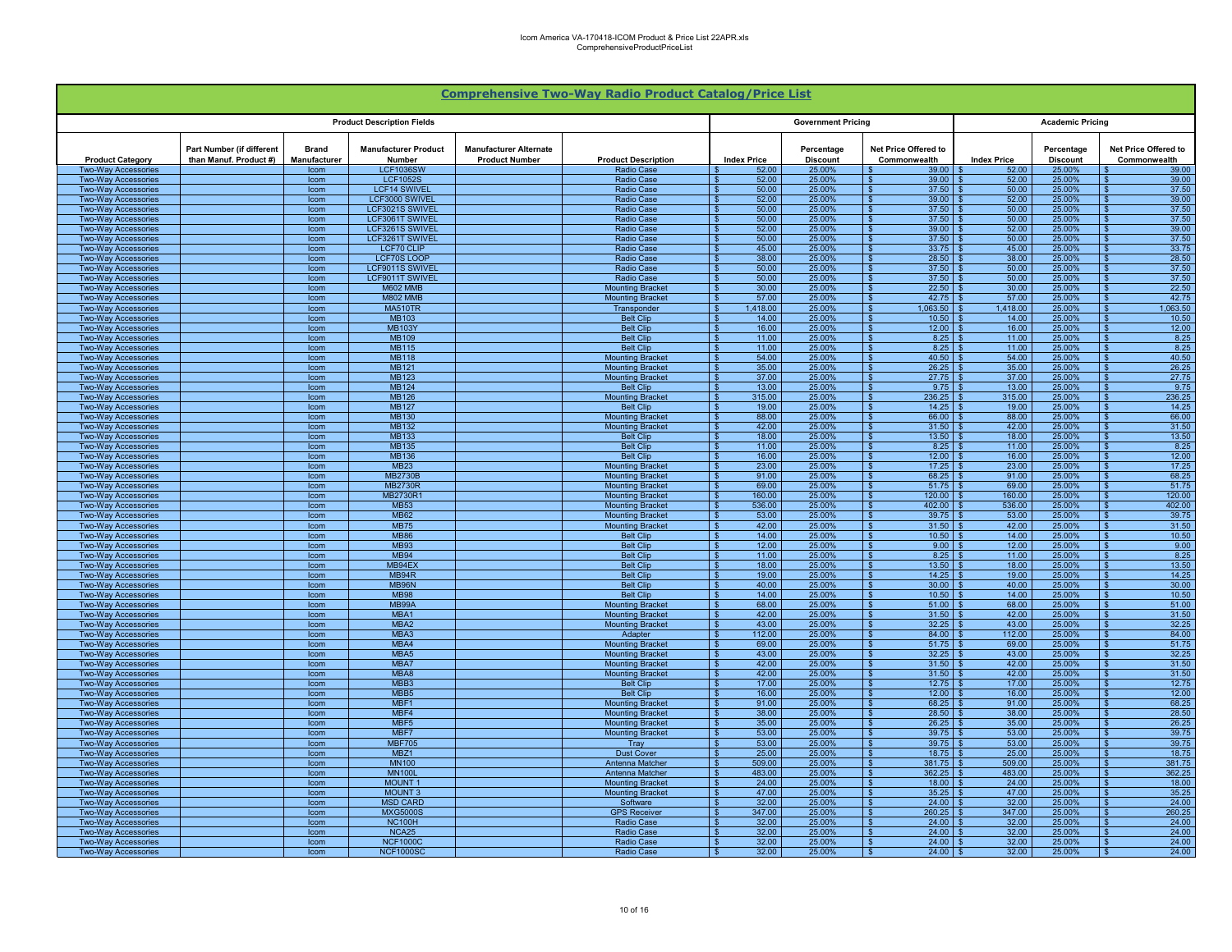|                                                          |                                                     |                              |                                           |                                                        | <b>Comprehensive Two-Way Radio Product Catalog/Price List</b> |                                       |                               |                                      |                    |                               |                                        |
|----------------------------------------------------------|-----------------------------------------------------|------------------------------|-------------------------------------------|--------------------------------------------------------|---------------------------------------------------------------|---------------------------------------|-------------------------------|--------------------------------------|--------------------|-------------------------------|----------------------------------------|
|                                                          |                                                     |                              | <b>Product Description Fields</b>         |                                                        |                                                               |                                       | <b>Government Pricing</b>     |                                      |                    | <b>Academic Pricing</b>       |                                        |
| <b>Product Category</b>                                  | Part Number (if different<br>than Manuf. Product #) | <b>Brand</b><br>Manufacturer | <b>Manufacturer Product</b><br>Number     | <b>Manufacturer Alternate</b><br><b>Product Number</b> | <b>Product Description</b>                                    | <b>Index Price</b>                    | Percentage<br><b>Discount</b> | Net Price Offered to<br>Commonwealth | <b>Index Price</b> | Percentage<br><b>Discount</b> | Net Price Offered to<br>Commonwealth   |
| <b>Two-Way Accessories</b>                               |                                                     | Icom                         | <b>LCF1036SW</b>                          |                                                        | <b>Radio Case</b>                                             | 52.00                                 | 25.00%                        | 39.00                                | 52.00              | 25.00%                        | 39.00                                  |
| Two-Way Accessories<br>Two-Way Accessories               |                                                     | Icom<br>Icom                 | <b>LCF1052S</b><br><b>LCF14 SWIVEL</b>    |                                                        | <b>Radio Case</b><br><b>Radio Case</b>                        | 52.00<br>50.00<br>$\mathbf{\hat{z}}$  | 25.00%<br>25.00%              | 39.00<br>37.50                       | 52.00<br>50.00     | 25.00%<br>25.00%              | 39.00<br>37.50                         |
| <b>Two-Way Accessories</b>                               |                                                     | Icom                         | <b>LCF3000 SWIVEL</b>                     |                                                        | <b>Radio Case</b>                                             | 52.00<br>$\mathbf{\hat{s}}$           | 25.00%                        | 39.00<br>. ድ                         | 52.00              | 25.00%                        | 39.00                                  |
| <b>Two-Way Accessories</b>                               |                                                     | Icom                         | <b>LCF3021S SWIVEL</b>                    |                                                        | <b>Radio Case</b>                                             | 50.00<br>$\mathbf{\hat{s}}$           | 25.00%                        | 37.50                                | 50.00              | 25.00%                        | 37.50                                  |
| <b>Two-Way Accessories</b>                               |                                                     | Icom                         | <b>LCF3061T SWIVEL</b>                    |                                                        | <b>Radio Case</b>                                             | 50.00<br>$\mathbf{\hat{s}}$           | 25.00%                        | 37.50<br>- \$                        | 50.00              | 25.00%                        | 37.50                                  |
| <b>Two-Way Accessories</b><br><b>Two-Way Accessories</b> |                                                     | Icom<br>Icom                 | LCF3261S SWIVEL<br>LCF3261T SWIVEL        |                                                        | <b>Radio Case</b><br>Radio Case                               | 52.00<br>- \$<br>50.00<br>- \$        | 25.00%<br>25.00%              | $39.00$ \$<br>l \$<br>37.50<br>- \$  | 52.00<br>50.00     | 25.00%<br>25.00%              | 39.00<br>l \$<br>37.50<br>- \$         |
| <b>Two-Way Accessories</b>                               |                                                     | Icom                         | <b>LCF70 CLIP</b>                         |                                                        | <b>Radio Case</b>                                             | 45.00<br>$\mathbf{\hat{z}}$           | 25.00%                        | 33.75<br>- \$                        | 45.00              | 25.00%                        | 33.75<br>$\mathbf{\hat{S}}$            |
| <b>Two-Wav Accessories</b>                               |                                                     | Icom                         | <b>LCF70S LOOP</b>                        |                                                        | <b>Radio Case</b>                                             | 38.00<br>$\mathbf{\hat{s}}$           | 25.00%                        | 28.50<br>- \$                        | 38.00              | 25.00%                        | 28.50<br>- \$                          |
| <b>Two-Way Accessories</b>                               |                                                     | Icom                         | <b>LCF9011S SWIVEL</b>                    |                                                        | <b>Radio Case</b>                                             | 50.00                                 | 25.00%                        | 37.50                                | 50.00              | 25.00%                        | 37.50                                  |
| Two-Way Accessories<br>Two-Way Accessories               |                                                     | Icom<br>Icom                 | <b>LCF9011T SWIVEL</b><br><b>M602 MMB</b> |                                                        | <b>Radio Case</b><br><b>Mounting Bracket</b>                  | 50.00<br>30.00<br>$\mathbf{C}$        | 25.00%<br>25.00%              | 37.50<br>22.50                       | 50.00<br>30.00     | 25.00%<br>25.00%              | 37.50<br>22.50                         |
| <b>Two-Wav Accessories</b>                               |                                                     | Icom                         | <b>M802 MMB</b>                           |                                                        | <b>Mounting Bracket</b>                                       | 57.00<br>- \$                         | 25.00%                        | 42.75<br>$\mathbf{S}$                | 57.00              | 25.00%                        | 42.75                                  |
| Two-Way Accessories                                      |                                                     | Icom                         | <b>MA510TR</b>                            |                                                        | Transponder                                                   | 1.418.00<br>$\hat{\mathbf{r}}$        | 25.00%                        | 1,063.50                             | 1.418.00           | 25.00%                        | 1.063.50                               |
| <b>Two-Wav Accessories</b>                               |                                                     | Icom                         | MB103                                     |                                                        | <b>Belt Clip</b>                                              | $\mathbf{\hat{S}}$<br>14.00           | 25.00%                        | $\mathbf{s}$<br>10.50                | 14.00              | 25.00%                        | 10.50                                  |
| <b>Two-Way Accessories</b>                               |                                                     | Icom                         | <b>MB103Y</b>                             |                                                        | <b>Belt Clip</b>                                              | 16.00<br>- \$<br>- \$                 | 25.00%                        | $12.00$ \ \$                         | 16.00              | 25.00%                        | 12.00                                  |
| <b>Two-Way Accessories</b><br><b>Two-Way Accessories</b> |                                                     | Icom<br>Icom                 | <b>MB109</b><br><b>MB115</b>              |                                                        | <b>Belt Clip</b><br><b>Belt Clip</b>                          | 11.00<br>11.00<br>- \$                | 25.00%<br>25.00%              | $8.25$ \$<br>l S<br>$8.25$ \$<br>l S | 11.00<br>11.00     | 25.00%<br>25.00%              | 8.25<br>8.25<br>- \$                   |
| <b>Two-Way Accessories</b>                               |                                                     | Icom                         | <b>MB118</b>                              |                                                        | <b>Mounting Bracket</b>                                       | 54.00<br>- \$                         | 25.00%                        | 40.50<br>- \$                        | 54.00              | 25.00%                        | 40.50<br>- \$                          |
| <b>Two-Way Accessories</b>                               |                                                     | Icom                         | <b>MB121</b>                              |                                                        | <b>Mounting Bracket</b>                                       | 35.00<br>$\mathbf{s}$                 | 25.00%                        | 26.25<br>- \$                        | 35.00              | 25.00%                        | 26.25<br>- \$                          |
| <b>Two-Way Accessories</b>                               |                                                     | Icom                         | <b>MB123</b>                              |                                                        | <b>Mounting Bracket</b>                                       | 37.00                                 | 25.00%                        | 27.75                                | 37.00              | 25.00%                        | 27.75                                  |
| <b>Two-Way Accessories</b><br>Two-Way Accessories        |                                                     | Icom<br>Icom                 | MB124<br><b>MB126</b>                     |                                                        | <b>Belt Clip</b><br><b>Mounting Bracket</b>                   | 13.00<br>315.00<br>- 93               | 25.00%<br>25.00%              | 9.75<br>236.25                       | 13.00<br>315.00    | 25.00%<br>25.00%              | 9.75<br>236.25                         |
| Two-Way Accessories                                      |                                                     | Icom                         | <b>MB127</b>                              |                                                        | <b>Belt Clip</b>                                              | 19.00                                 | 25.00%                        | 14.25                                | 19.00              | 25.00%                        | 14.25                                  |
| <b>Two-Way Accessories</b>                               |                                                     | Icom                         | <b>MB130</b>                              |                                                        | <b>Mounting Bracket</b>                                       | 88.00<br>- \$                         | 25.00%                        | 66.00<br>- \$                        | 88.00              | 25.00%                        | 66.00<br>$\mathbf{\hat{z}}$            |
| <b>Two-Way Accessories</b>                               |                                                     | Icom                         | <b>MB132</b>                              |                                                        | <b>Mounting Bracket</b>                                       | 42.00<br>$\overline{\mathbf{s}}$      | 25.00%                        | 31.50                                | 42.00              | 25.00%                        | 31.50                                  |
| <b>Two-Way Accessories</b><br><b>Two-Way Accessories</b> |                                                     | Icom<br>Icom                 | <b>MB133</b><br>MB135                     |                                                        | <b>Belt Clip</b><br><b>Belt Clip</b>                          | 18.00<br>- \$<br>11.00<br>- \$        | 25.00%<br>25.00%              | - \$<br>$8.25$ \$<br>l \$            | 18.00<br>11.00     | 25.00%<br>25.00%              | 13.50<br>8.25<br>- \$                  |
| <b>Two-Way Accessories</b>                               |                                                     | Icom                         | <b>MB136</b>                              |                                                        | <b>Belt Clip</b>                                              | 16.00<br>$\bullet$                    | 25.00%                        | $12.00$ \$<br>ΙSΙ                    | 16.00              | 25.00%                        | 12.00<br>- \$                          |
| <b>Two-Way Accessories</b>                               |                                                     | Icom                         | <b>MB23</b>                               |                                                        | <b>Mounting Bracket</b>                                       | 23.00<br>- \$                         | 25.00%                        | 17.25<br>l \$                        | 23.00              | 25.00%                        | 17.25<br>- \$                          |
| <b>Two-Wav Accessories</b>                               |                                                     | Icom                         | <b>MB2730B</b>                            |                                                        | <b>Mounting Bracket</b>                                       | 91.00<br>\$.                          | 25.00%                        | 68.25<br>- \$                        | 91.00              | 25.00%                        | 68.25<br>- \$                          |
| <b>Two-Way Accessories</b>                               |                                                     | Icom                         | <b>MB2730R</b>                            |                                                        | <b>Mounting Bracket</b>                                       | 69.00                                 | 25.00%                        | 51.75                                | 69.00              | 25.00%                        | 51.75                                  |
| Two-Way Accessories<br><b>Two-Way Accessories</b>        |                                                     | Icom<br>Icom                 | MB2730R1<br><b>MB53</b>                   |                                                        | <b>Mounting Bracket</b><br><b>Mounting Bracket</b>            | 160.00<br>536.00<br>$\mathcal{R}$     | 25.00%<br>25.00%              | 120.00<br>402.00                     | 160.00<br>536.00   | 25.00%<br>25.00%              | 120.00<br>402.00                       |
| <b>Two-Way Accessories</b>                               |                                                     | Icom                         | <b>MB62</b>                               |                                                        | <b>Mounting Bracket</b>                                       | 53.00<br>- \$                         | 25.00%                        | 39.75                                | 53.00              | 25.00%                        | 39.75                                  |
| Two-Way Accessories                                      |                                                     | Icom                         | <b>MB75</b>                               |                                                        | <b>Mounting Bracket</b>                                       | 42.00<br>$\hat{\mathbf{r}}$           | 25.00%                        | 31.50                                | 42.00              | 25.00%                        | 31.50                                  |
| <b>Two-Wav Accessories</b>                               |                                                     | Icom                         | <b>MB86</b>                               |                                                        | <b>Belt Clip</b>                                              | $\mathbf{\hat{S}}$<br>14.00           | 25.00%                        | $\mathbf{s}$<br>10.50                | 14.00              | 25.00%                        | 10.50                                  |
| <b>Two-Way Accessories</b><br><b>Two-Way Accessories</b> |                                                     | Icom<br>Icom                 | <b>MB93</b><br><b>MB94</b>                |                                                        | <b>Belt Clin</b><br><b>Belt Clip</b>                          | 12.00<br>- \$<br>11.00<br>- \$        | 25.00%<br>25.00%              | $9.00$   \$<br>$8.25$ \$<br>l s      | 12.00<br>11.00     | 25.00%<br>25.00%              | 9.00<br>8.25<br><b>S</b>               |
| <b>Two-Way Accessories</b>                               |                                                     | Icom                         | MB94EX                                    |                                                        | <b>Belt Clip</b>                                              | 18.00<br>- \$                         | 25.00%                        | $13.50$ \$<br>l \$                   | 18.00              | 25.00%                        | 13.50<br><b>S</b>                      |
| <b>Two-Way Accessories</b>                               |                                                     | Icom                         | MB94R                                     |                                                        | <b>Belt Clip</b>                                              | 19.00<br>- \$                         | 25.00%                        | 14.25<br>- \$                        | 19.00              | 25.00%                        | 14.25                                  |
| <b>Two-Way Accessories</b>                               |                                                     | Icom                         | <b>MB96N</b>                              |                                                        | <b>Belt Clip</b>                                              | 40.00<br>. ድ                          | 25.00%                        | 30.00<br>- \$                        | 40.00              | 25.00%                        | 30.00                                  |
| <b>Two-Way Accessories</b><br><b>Two-Way Accessories</b> |                                                     | Icom<br>Icom                 | <b>MB98</b><br>MB99A                      |                                                        | <b>Belt Clip</b><br><b>Mounting Bracket</b>                   | 14.00<br>68.00                        | 25.00%<br>25.00%              | 10.50<br>51.00                       | 14.00<br>68.00     | 25.00%                        | 10.50<br>51.00                         |
| <b>Two-Way Accessories</b>                               |                                                     | Icom                         | MBA1                                      |                                                        | <b>Mounting Bracket</b>                                       | 42.00<br>- 3                          | 25.00%                        | 31.50                                | 42.00              | 25.00%<br>25.00%              | 31.50                                  |
| Two-Way Accessories                                      |                                                     | Icom                         | MBA <sub>2</sub>                          |                                                        | <b>Mounting Bracket</b>                                       | 43.00<br>. ድ                          | 25.00%                        | 32.25<br>- 93                        | 43.00              | 25.00%                        | 32.25                                  |
| <b>Two-Way Accessories</b>                               |                                                     | Icom                         | MBA3                                      |                                                        | Adapter                                                       | 112.00<br>- \$                        | 25.00%                        | 84.00<br>- \$                        | 112.00             | 25.00%                        | 84.00<br>$\mathbf{\hat{z}}$            |
| <b>Two-Way Accessories</b>                               |                                                     | Icom                         | MBA4                                      |                                                        | <b>Mounting Bracket</b>                                       | $\overline{\mathbf{s}}$<br>69.00      | 25.00%                        | 51.75<br>-9                          | 69.00              | 25.00%                        | 51.75                                  |
| <b>Two-Way Accessories</b><br><b>Two-Way Accessories</b> |                                                     | Icom<br>Icom                 | MBA <sub>5</sub><br>MBA7                  |                                                        | <b>Mounting Bracket</b><br><b>Mounting Bracket</b>            | 43.00<br>- \$<br>42.00<br>- \$        | 25.00%<br>25.00%              | 32.25<br>- \$<br>$31.50$ \$<br>l \$  | 43.00<br>42.00     | 25.00%<br>25.00%              | 32.25<br>$\mathbf{s}$<br>31.50<br>- \$ |
| <b>Two-Way Accessories</b>                               |                                                     | Icom                         | MBA8                                      |                                                        | <b>Mounting Bracket</b>                                       | 42.00<br>-\$                          | 25.00%                        | $31.50$ \$<br>ΙSΙ                    | 42.00              | 25.00%                        | 31.50<br>IS.                           |
| Two-Way Accessories                                      |                                                     | Icom                         | MBB3                                      |                                                        | <b>Belt Clip</b>                                              | 17.00<br>- \$                         | 25.00%                        | $12.75$ \$<br>l \$                   | 17.00              | 25.00%                        | 12.75<br>- \$                          |
| Two-Wav Accessories                                      |                                                     | Icom                         | MBB <sub>5</sub>                          |                                                        | <b>Belt Clip</b>                                              | 16.00<br>- \$                         | 25.00%                        | 12.00<br>- \$                        | 16.00              | 25.00%                        | 12.00<br>- \$                          |
| <b>Two-Way Accessories</b>                               |                                                     | Icom                         | MBF1<br>MBF4                              |                                                        | <b>Mounting Bracket</b><br><b>Mounting Bracket</b>            | 91.00<br>- \$<br>38.00                | 25.00%<br>25.00%              | 68.25<br>- \$<br>28.50               | 91.00<br>38.00     | 25.00%<br>25.00%              | 68.25<br>- \$<br>28.50                 |
| <b>Two-Way Accessories</b><br><b>Two-Way Accessories</b> |                                                     | Icom<br>Icom                 | MBF <sub>5</sub>                          |                                                        | <b>Mounting Bracket</b>                                       | 35.00<br>- \$                         | 25.00%                        | $26.25$ \$                           | 35.00              | 25.00%                        | 26.25<br>∣ \$                          |
| Two-Way Accessories                                      |                                                     | Icom                         | MBF7                                      |                                                        | <b>Mounting Bracket</b>                                       | 53.00<br>- ፍ                          | 25.00%                        | 39.75                                | 53.00              | 25.00%                        | 39.75                                  |
| <b>Two-Way Accessories</b>                               |                                                     | Icom                         | <b>MBF705</b>                             |                                                        | Tray                                                          | 53.00<br>$\mathbf{Q}$                 | 25.00%                        | 39.75<br>$\mathbf{C}$                | 53.00              | 25.00%                        | 39.75                                  |
| <b>Two-Wav Accessories</b>                               |                                                     | Icom                         | MBZ <sub>1</sub>                          |                                                        | <b>Dust Cover</b>                                             | $\hat{\mathbf{r}}$<br>25.00           | 25.00%                        | 18.75                                | 25.00              | 25.00%                        | 18.75                                  |
| <b>Two-Way Accessories</b><br><b>Two-Way Accessories</b> |                                                     | Icom<br>Icom                 | <b>MN100</b><br><b>MN100L</b>             |                                                        | Antenna Matche<br>Antenna Matcher                             | 509.00<br>- \$<br>483.00<br>- \$      | 25.00%<br>25.00%              | 381.75<br>$362.25$ \$<br>l s         | 509.00<br>483.00   | 25.00%<br>25.00%              | 381.75<br>362.25                       |
| <b>Two-Way Accessories</b>                               |                                                     | Icom                         | <b>MOUNT1</b>                             |                                                        | <b>Mounting Bracket</b>                                       | - \$<br>24.00                         | 25.00%                        | $18.00$ \$<br>l \$                   | 24.00              | 25.00%                        | 18.00<br>- \$                          |
| <b>Two-Way Accessories</b>                               |                                                     | Icom                         | <b>MOUNT3</b>                             |                                                        | <b>Mounting Bracket</b>                                       | 47.00<br>- \$                         | 25.00%                        | 35.25<br>- \$                        | 47.00              | 25.00%                        | 35.25                                  |
| <b>Two-Way Accessories</b>                               |                                                     | Icom                         | <b>MSD CARD</b>                           |                                                        | Software                                                      | 32.00<br>-9                           | 25.00%                        | 24.00<br>- \$                        | 32.00              | 25.00%                        | 24.00                                  |
| <b>Two-Wav Accessories</b><br><b>Two-Way Accessories</b> |                                                     | Icom<br>Icom                 | <b>MXG5000S</b><br><b>NC100H</b>          |                                                        | <b>GPS Receiver</b><br><b>Radio Case</b>                      | 347.00<br>$\mathbf{\hat{s}}$<br>32.00 | 25.00%<br>25.00%              | 260.25<br>24.00                      | 347.00<br>32.00    | 25.00%<br>25.00%              | 260.25<br>24.00                        |
| <b>Two-Way Accessories</b>                               |                                                     | Icom                         | NCA <sub>25</sub>                         |                                                        | <b>Radio Case</b>                                             | 32.00                                 | 25.00%                        | 24.00                                | 32.00              | 25.00%                        | 24.00                                  |
| <b>Two-Way Accessories</b>                               |                                                     | Icom                         | <b>NCF1000C</b>                           |                                                        | Radio Case                                                    | 32.00<br>- \$                         | 25.00%                        | 24.00<br>∣ \$                        | 32.00              | 25.00%                        | 24.00                                  |
| <b>Two-Way Accessories</b>                               |                                                     | Icom                         | <b>NCF1000SC</b>                          |                                                        | <b>Radio Case</b>                                             | 32.00<br>$\mathbf{\hat{s}}$           | 25.00%                        | 24.00<br>- \$                        | 32.00              | 25.00%                        | 24.00                                  |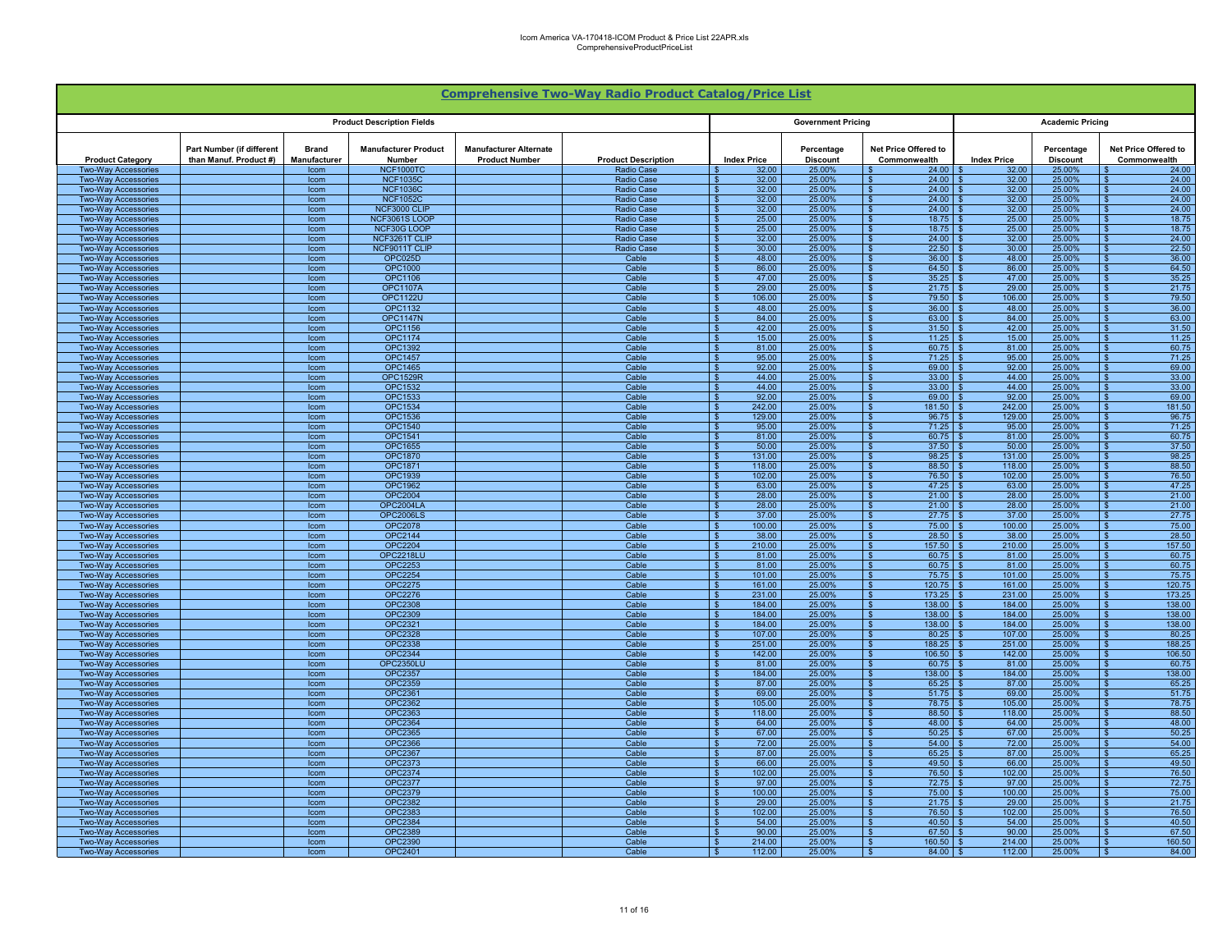|                                                          |                                                     |                              |                                       |                                                        | <b>Comprehensive Two-Way Radio Product Catalog/Price List</b> |                                                             |                               |                                                    |                    |                               |                                                                       |
|----------------------------------------------------------|-----------------------------------------------------|------------------------------|---------------------------------------|--------------------------------------------------------|---------------------------------------------------------------|-------------------------------------------------------------|-------------------------------|----------------------------------------------------|--------------------|-------------------------------|-----------------------------------------------------------------------|
|                                                          |                                                     |                              | <b>Product Description Fields</b>     |                                                        |                                                               |                                                             | <b>Government Pricing</b>     |                                                    |                    | <b>Academic Pricing</b>       |                                                                       |
| <b>Product Category</b>                                  | Part Number (if different<br>than Manuf. Product #) | <b>Brand</b><br>Manufacturer | <b>Manufacturer Product</b><br>Number | <b>Manufacturer Alternate</b><br><b>Product Number</b> | <b>Product Description</b>                                    | <b>Index Price</b>                                          | Percentage<br><b>Discount</b> | Net Price Offered to<br>Commonwealth               | <b>Index Price</b> | Percentage<br><b>Discount</b> | Net Price Offered to<br>Commonwealth                                  |
| Two-Way Accessories<br>Two-Way Accessories               |                                                     | Icom<br>Icom                 | <b>NCF1000TC</b><br><b>NCF1035C</b>   |                                                        | <b>Radio Case</b><br>Radio Case                               | 32.00<br>32.00                                              | 25.00%<br>25.00%              | 24.00<br>24.00                                     | 32.00<br>32.00     | 25.00%<br>25.00%              | 24.00<br>24.00                                                        |
| <b>Two-Way Accessories</b>                               |                                                     | Icom                         | <b>NCF1036C</b>                       |                                                        | Radio Case                                                    | 32.00<br>$\mathbf{\hat{z}}$                                 | 25.00%                        | 24.00<br>$\mathbf{S}$                              | 32.00              | 25.00%                        | 24.00<br>$\mathbf{R}$                                                 |
| <b>Two-Way Accessories</b>                               |                                                     | Icom                         | <b>NCF1052C</b>                       |                                                        | <b>Radio Case</b>                                             | 32.00<br>$\mathbf{\hat{s}}$                                 | 25.00%                        | 24.00<br>- \$                                      | 32.00              | 25.00%                        | 24.00<br>$\overline{\mathbf{s}}$                                      |
| <b>Two-Way Accessories</b><br><b>Two-Way Accessories</b> |                                                     | Icom<br>Icom                 | NCF3000 CLIP<br><b>NCF3061S LOOP</b>  |                                                        | <b>Radio Case</b><br><b>Radio Case</b>                        | 32.00<br>$\mathbf{\hat{s}}$<br>25.00<br>- \$                | 25.00%<br>25.00%              | 24.00<br>- \$<br>18.75<br><b>S</b>                 | 32.00<br>25.00     | 25.00%<br>25.00%              | 24.00<br>$\mathbf{s}$<br>18.75<br>$\mathbf{s}$                        |
| <b>Two-Way Accessories</b>                               |                                                     | Icom                         | NCF30G LOOP                           |                                                        | Radio Case                                                    | - \$<br>25.00                                               | 25.00%                        | 18.75<br>l s                                       | 25.00              | 25.00%                        | 18.75<br>$\mathbf{s}$                                                 |
| <b>Two-Way Accessories</b><br><b>Two-Way Accessories</b> |                                                     | Icom<br>Icom                 | NCF3261T CLIP<br>NCF9011T CLIP        |                                                        | <b>Radio Case</b><br>Radio Case                               | 32.00<br>- \$<br>30.00<br>. ድ                               | 25.00%<br>25.00%              | 24.00<br>∣\$<br>22.50<br>l s                       | 32.00<br>30.00     | 25.00%<br>25.00%              | 24.00<br>-S<br>22.50<br>$\mathbf{R}$                                  |
| <b>Two-Wav Accessories</b>                               |                                                     | Icom                         | OPC025D                               |                                                        | Cable                                                         | 48.00<br>- \$                                               | 25.00%                        | <b>S</b><br>36.00                                  | 48.00              | 25.00%                        | $\mathbb{S}$<br>36.00                                                 |
| Two-Way Accessories                                      |                                                     | Icom                         | OPC1000                               |                                                        | Cable                                                         | 86.00                                                       | 25.00%                        | 64.50                                              | 86.00              | 25.009                        | 64.50                                                                 |
| <b>Two-Way Accessories</b><br><b>Two-Way Accessories</b> |                                                     | Icom<br>Icom                 | <b>OPC1106</b><br><b>OPC1107A</b>     |                                                        | Cable<br>Cable                                                | 47.00<br>29.00<br>$\mathbf{R}$                              | 25.00%<br>25.00%              | 35.25<br>l S<br>21.75<br>- \$                      | 47.00<br>29.00     | 25.00%<br>25.00%              | 35.25<br>୍କ<br>21.75<br>$\mathbf{\hat{S}}$                            |
| <b>Two-Way Accessories</b>                               |                                                     | Icom                         | <b>OPC1122U</b>                       |                                                        | Cable                                                         | 106.00<br>. ድ                                               | 25.00%                        | 79.50<br>$\mathbf{s}$                              | 106.00             | 25.00%                        | 79.50<br>$\hat{\mathbf{r}}$                                           |
| <b>Two-Way Accessories</b>                               |                                                     | Icom                         | OPC1132                               |                                                        | Cable                                                         | 48.00<br>$\mathbf{R}$                                       | 25.00%                        | 36.00<br><b>S</b>                                  | 48.00              | 25.00%                        | 36.00                                                                 |
| <b>Two-Way Accessories</b><br><b>Two-Way Accessories</b> |                                                     | Icom<br>Icom                 | <b>OPC1147N</b><br>OPC1156            |                                                        | Cable<br>Cable                                                | $\mathbf{\hat{S}}$<br>84.00<br>42.00<br>- \$                | 25.00%<br>25.00%              | ١s<br>63.00<br>31.50<br>l s                        | 84.00<br>42.00     | 25.00%<br>25.00%              | 63.00<br>$\mathbf{\hat{x}}$<br>31.50                                  |
| <b>Two-Way Accessories</b>                               |                                                     | Icom                         | <b>OPC1174</b>                        |                                                        | Cable                                                         | 15.00<br>- \$                                               | 25.00%                        | 11.25<br>ΙS                                        | 15.00              | 25.00%                        | 11.25<br>- \$                                                         |
| <b>Two-Way Accessories</b>                               |                                                     | Icom                         | OPC1392                               |                                                        | Cable                                                         | 81.00<br>- \$                                               | 25.00%                        | 60.75<br>l S                                       | 81.00<br>95.00     | 25.00%                        | 60.75<br>\$.                                                          |
| <b>Two-Way Accessories</b><br><b>Two-Way Accessories</b> |                                                     | Icom<br>Icom                 | <b>OPC1457</b><br><b>OPC1465</b>      |                                                        | Cable<br>Cable                                                | 95.00<br>- \$<br>92.00<br>- \$                              | 25.00%<br>25.00%              | 71.25<br><b>S</b><br>69.00<br>- \$                 | 92.00              | 25.00%<br>25.00%              | 71.25<br>\$.<br>69.00<br>\$                                           |
| <b>Two-Way Accessories</b>                               |                                                     | Icom                         | <b>OPC1529R</b>                       |                                                        | Cable                                                         | 44.00<br>$\mathbf{s}$                                       | 25.00%                        | 33.00                                              | 44.00              | 25.00%                        | 33.00                                                                 |
| <b>Two-Way Accessories</b>                               |                                                     | Icom                         | <b>OPC1532</b>                        |                                                        | Cable                                                         | 44.00<br>- \$                                               | 25.00%                        | 33.00                                              | 44.00              | 25.00%                        | 33.00                                                                 |
| Two-Wav Accessories<br><b>Two-Way Accessories</b>        |                                                     | Icom<br>Icom                 | <b>OPC1533</b><br><b>OPC1534</b>      |                                                        | Cable<br>Cable                                                | 92.00<br>- \$<br>242.00<br>$\overline{\mathbf{S}}$          | 25.00%<br>25.00%              | 69.00<br>181.50<br>্য                              | 92.00<br>242.00    | 25.00%<br>25.00%              | 69.00<br>$\mathbf{s}$<br>$\mathbf{s}$<br>181.50                       |
| <b>Two-Way Accessories</b>                               |                                                     | Icom                         | <b>OPC1536</b>                        |                                                        | Cable                                                         | $\overline{\mathbf{s}}$<br>129.00                           | 25.00%                        | $\overline{\mathbf{s}}$<br>96.75                   | 129.00             | 25.00%                        | $\overline{\mathbf{s}}$<br>96.75                                      |
| <b>Two-Way Accessories</b>                               |                                                     | Icom                         | <b>OPC1540</b>                        |                                                        | Cable                                                         | 95.00<br>- \$                                               | 25.00%                        | 71.25<br>- \$                                      | 95.00              | 25.00%                        | 71.25<br>$\mathbf{s}$                                                 |
| <b>Two-Way Accessories</b><br><b>Two-Way Accessories</b> |                                                     | Icom<br>Icom                 | <b>OPC1541</b><br>OPC1655             |                                                        | Cable<br>Cable                                                | 81.00<br>- \$<br>50.00<br>$\sqrt{3}$                        | 25.00%<br>25.00%              | 60.75<br>∣\$<br>$37.50$ \$<br>l \$                 | 81.00<br>50.00     | 25.00%<br>25.00%              | 60.75<br>-\$<br>37.50<br>$\sqrt{3}$                                   |
| <b>Two-Way Accessories</b>                               |                                                     | Icom                         | <b>OPC1870</b>                        |                                                        | Cable                                                         | 131.00<br>- \$                                              | 25.00%                        | 98.25<br>l S                                       | 131.00             | 25.00%                        | 98.25<br><b>S</b>                                                     |
| Two-Way Accessories                                      |                                                     | Icom                         | <b>OPC1871</b>                        |                                                        | Cable                                                         | 118.00<br>- \$                                              | 25.00%                        | 88.50<br>∣\$                                       | 118.00             | 25.00%                        | 88.50<br>\$.                                                          |
| <b>Two-Way Accessories</b><br><b>Two-Way Accessories</b> |                                                     | Icom<br>Icom                 | <b>OPC1939</b><br>OPC1962             |                                                        | Cable<br>Cable                                                | $\overline{\mathbf{s}}$<br>102.00<br>63.00                  | 25.00%<br>25.00%              | $\overline{\mathbf{s}}$<br>76.50<br>47.25          | 102.00<br>63.00    | 25.00%<br>25.009              | $\sqrt{3}$<br>76.50<br>47.25                                          |
| <b>Two-Way Accessories</b>                               |                                                     | Icom                         | <b>OPC2004</b>                        |                                                        | Cable                                                         | - \$<br>28.00                                               | 25.00%                        | l s<br>21.00                                       | 28.00              | 25.00%                        | 21.00<br>$\mathbf{\hat{s}}$                                           |
| Two-Way Accessories                                      |                                                     | Icom                         | <b>OPC2004LA</b>                      |                                                        | Cable                                                         | 28.00<br>. ድ                                                | 25.00%                        | 21.00<br>- 9                                       | 28.00              | 25.00%                        | 21.00<br>$\hat{\mathbf{z}}$                                           |
| <b>Two-Way Accessories</b><br><b>Two-Wav Accessories</b> |                                                     | Icom<br>Icom                 | <b>OPC2006LS</b><br><b>OPC2078</b>    |                                                        | Cable<br>Cable                                                | 37.00<br>$\hat{\mathbf{r}}$<br>$\mathbf{\hat{s}}$<br>100.00 | 25.00%<br>25.00%              | 27.75<br>$\mathbf{s}$<br><b>S</b><br>75.00         | 37.00<br>100.00    | 25.00%<br>25.00%              | 27.75<br>$\hat{\mathbf{r}}$<br>$\mathbf{\hat{z}}$<br>75.00            |
| <b>Two-Way Accessories</b>                               |                                                     | Icom                         | <b>OPC2144</b>                        |                                                        | Cable                                                         | 38.00<br>- \$                                               | 25.00%                        | <b>S</b><br>28.50                                  | 38.00              | 25.00%                        | 28.50<br>$\mathbf{\hat{s}}$                                           |
| <b>Two-Way Accessories</b>                               |                                                     | Icom                         | <b>OPC2204</b>                        |                                                        | Cable                                                         | 210.00<br>l \$                                              | 25.00%                        | 157.50<br>ΙS                                       | 210.00             | 25.00%                        | 157.50<br>. ድ                                                         |
| <b>Two-Way Accessories</b><br><b>Two-Way Accessories</b> |                                                     | Icom<br>Icom                 | OPC2218LU<br>OPC2253                  |                                                        | Cable<br>Cable                                                | - \$<br>81.00<br>81.00<br>- \$                              | 25.00%<br>25.00%              | 60.75<br>l s<br>60.75<br>l S                       | 81.00<br>81.00     | 25.00%<br>25.00%              | 60.75<br>- \$<br>60.75<br>- \$                                        |
| <b>Two-Way Accessories</b>                               |                                                     | Icom                         | <b>OPC2254</b>                        |                                                        | Cable                                                         | 101.00<br>- \$                                              | 25.00%                        | 75.75<br><b>S</b>                                  | 101.00             | 25.00%                        | 75.75                                                                 |
| <b>Two-Way Accessories</b>                               |                                                     | Icom                         | <b>OPC2275</b>                        |                                                        | Cable                                                         | 161.00<br>- \$                                              | 25.00%                        | 120.75<br><b>S</b>                                 | 161.00             | 25.00%                        | 120.75<br>-S                                                          |
| <b>Two-Way Accessories</b><br><b>Two-Way Accessories</b> |                                                     | Icom<br>Icom                 | OPC2276<br><b>OPC2308</b>             |                                                        | Cable<br>Cable                                                | 231.00<br>184.00<br>- \$                                    | 25.00%<br>25.00%              | 173.25<br>138.00                                   | 231.00<br>184.00   | 25.00%<br>25.00%              | 173.25<br>138.00                                                      |
| <b>Two-Way Accessories</b>                               |                                                     | Icom                         | <b>OPC2309</b>                        |                                                        | Cable                                                         | 184.00<br>$\mathcal{R}$                                     | 25.00%                        | 138.00<br>- \$                                     | 184.00             | 25.00%                        | 138.00<br>$\hat{\mathbf{s}}$                                          |
| <b>Two-Way Accessories</b><br><b>Two-Way Accessories</b> |                                                     | Icom<br>Icom                 | <b>OPC2321</b><br><b>OPC2328</b>      |                                                        | Cable<br>Cable                                                | 184.00<br>- \$<br>$\overline{\mathbf{s}}$<br>107.00         | 25.00%<br>25.00%              | 138.00<br>- \$<br>$\overline{\mathbf{S}}$<br>80.25 | 184.00<br>107.00   | 25.00%<br>25.00%              | $\overline{\mathbf{s}}$<br>138.00<br>$\overline{\mathbf{s}}$<br>80.25 |
| <b>Two-Way Accessories</b>                               |                                                     | Icom                         | <b>OPC2338</b>                        |                                                        | Cable                                                         | 251.00<br>- \$                                              | 25.00%                        | 188.25<br>∣\$                                      | 251.00             | 25.00%                        | 188.25<br>$\mathbf{s}$                                                |
| <b>Two-Way Accessories</b>                               |                                                     | Icom                         | <b>OPC2344</b>                        |                                                        | Cable                                                         | 142.00<br>- \$                                              | 25.00%                        | l s<br>106.50                                      | 142.00             | 25.00%                        | 106.50<br>- \$                                                        |
| <b>Two-Way Accessories</b>                               |                                                     | Icom<br>Icom                 | <b>OPC2350LU</b><br><b>OPC2357</b>    |                                                        | Cable<br>Cable                                                | 81.00<br>-\$<br>184.00<br>- \$                              | 25.00%<br>25.00%              | $60.75$ \$<br>l \$<br>138.00<br>∣\$                | 81.00<br>184.00    | 25.00%<br>25.00%              | 60.75<br>$\sqrt{3}$<br>138.00<br>- \$                                 |
| <b>Two-Way Accessories</b><br><b>Two-Wav Accessories</b> |                                                     | Icom                         | <b>OPC2359</b>                        |                                                        | Cable                                                         | 87.00<br>- \$                                               | 25.00%                        | 65.25<br>$\mathbf{s}$                              | 87.00              | 25.00%                        | 65.25<br>$\mathbb{S}$                                                 |
| <b>Two-Way Accessories</b>                               |                                                     | Icom                         | <b>OPC2361</b>                        |                                                        | Cable                                                         | 69.00<br>- \$                                               | 25.00%                        | 51.75<br>∣\$                                       | 69.00              | 25.00%                        | 51.75<br>\$.                                                          |
| <b>Two-Way Accessories</b>                               |                                                     | Icom                         | <b>OPC2362</b>                        |                                                        | Cable                                                         | 105.00<br>- \$<br>- \$                                      | 25.00%                        | 78.75<br>- \$                                      | 105.00             | 25.00%                        | 78.75<br>-S                                                           |
| <b>Two-Way Accessories</b><br>Two-Wav Accessories        |                                                     | Icom<br>Icom                 | OPC2363<br><b>OPC2364</b>             |                                                        | Cable<br>Cable                                                | 118.00<br>64.00<br>- \$                                     | 25.00%<br>25.00%              | 88.50<br>48.00<br>- \$                             | 118.00<br>64.00    | 25.00%<br>25.009              | 88.50<br>48.00<br>- \$                                                |
| <b>Two-Way Accessories</b>                               |                                                     | Icom                         | OPC2365                               |                                                        | Cable                                                         | 67.00<br>$\mathbf{R}$                                       | 25.00%                        | 50.25<br>$\mathbf{s}$                              | 67.00              | 25.00%                        | 50.25<br>$\hat{\mathbf{r}}$                                           |
| <b>Two-Wav Accessories</b><br><b>Two-Way Accessories</b> |                                                     | Icom<br>Icom                 | OPC2366<br><b>OPC2367</b>             |                                                        | Cable<br>Cable                                                | - \$<br>72.00<br>87.00<br>- \$                              | 25.00%<br>25.00%              | <b>S</b><br>54.00<br>65.25<br><b>S</b>             | 72.00<br>87.00     | 25.00%<br>25.00%              | 54.00<br>$\mathbf{\hat{z}}$<br>65.25                                  |
| <b>Two-Way Accessories</b>                               |                                                     | Icom                         | OPC2373                               |                                                        | Cable                                                         | 66.00<br>l S                                                | 25.00%                        | 49.50<br>ΙS                                        | 66.00              | 25.00%                        | 49.50<br>. ድ                                                          |
| <b>Two-Way Accessories</b>                               |                                                     | Icom                         | <b>OPC2374</b>                        |                                                        | Cable                                                         | 102.00<br>- \$                                              | 25.00%                        | 76.50<br>l s                                       | 102.00             | 25.00%                        | 76.50<br>$\mathbf{s}$                                                 |
| <b>Two-Way Accessories</b><br><b>Two-Way Accessories</b> |                                                     | Icom<br>Icom                 | <b>OPC2377</b><br><b>OPC2379</b>      |                                                        | Cable<br>Cable                                                | 97.00<br>- \$<br>100.00<br>- \$                             | 25.00%<br>25.00%              | 72.75<br>∣\$<br>75.00<br>l s                       | 97.00<br>100.00    | 25.00%<br>25.00%              | 72.75<br>\$.<br>75.00<br>\$.                                          |
| <b>Two-Wav Accessories</b>                               |                                                     | Icom                         | <b>OPC2382</b>                        |                                                        | Cable                                                         | 29.00<br>- \$                                               | 25.00%                        | 21.75<br>l s                                       | 29.00              | 25.00%                        | 21.75<br>$\mathbf{\hat{x}}$                                           |
| <b>Two-Way Accessories</b>                               |                                                     | Icom                         | OPC2383                               |                                                        | Cable                                                         | 102.00                                                      | 25.00%                        | 76.50                                              | 102.00             | 25.00%                        | 76.50                                                                 |
| <b>Two-Way Accessories</b><br><b>Two-Way Accessories</b> |                                                     | Icom<br>Icom                 | <b>OPC2384</b><br><b>OPC2389</b>      |                                                        | Cable<br>Cable                                                | 54.00<br>90.00<br>$\hat{\mathbf{r}}$                        | 25.00%<br>25.00%              | 40.50<br>67.50<br>$\mathbf{C}$                     | 54.00<br>90.00     | 25.00%<br>25.00%              | 40.50<br>67.50<br>$\hat{\mathbf{z}}$                                  |
| Two-Way Accessories                                      |                                                     | Icom                         | <b>OPC2390</b>                        |                                                        | Cable                                                         | 214.00<br>$\mathbf{\hat{s}}$                                | 25.00%                        | 160.50<br>- \$                                     | 214.00             | 25.00%                        | 160.50<br>$\mathbf{s}$                                                |
| <b>Two-Way Accessories</b>                               |                                                     | Icom                         | <b>OPC2401</b>                        |                                                        | Cable                                                         | 112.00<br>$\mathbf{\hat{s}}$                                | 25.00%                        | - \$<br>84.00                                      | 112.00             | 25.00%                        | 84.00                                                                 |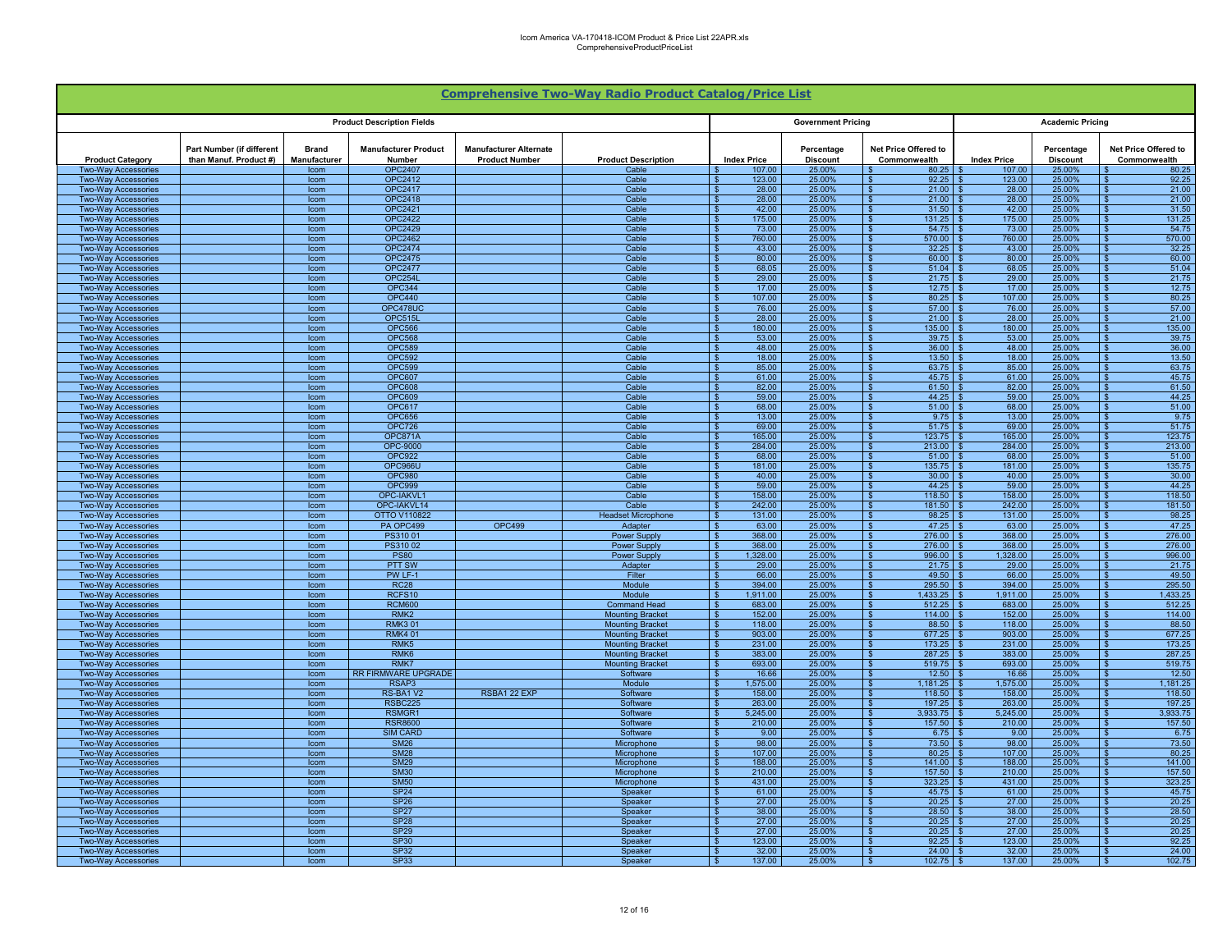| <b>Comprehensive Two-Way Radio Product Catalog/Price List</b> |                                                     |                       |                                       |                                                        |                                                    |                                  |                               |                                                       |                    |                               |                                                             |  |  |
|---------------------------------------------------------------|-----------------------------------------------------|-----------------------|---------------------------------------|--------------------------------------------------------|----------------------------------------------------|----------------------------------|-------------------------------|-------------------------------------------------------|--------------------|-------------------------------|-------------------------------------------------------------|--|--|
|                                                               | <b>Product Description Fields</b>                   |                       |                                       |                                                        |                                                    |                                  | <b>Government Pricing</b>     |                                                       |                    | <b>Academic Pricing</b>       |                                                             |  |  |
| <b>Product Category</b>                                       | Part Number (if different<br>than Manuf. Product #) | Brand<br>Manufacturer | <b>Manufacturer Product</b><br>Number | <b>Manufacturer Alternate</b><br><b>Product Number</b> | <b>Product Description</b>                         | <b>Index Price</b>               | Percentage<br><b>Discount</b> | Net Price Offered to<br>Commonwealth                  | <b>Index Price</b> | Percentage<br><b>Discount</b> | Net Price Offered to<br>Commonwealth                        |  |  |
| Two-Way Accessories                                           |                                                     | Icom                  | <b>OPC2407</b>                        |                                                        | Cable                                              | 107.00                           | 25.00%                        | 80.25                                                 | 107.00             | 25.00%                        | 80.25                                                       |  |  |
| <b>Two-Wav Accessories</b><br><b>Two-Way Accessories</b>      |                                                     | Icom<br>Icom          | OPC2412<br><b>OPC2417</b>             |                                                        | Cable<br>Cable                                     | 123.00<br>28.00                  | 25.00%<br>25.00%              | 92.25<br>$\overline{\mathbf{s}}$<br>21.00<br><b>S</b> | 123.00<br>28.00    | 25.00%<br>25.00%              | 92.25<br>21.00                                              |  |  |
| <b>Two-Way Accessories</b>                                    |                                                     | Icom                  | <b>OPC2418</b>                        |                                                        | Cable                                              | 28.00<br>- \$                    | 25.00%                        | 21.00<br>∣\$                                          | 28.00              | 25.00%                        | 21.00<br>- \$                                               |  |  |
| <b>Two-Way Accessories</b>                                    |                                                     | Icom                  | <b>OPC2421</b>                        |                                                        | Cable                                              | 42.00<br>- \$                    | 25.00%                        | 31.50<br>l S                                          | 42.00              | 25.00%                        | 31.50<br>- \$                                               |  |  |
| Two-Way Accessories                                           |                                                     | Icom                  | <b>OPC2422</b>                        |                                                        | Cable                                              | 175.00                           | 25.00%                        | 131.25<br>$\mathbf{s}$                                | 175.00             | 25.00%                        | 131.25<br>S.                                                |  |  |
| <b>Two-Way Accessories</b><br><b>Two-Way Accessories</b>      |                                                     | Icom<br>Icom          | <b>OPC2429</b><br><b>OPC2462</b>      |                                                        | Cable<br>Cable                                     | 73.00<br>760.00                  | 25.00%<br>25.00%              | $\sqrt{s}$<br>54.75<br>570.00                         | 73.00<br>760.00    | 25.00%<br>25.00%              | 54.75<br>\$.<br>570.00                                      |  |  |
| <b>Two-Way Accessories</b>                                    |                                                     | Icom                  | <b>OPC2474</b>                        |                                                        | Cable                                              | 43.00                            | 25.00%                        | 32.25<br>$\mathbf{s}$                                 | 43.00              | 25.00%                        | 32.25<br>$\sqrt{2}$                                         |  |  |
| <b>Two-Way Accessories</b>                                    |                                                     | Icom                  | OPC2475                               |                                                        | Cable                                              | 80.00                            | 25.00%                        | 60.00<br>$\mathbf{S}$                                 | 80.00              | 25.00%                        | 60.00                                                       |  |  |
| <b>Two-Wav Accessories</b>                                    |                                                     | Icom                  | <b>OPC2477</b>                        |                                                        | Cable                                              | 68.05                            | 25.00%                        | <b>S</b><br>51.04                                     | 68.05              | 25.00%                        | 51.04                                                       |  |  |
| <b>Two-Way Accessories</b><br><b>Two-Way Accessories</b>      |                                                     | Icom<br>Icom          | OPC254L<br><b>OPC344</b>              |                                                        | Cable<br>Cable                                     | 29.00<br>17.00<br>- \$           | 25.00%<br>25.00%              | 21.75<br><b>S</b><br>$\mathbf{s}$<br>12.75            | 29.00<br>17.00     | 25.00%<br>25.00%              | 21.75<br>12.75<br>- \$                                      |  |  |
| <b>Two-Way Accessories</b>                                    |                                                     | Icom                  | <b>OPC440</b>                         |                                                        | Cable                                              | 107.00                           | 25.00%                        | 80.25<br>∣\$                                          | 107.00             | 25.00%                        | 80.25<br>-S                                                 |  |  |
| <b>Two-Way Accessories</b>                                    |                                                     | Icom                  | OPC478UC                              |                                                        | Cable                                              | 76.00                            | 25.00%                        | 57.00<br>$\sqrt{3}$                                   | 76.00              | 25.00%                        | 57.00                                                       |  |  |
| <b>Two-Way Accessories</b>                                    |                                                     | Icom                  | OPC515L                               |                                                        | Cable                                              | 28.00                            | 25.00%                        | 21.00<br><b>S</b>                                     | 28.00              | 25.00%                        | 21.00                                                       |  |  |
| <b>Two-Way Accessories</b>                                    |                                                     | Icom                  | <b>OPC566</b><br><b>OPC568</b>        |                                                        | Cable<br>Cable                                     | 180.00<br>53.00                  | 25.00%<br>25.00%              | 135.00<br>39.75<br>$\mathbf{s}$                       | 180.00<br>53.00    | 25.00%<br>25.00%              | 135.00<br>39.75                                             |  |  |
| <b>Two-Way Accessories</b><br><b>Two-Way Accessories</b>      |                                                     | Icom<br>Icom          | <b>OPC589</b>                         |                                                        | Cable                                              | 48.00<br>£.                      | 25,00%                        | <b>S</b><br>36.00                                     | 48.00              | 25.00%                        | 36.00<br>$\mathbf{s}$                                       |  |  |
| <b>Two-Way Accessories</b>                                    |                                                     | Icom                  | <b>OPC592</b>                         |                                                        | Cable                                              | 18.00                            | 25.00%                        | 13.50<br>- \$                                         | 18.00              | 25.00%                        | 13.50<br>$\mathbf{s}$                                       |  |  |
| <b>Two-Way Accessories</b>                                    |                                                     | Icom                  | <b>OPC599</b>                         |                                                        | Cable                                              | 85.00                            | 25.00%                        | 63.75<br>∣\$                                          | 85.00              | 25.00%                        | 63.75<br>\$.                                                |  |  |
| <b>Two-Way Accessories</b>                                    |                                                     | Icom                  | <b>OPC607</b>                         |                                                        | Cable                                              | 61.00<br>- \$<br>82.00           | 25.00%                        | 45.75<br><b>S</b>                                     | 61.00<br>82.00     | 25.00%                        | 45.75<br>- \$                                               |  |  |
| <b>Two-Way Accessories</b><br><b>Two-Way Accessories</b>      |                                                     | Icom<br>Icom          | <b>OPC608</b><br><b>OPC609</b>        |                                                        | Cable<br>Cable                                     | 59.00                            | 25.00%<br>25.00%              | 61.50<br>$\sqrt{3}$<br>$\mathbf{s}$<br>44.25          | 59.00              | 25.00%<br>25.00%              | 61.50<br>S.<br>44.25<br>$\mathbf{s}$                        |  |  |
| <b>Two-Way Accessories</b>                                    |                                                     | Icom                  | <b>OPC617</b>                         |                                                        | Cable                                              | 68.00                            | 25.00%                        | 51.00<br>-\$                                          | 68.00              | 25.00%                        | 51.00<br>\$.                                                |  |  |
| <b>Two-Way Accessories</b>                                    |                                                     | Icom                  | <b>OPC656</b>                         |                                                        | Cable                                              | 13.00                            | 25.00%                        | 9.75<br>- \$                                          | 13.00              | 25.00%                        | 9.75                                                        |  |  |
| Two-Way Accessories                                           |                                                     | Icom                  | <b>OPC726</b>                         |                                                        | Cable                                              | 69.00                            | 25.00%                        | 51.75<br>l \$                                         | 69.00              | 25.00%                        | 51.75<br>- \$                                               |  |  |
| <b>Two-Way Accessories</b><br><b>Two-Way Accessories</b>      |                                                     | <b>Icom</b><br>Icom   | <b>OPC871A</b><br><b>OPC-9000</b>     |                                                        | Cable<br>Cable                                     | 165.00<br>-SS<br>284.00<br>\$.   | 25.00%<br>25.00%              | <b>S</b><br>123.75<br>$\sqrt{s}$<br>213.00            | 165.00<br>284.00   | 25.00%<br>25.00%              | 123.75<br>$\mathbf{s}$<br>213.00<br>$\overline{\mathbf{s}}$ |  |  |
| <b>Two-Way Accessories</b>                                    |                                                     | Icom                  | <b>OPC922</b>                         |                                                        | Cable                                              | 68.00<br>$\mathbf{s}$            | 25.00%                        | 51.00<br><b>S</b>                                     | 68.00              | 25.00%                        | 51.00                                                       |  |  |
| Two-Way Accessories                                           |                                                     | Icom                  | OPC966U                               |                                                        | Cable                                              | 181.00<br>- \$                   | 25.00%                        | $135.75$ \$<br>$\sqrt{3}$                             | 181.00             | 25.00%                        | 135.75<br>- \$                                              |  |  |
| <b>Two-Way Accessories</b>                                    |                                                     | Icom                  | <b>OPC980</b>                         |                                                        | Cable                                              | 40.00                            | 25.00%                        | 30.00<br>l \$                                         | 40.00              | 25.00%                        | 30.00<br>. ድ                                                |  |  |
| <b>Two-Way Accessories</b>                                    |                                                     | Icom                  | <b>OPC999</b>                         |                                                        | Cable                                              | 59.00                            | 25.00%                        | <b>S</b><br>44.25<br>118.50                           | 59.00<br>158.00    | 25.00%                        | 44.25<br>$\mathbf{s}$                                       |  |  |
| <b>Two-Way Accessories</b><br><b>Two-Way Accessories</b>      |                                                     | Icom<br>Icom          | OPC-IAKVL1<br>OPC-IAKVL14             |                                                        | Cable<br>Cable                                     | 158.00<br>242.00                 | 25.00%<br>25.00%              | l \$<br>181.50                                        | 242.00             | 25.00%<br>25.00%              | 118.50<br>181.50                                            |  |  |
| <b>Two-Way Accessories</b>                                    |                                                     | Icom                  | <b>OTTO V110822</b>                   |                                                        | <b>Headset Microphone</b>                          | 131.00                           | 25.00%                        | 98.25<br>$\overline{\mathbf{s}}$                      | 131.00             | 25.00%                        | 98.25                                                       |  |  |
| <b>Two-Way Accessories</b>                                    |                                                     | Icom                  | PA OPC499                             | <b>OPC499</b>                                          | Adapter                                            | 63.00                            | 25.00%                        | $\overline{\mathbf{s}}$<br>47.25                      | 63.00              | 25.00%                        | 47.25                                                       |  |  |
| <b>Two-Way Accessories</b>                                    |                                                     | Icom                  | PS31001                               |                                                        | Power Supply                                       | 368.00                           | 25.00%                        | $\mathbf{s}$<br>276.00                                | 368.00             | 25.00%                        | 276.00                                                      |  |  |
| <b>Two-Way Accessories</b><br><b>Two-Way Accessories</b>      |                                                     | Icom<br>Icom          | PS31002<br><b>PS80</b>                |                                                        | Power Supply<br><b>Power Supply</b>                | 368.00<br>1,328.00<br>- \$       | 25.00%<br>25.00%              | 276.00<br><b>S</b><br>$\mathbf{s}$<br>996.00          | 368.00<br>1,328.00 | 25.00%<br>25.00%              | 276.00<br>996.00<br>- \$                                    |  |  |
| <b>Two-Way Accessories</b>                                    |                                                     | Icom                  | PTT SW                                |                                                        | Adapter                                            | 29.00                            | 25.00%                        | ∣\$<br>21.75                                          | 29.00              | 25.00%                        | 21.75<br>-S                                                 |  |  |
| <b>Two-Wav Accessories</b>                                    |                                                     | Icom                  | PW LF-1                               |                                                        | Filter                                             | 66.00                            | 25.00%                        | <b>S</b><br>49.50                                     | 66.00              | 25.00%                        | 49.50<br>$\mathbf{s}$                                       |  |  |
| <b>Two-Way Accessories</b>                                    |                                                     | Icom                  | <b>RC28</b>                           |                                                        | Module<br>Module                                   | 394.00                           | 25.00%                        | 295.50<br>- \$                                        | 394.00             | 25.00%                        | 295.50                                                      |  |  |
| <b>Two-Way Accessories</b><br><b>Two-Way Accessories</b>      |                                                     | Icom<br>Icom          | RCFS10<br><b>RCM600</b>               |                                                        | <b>Command Head</b>                                | 1,911.00<br>683.00               | 25.00%<br>25.00%              | l \$<br>1.433.25<br>512.25<br>ا ھ                     | 1.911.00<br>683.00 | 25.00%<br>25.00%              | 1,433.25<br>-96<br>512.25<br>$\mathbf{R}$                   |  |  |
| <b>Two-Wav Accessories</b>                                    |                                                     | Icom                  | RMK <sub>2</sub>                      |                                                        | <b>Mounting Bracket</b>                            | 152.00<br>\$.                    | 25.00%                        | <b>S</b><br>114.00                                    | 152.00             | 25.00%                        | $\overline{\mathbf{s}}$<br>114.00                           |  |  |
| <b>Two-Way Accessories</b>                                    |                                                     | Icom                  | <b>RMK301</b>                         |                                                        | <b>Mounting Bracket</b>                            | 118.00<br>$\mathbf{s}$           | 25.00%                        | 88.50<br>∣\$                                          | 118.00             | 25.00%                        | 88.50<br>$\mathbf{s}$                                       |  |  |
| <b>Two-Way Accessories</b>                                    |                                                     | Icom                  | <b>RMK401</b>                         |                                                        | <b>Mounting Bracket</b>                            | 903.00<br>- \$                   | 25.00%                        | $\sqrt{s}$<br>677.25                                  | 903.00             | 25.00%                        | 677.25<br>- \$                                              |  |  |
| <b>Two-Way Accessories</b><br><b>Two-Way Accessories</b>      |                                                     | Icom<br>Icom          | RMK <sub>5</sub><br>RMK <sub>6</sub>  |                                                        | <b>Mounting Bracket</b><br><b>Mounting Bracket</b> | 231.00<br>- \$<br>383.00<br>- \$ | 25.00%<br>25.00%              | 173.25<br>∣\$<br>287.25<br>∣\$                        | 231.00<br>383.00   | 25.00%<br>25.00%              | 173.25<br>-S<br>287.25<br>-S.                               |  |  |
| <b>Two-Way Accessories</b>                                    |                                                     | Icom                  | RMK7                                  |                                                        | <b>Mounting Bracket</b>                            | 693.00<br>S                      | 25.00%                        | 519.75<br>- \$                                        | 693.00             | 25.00%                        | 519.75<br>\$                                                |  |  |
| <b>Two-Way Accessories</b>                                    |                                                     | Icom                  | <b>RR FIRMWARE UPGRADE</b>            |                                                        | Software                                           | 16.66                            | 25.00%                        | 12.50                                                 | 16.66              | 25.00%                        | 12.50                                                       |  |  |
| <b>Two-Way Accessories</b>                                    |                                                     | Icom                  | RSAP3                                 |                                                        | Module                                             | 1,575.00                         | 25.00%                        | 1,181.25<br><b>S</b>                                  | 1,575.00           | 25.00%                        | 1,181.25                                                    |  |  |
| <b>Two-Way Accessories</b><br><b>Two-Way Accessories</b>      |                                                     | Icom<br>Icom          | RS-BA1 V2<br>RSBC225                  | RSBA1 22 EXP                                           | Software<br>Software                               | 158.00<br>263.00<br>\$.          | 25.00%<br>25.00%              | 118.50<br>- 99<br><b>S</b><br>197.25                  | 158.00<br>263.00   | 25.00%<br>25.00%              | 118.50<br>$\hat{\mathbf{r}}$<br>197.25<br>$\mathbf{s}$      |  |  |
| <b>Two-Way Accessories</b>                                    |                                                     | Icom                  | RSMGR1                                |                                                        | Software                                           | 5,245.00<br>\$.                  | 25.00%                        | 3,933.75<br>- \$                                      | 5,245.00           | 25.00%                        | 3,933.75<br>$\mathbf{s}$                                    |  |  |
| <b>Two-Way Accessories</b>                                    |                                                     | Icom                  | <b>RSR8600</b>                        |                                                        | Software                                           | 210.00                           | 25.00%                        | 157.50<br>l \$                                        | 210.00             | 25.00%                        | 157.50<br>-8                                                |  |  |
| <b>Two-Way Accessories</b>                                    |                                                     | Icom                  | <b>SIM CARD</b>                       |                                                        | Software                                           | 9.00                             | 25.00%                        | 6.75<br>∣\$                                           | 9.00               | 25.00%                        | 6.75<br>- \$                                                |  |  |
| <b>Two-Way Accessories</b><br><b>Two-Way Accessories</b>      |                                                     | Icom<br>Icom          | <b>SM26</b><br><b>SM28</b>            |                                                        | Microphone<br>Microphone                           | 98.00<br>107.00                  | 25.00%<br>25.00%              | 73.50<br>$\mathbf{s}$<br>$\sqrt{3}$<br>80.25          | 98.00<br>107.00    | 25.00%<br>25.00%              | 73.50<br>$\mathbf{\hat{z}}$<br>80.25<br>$\mathbf{s}$        |  |  |
| <b>Two-Way Accessories</b>                                    |                                                     | Icom                  | <b>SM29</b>                           |                                                        | Microphone                                         | 188.00                           | 25.00%                        | ΙS<br>141.00                                          | 188.00             | 25.00%                        | 141.00<br>∣ \$                                              |  |  |
| <b>Two-Way Accessories</b>                                    |                                                     | Icom                  | <b>SM30</b>                           |                                                        | Microphone                                         | 210.00                           | 25.00%                        | 157.50<br>$\mathbf{s}$                                | 210.00             | 25.00%                        | 157.50<br>$\mathbf{\hat{z}}$                                |  |  |
| <b>Two-Wav Accessories</b>                                    |                                                     | Icom                  | <b>SM50</b>                           |                                                        | Microphone                                         | 431.00                           | 25.00%                        | <b>S</b><br>323.25                                    | 431.00             | 25.00%                        | 323.25                                                      |  |  |
| <b>Two-Way Accessories</b>                                    |                                                     | Icom                  | <b>SP24</b>                           |                                                        | Speaker                                            | 61.00                            | 25.00%                        | 45.75<br><b>S</b>                                     | 61.00              | 25.00%                        | 45.75                                                       |  |  |
| <b>Two-Way Accessories</b><br><b>Two-Way Accessories</b>      |                                                     | Icom<br>Icom          | <b>SP26</b><br><b>SP27</b>            |                                                        | Speaker<br>Speaker                                 | 27.00<br><b>S</b><br>38.00       | 25.00%<br>25.00%              | l s<br>20.25<br>28.50<br><b>S</b>                     | 27.00<br>38.00     | 25.00%<br>25.00%              | 20.25<br>- \$<br>28.50<br>-96                               |  |  |
| <b>Two-Way Accessories</b>                                    |                                                     | Icom                  | <b>SP28</b>                           |                                                        | Speaker                                            | 27.00                            | 25.00%                        | 20.25<br>∣\$                                          | 27.00              | 25.00%                        | 20.25                                                       |  |  |
| <b>Two-Wav Accessories</b>                                    |                                                     | Icom                  | <b>SP29</b>                           |                                                        | Speaker                                            | 27.00                            | 25.00%                        | 20.25<br>∣\$                                          | 27.00              | 25.00%                        | 20.25                                                       |  |  |
| <b>Two-Way Accessories</b>                                    |                                                     | Icom                  | SP30<br>SP <sub>32</sub>              |                                                        | Speake                                             | 123.00                           | 25.00%                        | 92.25                                                 | 123.00             | 25.00                         | 92.25                                                       |  |  |
| Two-Way Accessories<br><b>Two-Way Accessories</b>             |                                                     | Icom<br><b>Icom</b>   | <b>SP33</b>                           |                                                        | Speaker<br>Speaker                                 | 32.00<br>137.00<br>- \$          | 25.00%<br>25.00%              | 24.00<br>l \$<br>$\overline{\mathbf{s}}$<br>102.75    | 32.00<br>137.00    | 25.00%<br>25.00%              | 24.00<br>102.75<br>$\mathbf{s}$                             |  |  |
|                                                               |                                                     |                       |                                       |                                                        |                                                    |                                  |                               |                                                       |                    |                               |                                                             |  |  |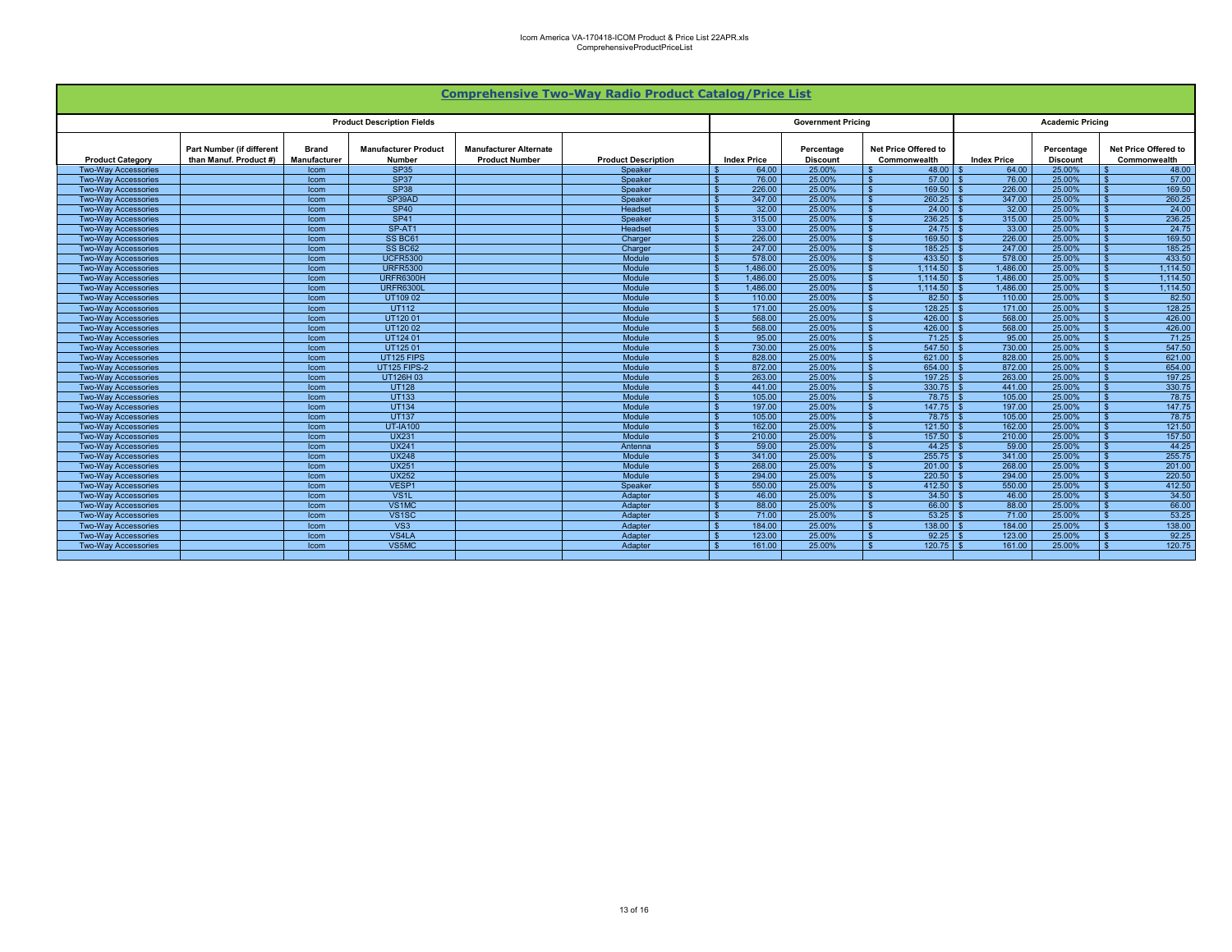| <b>Comprehensive Two-Way Radio Product Catalog/Price List</b> |                                                            |                                     |                                       |                                                        |                            |                    |                               |                                      |                         |                               |                                      |  |
|---------------------------------------------------------------|------------------------------------------------------------|-------------------------------------|---------------------------------------|--------------------------------------------------------|----------------------------|--------------------|-------------------------------|--------------------------------------|-------------------------|-------------------------------|--------------------------------------|--|
| <b>Product Description Fields</b>                             |                                                            |                                     |                                       |                                                        |                            |                    | <b>Government Pricing</b>     |                                      | <b>Academic Pricing</b> |                               |                                      |  |
| <b>Product Category</b>                                       | <b>Part Number (if different</b><br>than Manuf. Product #) | <b>Brand</b><br><b>Manufacturer</b> | <b>Manufacturer Product</b><br>Number | <b>Manufacturer Alternate</b><br><b>Product Number</b> | <b>Product Description</b> | <b>Index Price</b> | Percentage<br><b>Discount</b> | Net Price Offered to<br>Commonwealth | <b>Index Price</b>      | Percentage<br><b>Discount</b> | Net Price Offered to<br>Commonwealth |  |
| <b>Two-Wav Accessories</b>                                    |                                                            | Icom                                | <b>SP35</b>                           |                                                        | Speaker                    | 64.00              | 25.00%                        | 48.00                                | 64.00                   | 25.00%                        | 48.00                                |  |
| <b>Two-Way Accessories</b>                                    |                                                            | Icom                                | <b>SP37</b>                           |                                                        | Speaker                    | 76.00              | 25.00%                        | $57.00$ \$                           | 76.00                   | 25.00%                        | 57.00                                |  |
| <b>Two-Wav Accessories</b>                                    |                                                            | <b>Icom</b>                         | <b>SP38</b>                           |                                                        | Speaker                    | 226.00             | 25.00%                        | 169.50                               | 226.00                  | 25.00%                        | 169.50                               |  |
| <b>Two-Wav Accessories</b>                                    |                                                            | <b>Icom</b>                         | SP39AD                                |                                                        | Speaker                    | 347.00             | 25.00%                        | $260.25$ \$                          | 347.00                  | 25.00%                        | 260.25                               |  |
| <b>Two-Wav Accessories</b>                                    |                                                            | <b>Icom</b>                         | <b>SP40</b>                           |                                                        | Headset                    | 32.00              | 25.00%                        | 24.00<br>- \$                        | 32.00                   | 25.00%                        | 24.00                                |  |
| <b>Two-Wav Accessories</b>                                    |                                                            | Icom                                | <b>SP41</b>                           |                                                        | Speaker                    | 315.00             | 25.00%                        | $236.25$ \$                          | 315.00                  | 25.00%                        | 236.25                               |  |
| <b>Two-Wav Accessories</b>                                    |                                                            | Icom                                | SP-AT1                                |                                                        | Headset                    | 33.00              | 25.00%                        | - \$                                 | 33.00                   | 25.00%                        | 24.75                                |  |
| <b>Two-Wav Accessories</b>                                    |                                                            | <b>Icom</b>                         | SS BC61                               |                                                        | Charger                    | 226.00             | 25,00%                        | 169.50<br>- \$                       | 226.00                  | 25,00%                        | 169.50<br>$\hat{\mathbf{r}}$         |  |
| <b>Two-Wav Accessories</b>                                    |                                                            | <b>Icom</b>                         | SS BC62                               |                                                        | Charger                    | 247.00             | 25,00%                        | $185.25$ \$<br>- \$                  | 247.00                  | 25,00%                        | 185.25                               |  |
| <b>Two-Wav Accessories</b>                                    |                                                            | Icom                                | <b>UCFR5300</b>                       |                                                        | Module                     | 578.00             | 25,00%                        | 433.50                               | 578.00                  | 25.00%                        | 433.50                               |  |
| <b>Two-Wav Accessories</b>                                    |                                                            | Icom                                | <b>URFR5300</b>                       |                                                        | Module                     | 1.486.00           | 25,00%                        | 1.114.50                             | 1.486.00                | 25,00%                        | 1.114.50                             |  |
| <b>Two-Wav Accessories</b>                                    |                                                            | <b>Icom</b>                         | URFR6300H                             |                                                        | Module                     | 1.486.00           | 25,00%                        | 1.114.50                             | 1.486.00                | 25.00%                        | 1,114.50                             |  |
| <b>Two-Wav Accessories</b>                                    |                                                            | <b>Icom</b>                         | <b>URFR6300L</b>                      |                                                        | Module                     | 1.486.00           | 25,00%                        | 1.114.50                             | 1.486.00                | 25,00%                        | 1.114.50                             |  |
| <b>Two-Wav Accessories</b>                                    |                                                            | <b>Icom</b>                         | UT10902                               |                                                        | Module                     | 110.00             | 25.00%                        | 82.50                                | 110.00                  | 25,00%                        | 82.50                                |  |
| <b>Two-Wav Accessories</b>                                    |                                                            | Icom                                | <b>UT112</b>                          |                                                        | Module                     | 171.00             | 25.00%                        | 128.25                               | 171.00                  | 25.00%                        | 128.25                               |  |
| <b>Two-Wav Accessories</b>                                    |                                                            | <b>Icom</b>                         | UT12001                               |                                                        | Module                     | 568.00             | 25.00%                        | 426.00<br>$\mathbf{S}$               | 568.00                  | 25,00%                        | 426.00                               |  |
| <b>Two-Wav Accessories</b>                                    |                                                            | <b>Icom</b>                         | UT12002                               |                                                        | Module                     | 568.00             | 25.00%                        | 426.00                               | 568.00                  | 25,00%                        | 426.00                               |  |
| <b>Two-Way Accessories</b>                                    |                                                            | <b>Icom</b>                         | UT124 01                              |                                                        | Module                     | 95.00              | 25.00%                        | $71.25$ \$<br>- \$                   | 95.00                   | 25.00%                        | 71.25                                |  |
| <b>Two-Wav Accessories</b>                                    |                                                            | Icom                                | UT12501                               |                                                        | Module                     | 730.00             | 25.00%                        | 547.50                               | 730.00                  | 25.00%                        | 547.50                               |  |
| <b>Two-Way Accessories</b>                                    |                                                            | Icom                                | UT125 FIPS                            |                                                        | Module                     | 828.00             | 25.00%                        | 621.00<br>- \$                       | 828.00                  | 25.00%                        | 621.00                               |  |
| <b>Two-Way Accessories</b>                                    |                                                            | Icom                                | <b>UT125 FIPS-2</b>                   |                                                        | Module                     | 872.00             | 25.00%                        | 654.00                               | 872.00                  | 25.00%                        | 654.00                               |  |
| <b>Two-Wav Accessories</b>                                    |                                                            | <b>Icom</b>                         | UT126H 03                             |                                                        | Module                     | 263.00             | 25.00%                        | 197.25                               | 263.00                  | 25.00%                        | 197.25                               |  |
| <b>Two-Wav Accessories</b>                                    |                                                            | Icom                                | <b>UT128</b>                          |                                                        | Module                     | 441.00             | 25.00%                        | $330.75$ \$                          | 441.00                  | 25.00%                        | 330.75                               |  |
| <b>Two-Way Accessories</b>                                    |                                                            | Icom                                | <b>UT133</b>                          |                                                        | Module                     | 105.00             | 25.00%                        | $78.75$ \$                           | 105.00                  | 25.00%                        | 78.75                                |  |
| <b>Two-Way Accessories</b>                                    |                                                            | Icom                                | <b>UT134</b>                          |                                                        | Module                     | 197.00             | 25.00%                        | $147.75$ \ \$<br><b>S</b>            | 197.00                  | 25.00%                        | 147.75<br>\$.                        |  |
| <b>Two-Wav Accessories</b>                                    |                                                            | <b>Icom</b>                         | <b>UT137</b>                          |                                                        | Module                     | 105.00             | 25.00%                        |                                      | 105.00                  | 25.00%                        | 78.75                                |  |
| <b>Two-Way Accessories</b>                                    |                                                            | <b>Icom</b>                         | <b>UT-IA100</b>                       |                                                        | Module                     | 162.00             | 25.00%                        | 121.50<br>- \$                       | 162.00                  | 25.00%                        | 121.50                               |  |
| <b>Two-Wav Accessories</b>                                    |                                                            | <b>Icom</b>                         | <b>UX231</b>                          |                                                        | Module                     | 210.00             | 25.00%                        | $157.50$ \$                          | 210.00                  | 25.00%                        | 157.50                               |  |
| <b>Two-Way Accessories</b>                                    |                                                            | <b>Icom</b>                         | <b>UX241</b>                          |                                                        | Antenna                    | 59.00              | 25.00%                        | $44.25$ \$<br>- \$                   | 59.00                   | 25.00%                        | 44.25                                |  |
| <b>Two-Wav Accessories</b>                                    |                                                            | Icom                                | <b>UX248</b>                          |                                                        | Module                     | 341.00             | 25.00%                        | $255.75$ \$<br>- \$                  | 341.00                  | 25.00%                        | 255.75<br>\$.                        |  |
| <b>Two-Wav Accessories</b>                                    |                                                            | <b>Icom</b>                         | <b>UX251</b>                          |                                                        | Module                     | 268.00             | 25.00%                        | $201.00$ \ \$<br>- \$                | 268.00                  | 25.00%                        | 201.00                               |  |
| <b>Two-Wav Accessories</b>                                    |                                                            | <b>Icom</b>                         | <b>UX252</b>                          |                                                        | Module                     | 294.00             | 25.00%                        | 220.50                               | 294.00                  | 25.00%                        | 220.50                               |  |
| <b>Two-Wav Accessories</b>                                    |                                                            | Icom                                | VESP1                                 |                                                        | Speaker                    | 550.00             | 25.00%                        | 412.50                               | 550.00                  | 25.00%                        | 412.50                               |  |
| <b>Two-Wav Accessories</b>                                    |                                                            | Icom                                | VS <sub>1</sub> L                     |                                                        | Adapter                    | 46.00              | 25,00%                        | 34.50                                | 46.00                   | 25,00%                        | 34.50                                |  |
| <b>Two-Wav Accessories</b>                                    |                                                            | <b>Icom</b>                         | VS <sub>1</sub> MC                    |                                                        | Adapter                    | 88.00              | 25,00%                        | 66.00                                | 88.00                   | 25.00%                        | 66.00                                |  |
| <b>Two-Wav Accessories</b>                                    |                                                            | <b>Icom</b>                         | VS <sub>1</sub> SC                    |                                                        | Adapter                    | 71.00              | 25,00%                        | 53.25                                | 71.00                   | 25,00%                        | 53.25                                |  |
| <b>Two-Wav Accessories</b>                                    |                                                            | <b>Icom</b>                         | VS3                                   |                                                        | Adapter                    | 184.00             | 25,00%                        | 138.00                               | 184.00                  | 25,00%                        | 138.00                               |  |
| <b>Two-Wav Accessories</b>                                    |                                                            | <b>Icom</b>                         | VS4LA                                 |                                                        | Adapter                    | 123.00             | 25.00%                        | 92.25                                | 123.00                  | 25,00%                        | 92.25                                |  |
| <b>Two-Wav Accessories</b>                                    |                                                            | <b>Icom</b>                         | VS5MC                                 |                                                        | Adapter                    | 161.00             | 25.00%                        | 120.75                               | 161.00                  | 25,00%                        | 120.75                               |  |
|                                                               |                                                            |                                     |                                       |                                                        |                            |                    |                               |                                      |                         |                               |                                      |  |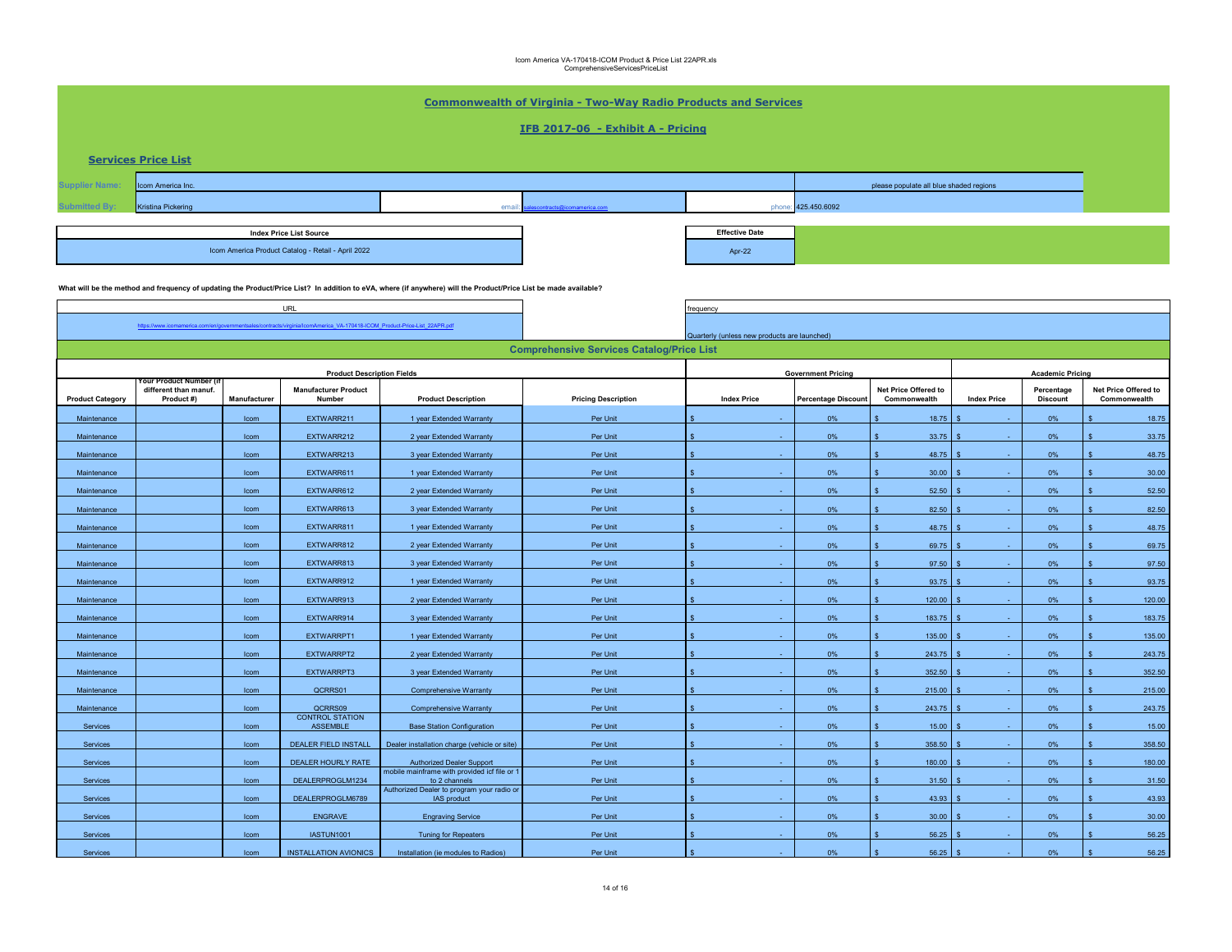| <b>Commonwealth of Virginia - Two-Way Radio Products and Services</b> |                                     |              |                                                                               |                                                                                                                                                                  |                                                  |                                              |                            |                                         |                    |                               |                                      |
|-----------------------------------------------------------------------|-------------------------------------|--------------|-------------------------------------------------------------------------------|------------------------------------------------------------------------------------------------------------------------------------------------------------------|--------------------------------------------------|----------------------------------------------|----------------------------|-----------------------------------------|--------------------|-------------------------------|--------------------------------------|
| IFB 2017-06 - Exhibit A - Pricing                                     |                                     |              |                                                                               |                                                                                                                                                                  |                                                  |                                              |                            |                                         |                    |                               |                                      |
|                                                                       |                                     |              |                                                                               |                                                                                                                                                                  |                                                  |                                              |                            |                                         |                    |                               |                                      |
|                                                                       | <b>Services Price List</b>          |              |                                                                               |                                                                                                                                                                  |                                                  |                                              |                            |                                         |                    |                               |                                      |
| <b>Supplier Name</b>                                                  | Icom America Inc.                   |              |                                                                               |                                                                                                                                                                  |                                                  |                                              |                            | please populate all blue shaded regions |                    |                               |                                      |
|                                                                       | <b>Kristina Pickering</b>           |              |                                                                               | em:                                                                                                                                                              |                                                  |                                              | phone: 425.450.6092        |                                         |                    |                               |                                      |
|                                                                       |                                     |              |                                                                               |                                                                                                                                                                  |                                                  |                                              |                            |                                         |                    |                               |                                      |
| <b>Index Price List Source</b>                                        |                                     |              |                                                                               |                                                                                                                                                                  |                                                  | <b>Effective Date</b>                        |                            |                                         |                    |                               |                                      |
|                                                                       |                                     |              | Icom America Product Catalog - Retail - April 2022                            |                                                                                                                                                                  |                                                  | Apr-22                                       |                            |                                         |                    |                               |                                      |
|                                                                       |                                     |              |                                                                               | What will be the method and frequency of updating the Product/Price List? In addition to eVA, where (if anywhere) will the Product/Price List be made available? |                                                  |                                              |                            |                                         |                    |                               |                                      |
|                                                                       |                                     |              | URL                                                                           |                                                                                                                                                                  |                                                  | requency                                     |                            |                                         |                    |                               |                                      |
|                                                                       | https://www.icomamerica.com/en/g    |              | es/contracts/virginia/lcomAmerica VA-170418-ICOM Product-Price-List 22APR.pdf |                                                                                                                                                                  |                                                  |                                              |                            |                                         |                    |                               |                                      |
|                                                                       |                                     |              |                                                                               |                                                                                                                                                                  |                                                  | Quarterly (unless new products are launched) |                            |                                         |                    |                               |                                      |
|                                                                       |                                     |              |                                                                               |                                                                                                                                                                  | <b>Comprehensive Services Catalog/Price List</b> |                                              |                            |                                         |                    |                               |                                      |
|                                                                       | our Product Number                  |              | <b>Product Description Fields</b>                                             |                                                                                                                                                                  |                                                  |                                              | <b>Government Pricing</b>  |                                         |                    | <b>Academic Pricing</b>       |                                      |
| <b>Product Category</b>                                               | different than manuf.<br>Product #) | Manufacturer | <b>Manufacturer Product</b><br>Number                                         | <b>Product Description</b>                                                                                                                                       | <b>Pricing Description</b>                       | <b>Index Price</b>                           | <b>Percentage Discount</b> | Net Price Offered to<br>Commonwealth    | <b>Index Price</b> | Percentage<br><b>Discount</b> | Net Price Offered to<br>Commonwealth |
| Maintenance                                                           |                                     | Icom         | EXTWARR211                                                                    | 1 year Extended Warranty                                                                                                                                         | Per Unit                                         |                                              | 0%                         | 18.75                                   |                    | $0\%$                         | 18.75                                |
| Maintenance                                                           |                                     | Icom         | EXTWARR212                                                                    | 2 year Extended Warranty                                                                                                                                         | Per Unit                                         |                                              | 0%                         | 33.75                                   |                    | 0%                            | 33.75                                |
| Maintenance                                                           |                                     | Icom         | EXTWARR213                                                                    | 3 year Extended Warranty                                                                                                                                         | Per Unit                                         |                                              | 0%                         | 48.75                                   |                    | 0%                            | 48.75                                |
| Maintenance                                                           |                                     | Icom         | EXTWARR611                                                                    | 1 year Extended Warranty                                                                                                                                         | Per Unit                                         |                                              | 0%                         | 30.00                                   |                    | 0%                            | 30.00                                |
| Maintenance                                                           |                                     | Icom         | EXTWARR612                                                                    | 2 year Extended Warranty                                                                                                                                         | Per Unit                                         |                                              | 0%                         | 52.50                                   |                    | 0%                            | 52.50                                |
| Maintenance                                                           |                                     | Icom         | EXTWARR613                                                                    | 3 year Extended Warranty                                                                                                                                         | Per Unit                                         |                                              | 0%                         | 82.50                                   |                    | 0%                            | 82.50                                |
| Maintenance                                                           |                                     | Icom         | EXTWARR811                                                                    | 1 year Extended Warranty                                                                                                                                         | Per Unit                                         |                                              | 0%                         | 48.75                                   |                    | 0%                            | 48.75                                |
| Maintenance                                                           |                                     | Icom         | EXTWARR812                                                                    | 2 year Extended Warranty                                                                                                                                         | Per Unit                                         |                                              | 0%                         | 69.75                                   |                    | $0\%$                         | 69.75                                |
| Maintenance                                                           |                                     | Icom         | EXTWARR813                                                                    | 3 year Extended Warranty                                                                                                                                         | Per Unit                                         |                                              | 0%                         | 97.50                                   |                    | $0\%$                         | 97.50                                |
| Maintenance                                                           |                                     | Icom         | EXTWARR912                                                                    | 1 year Extended Warranty                                                                                                                                         | Per Unit                                         |                                              | 0%                         | 93.75                                   |                    | 0%                            | 93.75                                |
| Maintenance                                                           |                                     | Icom         | EXTWARR913                                                                    | 2 year Extended Warranty                                                                                                                                         | Per Unit                                         |                                              | 0%                         | 120.00                                  |                    | 0%                            | 120.00                               |
| Maintenance                                                           |                                     | Icom         | EXTWARR914                                                                    | 3 year Extended Warranty                                                                                                                                         | Per Unit                                         |                                              | 0%                         | 183.75                                  |                    | 0%                            | 183.75                               |
| Maintenance                                                           |                                     | Icom         | EXTWARRPT1                                                                    | 1 year Extended Warranty                                                                                                                                         | Per Unit                                         |                                              | 0%                         | 135.00                                  |                    | $0\%$                         | 135.00                               |
| Maintenance                                                           |                                     | Icom         | EXTWARRPT2                                                                    | 2 year Extended Warranty                                                                                                                                         | Per Unit                                         |                                              | 0%                         | 243.75                                  |                    | 0%                            | 243.75                               |
| Maintenance                                                           |                                     | Icom         | EXTWARRPT3                                                                    | 3 year Extended Warranty                                                                                                                                         | Per Unit                                         |                                              | 0%                         | 352.50                                  |                    | 0%                            | 352.50                               |
| Maintenance                                                           |                                     | Icom         | QCRRS01                                                                       | Comprehensive Warranty                                                                                                                                           | Per Unit                                         |                                              | 0%                         | 215.00                                  |                    | 0%                            | 215.00                               |
| Maintenance                                                           |                                     | Icom         | QCRRS09                                                                       | Comprehensive Warranty                                                                                                                                           | Per Unit                                         |                                              | 0%                         | 243.75                                  |                    | 0%                            | 243.75                               |
| Services                                                              |                                     | Icom         | <b>CONTROL STATION</b><br>ASSEMBLE                                            | <b>Base Station Configuration</b>                                                                                                                                | Per Unit                                         |                                              | 0%                         | 15.00                                   |                    | 0%                            | 15.00                                |
| Services                                                              |                                     | Icom         | DEALER FIELD INSTALL                                                          | Dealer installation charge (vehicle or site)                                                                                                                     | Per Unit                                         |                                              | 0%                         | 358.50                                  |                    | 0%                            | 358.50                               |
| Services                                                              |                                     | Icom         | DEALER HOURLY RATE                                                            | <b>Authorized Dealer Support</b>                                                                                                                                 | Per Unit                                         |                                              | 0%                         | 180.00                                  |                    | 0%                            | 180.00                               |
| Services                                                              |                                     | Icom         | DEALERPROGLM1234                                                              | mobile mainframe with provided icf file or 1<br>to 2 channels                                                                                                    | Per Unit                                         |                                              | 0%                         | 31.50                                   |                    | 0%                            | 31.50                                |
| Services                                                              |                                     | Icom         | DEALERPROGLM6789                                                              | Authorized Dealer to program your radio or<br>IAS product                                                                                                        | Per Unit                                         |                                              | 0%                         | 43.93                                   |                    | 0%                            | 43.93                                |
| Services                                                              |                                     | Icom         | ENGRAVE                                                                       | <b>Engraving Service</b>                                                                                                                                         | Per Unit                                         |                                              | 0%                         | 30.00                                   |                    | 0%                            | 30.00                                |
| Services                                                              |                                     | Icom         | IASTUN1001                                                                    | <b>Tuning for Repeaters</b>                                                                                                                                      | Per Unit                                         |                                              | 0%                         | 56.25                                   |                    | 0%                            | 56.25                                |
| Services                                                              |                                     | Icom         | <b>INSTALLATION AVIONICS</b>                                                  | Installation (ie modules to Radios)                                                                                                                              | Per Unit                                         |                                              | 0%                         | 56.25                                   |                    | 0%                            | 56.25                                |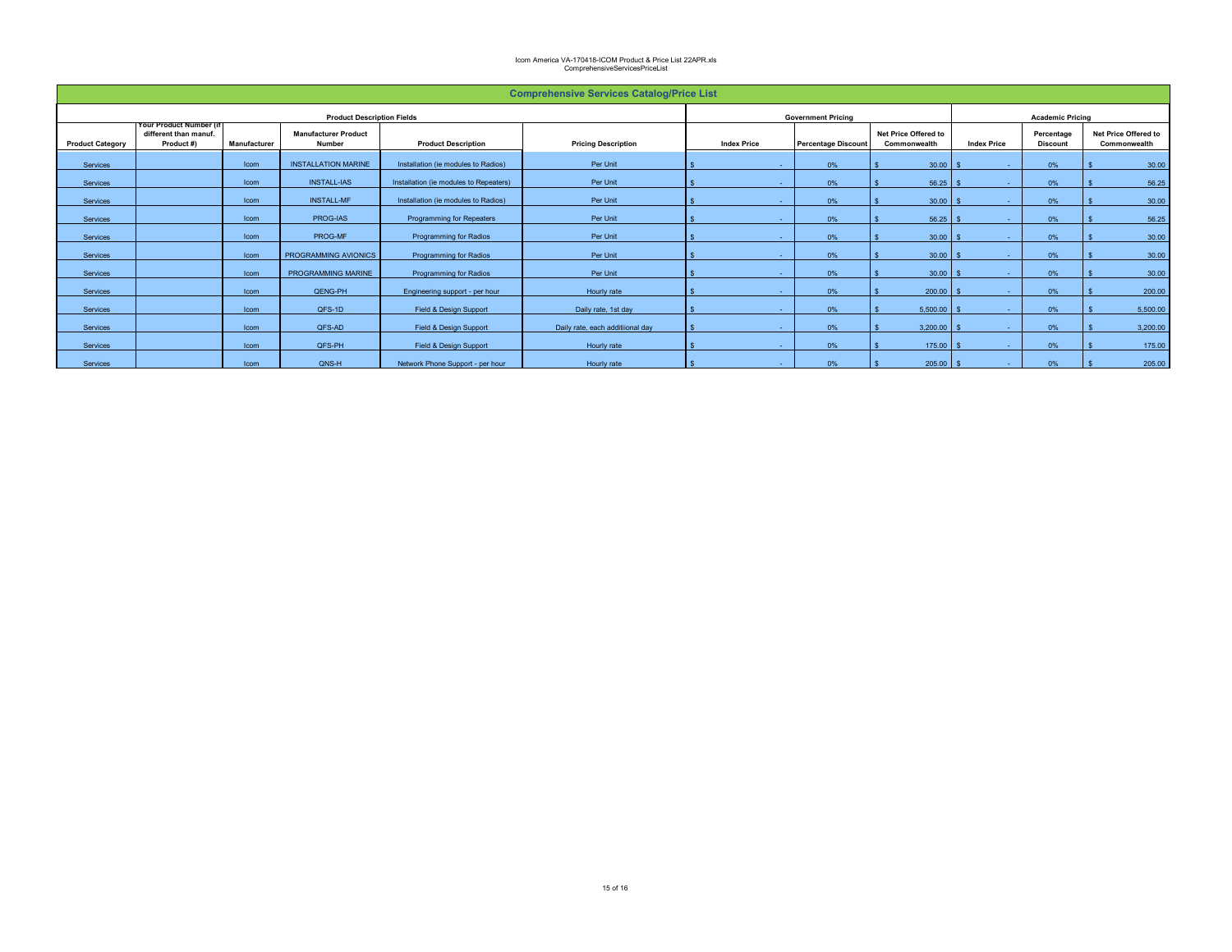| <b>Comprehensive Services Catalog/Price List</b> |                                                                |              |                                       |                                        |                                  |                           |        |                            |                                      |                         |                               |  |                                      |
|--------------------------------------------------|----------------------------------------------------------------|--------------|---------------------------------------|----------------------------------------|----------------------------------|---------------------------|--------|----------------------------|--------------------------------------|-------------------------|-------------------------------|--|--------------------------------------|
| <b>Product Description Fields</b>                |                                                                |              |                                       |                                        |                                  | <b>Government Pricing</b> |        |                            |                                      | <b>Academic Pricing</b> |                               |  |                                      |
| <b>Product Category</b>                          | Your Product Number (if<br>different than manuf.<br>Product #) | Manufacturer | <b>Manufacturer Product</b><br>Number | <b>Product Description</b>             | <b>Pricing Description</b>       | <b>Index Price</b>        |        | <b>Percentage Discount</b> | Net Price Offered to<br>Commonwealth | <b>Index Price</b>      | Percentage<br><b>Discount</b> |  | Net Price Offered to<br>Commonwealth |
| Services                                         |                                                                | Icom         | <b>INSTALLATION MARINE</b>            | Installation (ie modules to Radios)    | Per Unit                         |                           |        | 0%                         | 30.00                                | $\sim$                  | 0%                            |  | 30.00                                |
| Services                                         |                                                                | Icom         | <b>INSTALL-IAS</b>                    | Installation (ie modules to Repeaters) | Per Unit                         |                           | $\sim$ | 0%                         | 56.25                                | н.                      | 0%                            |  | 56.25                                |
| Services                                         |                                                                | Icom         | <b>INSTALL-MF</b>                     | Installation (ie modules to Radios)    | Per Unit                         |                           |        | 0%                         | 30.00                                | н.                      | 0%                            |  | 30.00                                |
| Services                                         |                                                                | Icom         | PROG-IAS                              | Programming for Repeaters              | Per Unit                         |                           |        | 0%                         | 56.25                                | <b>A</b> 1              | 0%                            |  | 56.25                                |
| Services                                         |                                                                | Icom         | PROG-MF                               | <b>Programming for Radios</b>          | Per Unit                         |                           |        | 0%                         | 30.00                                | <b>A</b> 1              | 0%                            |  | 30.00                                |
| Services                                         |                                                                | Icom         | PROGRAMMING AVIONICS                  | Programming for Radios                 | Per Unit                         |                           |        | 0%                         | 30.00                                | $\sim$                  | 0%                            |  | 30.00                                |
| Services                                         |                                                                | Icom         | PROGRAMMING MARINE                    | <b>Programming for Radios</b>          | Per Unit                         |                           |        | 0%                         | 30.00                                | <b>A</b> 1              | 0%                            |  | 30.00                                |
| Services                                         |                                                                | Icom         | QENG-PH                               | Engineering support - per hour         | Hourly rate                      |                           |        | 0%                         | 200.00                               | <b>A</b> 1              | 0%                            |  | 200.00                               |
| Services                                         |                                                                | Icom         | QFS-1D                                | Field & Design Support                 | Daily rate, 1st day              |                           | $\sim$ | 0%                         | 5,500.00                             | $\sim$                  | 0%                            |  | 5,500.00                             |
| Services                                         |                                                                | Icom         | QFS-AD                                | Field & Design Support                 | Daily rate, each additiional day |                           |        | 0%                         | 3,200.00                             | н.                      | 0%                            |  | 3,200.00                             |
| Services                                         |                                                                | Icom         | QFS-PH                                | Field & Design Support                 | Hourly rate                      |                           |        | 0%                         | 175.00                               | <b>A</b> 1              | 0%                            |  | 175.00                               |
| Services                                         |                                                                | Icom         | QNS-H                                 | Network Phone Support - per hour       | Hourly rate                      |                           |        | 0%                         | 205.00                               | ٠                       | 0%                            |  | 205.00                               |